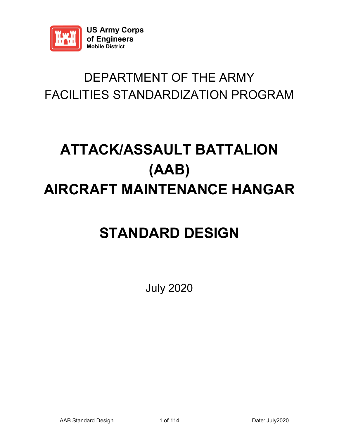

### DEPARTMENT OF THE ARMY FACILITIES STANDARDIZATION PROGRAM

## **ATTACK/ASSAULT BATTALION (AAB) AIRCRAFT MAINTENANCE HANGAR**

### **STANDARD DESIGN**

July 2020

AAB Standard Design 1 of 114 Date: July2020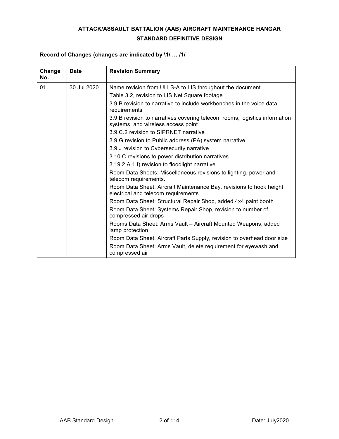#### **ATTACK/ASSAULT BATTALION (AAB) AIRCRAFT MAINTENANCE HANGAR STANDARD DEFINITIVE DESIGN**

#### **Record of Changes (changes are indicated by \1\ … /1/**

| Change<br>No. | Date        | <b>Revision Summary</b>                                                                                          |
|---------------|-------------|------------------------------------------------------------------------------------------------------------------|
| 01            | 30 Jul 2020 | Name revision from ULLS-A to LIS throughout the document                                                         |
|               |             | Table 3.2, revision to LIS Net Square footage                                                                    |
|               |             | 3.9 B revision to narrative to include workbenches in the voice data<br>requirements                             |
|               |             | 3.9 B revision to narratives covering telecom rooms, logistics information<br>systems, and wireless access point |
|               |             | 3.9 C.2 revision to SIPRNET narrative                                                                            |
|               |             | 3.9 G revision to Public address (PA) system narrative                                                           |
|               |             | 3.9 J revision to Cybersecurity narrative                                                                        |
|               |             | 3.10 C revisions to power distribution narratives                                                                |
|               |             | 3.19.2 A.1.f) revision to floodlight narrative                                                                   |
|               |             | Room Data Sheets: Miscellaneous revisions to lighting, power and<br>telecom requirements.                        |
|               |             | Room Data Sheet: Aircraft Maintenance Bay, revisions to hook height,<br>electrical and telecom requirements      |
|               |             | Room Data Sheet: Structural Repair Shop, added 4x4 paint booth                                                   |
|               |             | Room Data Sheet: Systems Repair Shop, revision to number of<br>compressed air drops                              |
|               |             | Rooms Data Sheet: Arms Vault - Aircraft Mounted Weapons, added<br>lamp protection                                |
|               |             | Room Data Sheet: Aircraft Parts Supply, revision to overhead door size                                           |
|               |             | Room Data Sheet: Arms Vault, delete requirement for eyewash and<br>compressed air                                |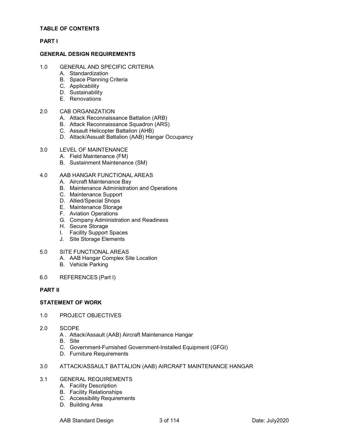#### **TABLE OF CONTENTS**

#### **PART I**

#### **GENERAL DESIGN REQUIREMENTS**

- 1.0 GENERAL AND SPECIFIC CRITERIA
	- A. Standardization
	- B. Space Planning Criteria
	- C. Applicability
	- D. Sustainability
	- E. Renovations

#### 2.0 CAB ORGANIZATION

- A. Attack Reconnaissance Battalion (ARB)
- B. Attack Reconnaissance Squadron (ARS)
- C. Assault Helicopter Battalion (AHB)
- D. Attack/Assualt Battalion (AAB) Hangar Occupancy

#### 3.0 LEVEL OF MAINTENANCE

- A. Field Maintenance (FM)
- B. Sustainment Maintenance (SM)

#### 4.0 AAB HANGAR FUNCTIONAL AREAS

- A. Aircraft Maintenance Bay
- B. Maintenance Administration and Operations
- C. Maintenance Support
- D. Allied/Special Shops
- E. Maintenance Storage
- F. Aviation Operations
- G. Company Administration and Readiness
- H. Secure Storage
- I. Facility Support Spaces
- J. Site Storage Elements

#### 5.0 SITE FUNCTIONAL AREAS

- A. AAB Hangar Complex Site Location
- B. Vehicle Parking

#### 6.0 REFERENCES (Part I)

#### **PART II**

#### **STATEMENT OF WORK**

- 1.0 PROJECT OBJECTIVES
- 2.0 SCOPE
	- A . Attack/Assault (AAB) Aircraft Maintenance Hangar
	- B. Site
	- C. Government-Furnished Government-Installed Equipment (GFGI)
	- D. Furniture Requirements

#### 3.0 ATTACK/ASSAULT BATTALION (AAB) AIRCRAFT MAINTENANCE HANGAR

#### 3.1 GENERAL REQUIREMENTS

- A. Facility Description
- B. Facility Relationships
- C. Accessibility Requirements
- D. Building Area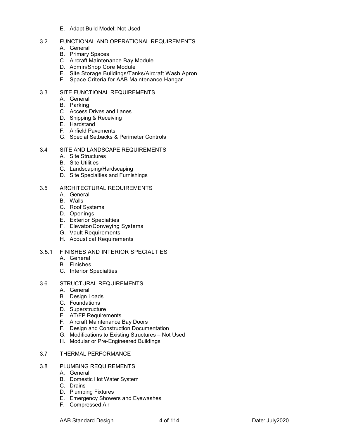E. Adapt Build Model: Not Used

#### 3.2 FUNCTIONAL AND OPERATIONAL REQUIREMENTS

- A. General
- B. Primary Spaces
- C. Aircraft Maintenance Bay Module
- D. Admin/Shop Core Module
- E. Site Storage Buildings/Tanks/Aircraft Wash Apron
- F. Space Criteria for AAB Maintenance Hangar

#### 3.3 SITE FUNCTIONAL REQUIREMENTS

- A. General
- B. Parking
- C. Access Drives and Lanes
- D. Shipping & Receiving
- E. Hardstand
- F. Airfield Pavements
- G. Special Setbacks & Perimeter Controls

#### 3.4 SITE AND LANDSCAPE REQUIREMENTS

- A. Site Structures
- B. Site Utilities
- C. Landscaping/Hardscaping
- D. Site Specialties and Furnishings

#### 3.5 ARCHITECTURAL REQUIREMENTS

- A. General
- B. Walls
- C. Roof Systems
- D. Openings
- E. Exterior Specialties
- F. Elevator/Conveying Systems
- G. Vault Requirements
- H. Acoustical Requirements

#### 3.5.1 FINISHES AND INTERIOR SPECIALTIES

- A. General
- B. Finishes
- C. Interior Specialties
- 3.6 STRUCTURAL REQUIREMENTS
	- A. General
	- B. Design Loads
	- C. Foundations
	- D. Superstructure
	- E. AT/FP Requirements
	- F. Aircraft Maintenance Bay Doors
	- F. Design and Construction Documentation
	- G. Modifications to Existing Structures Not Used
	- H. Modular or Pre-Engineered Buildings

#### 3.7 THERMAL PERFORMANCE

- 3.8 PLUMBING REQUIREMENTS
	- A. General
	- B. Domestic Hot Water System
	- C. Drains
	- D. Plumbing Fixtures
	- E. Emergency Showers and Eyewashes
	- F. Compressed Air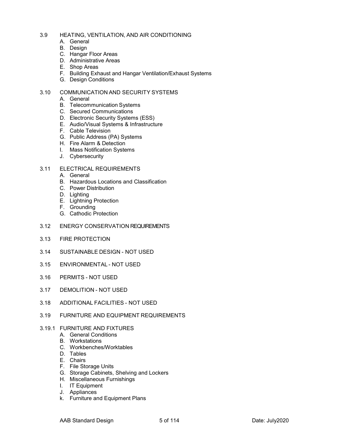- 3.9 HEATING, VENTILATION, AND AIR CONDITIONING
	- A. General
	- B. Design
	- C. Hangar Floor Areas
	- D. Administrative Areas
	- E. Shop Areas
	- F. Building Exhaust and Hangar Ventilation/Exhaust Systems
	- G. Design Conditions

#### 3.10 COMMUNICATION AND SECURITY SYSTEMS

- A. General
- B. Telecommunication Systems
- C. Secured Communications
- D. Electronic Security Systems (ESS)
- E. Audio/Visual Systems & Infrastructure
- F. Cable Television
- G. Public Address (PA) Systems
- H. Fire Alarm & Detection
- I. Mass Notification Systems
- J. Cybersecurity

#### 3.11 ELECTRICAL REQUIREMENTS

- A. General
- B. Hazardous Locations and Classification
- C. Power Distribution
- D. Lighting
- E. Lightning Protection
- F. Grounding
- G. Cathodic Protection
- 3.12 ENERGY CONSERVATION REQUIREMENTS
- 3.13 FIRE PROTECTION
- 3.14 SUSTAINABLE DESIGN NOT USED
- 3.15 ENVIRONMENTAL NOT USED
- 3.16 PERMITS NOT USED
- 3.17 DEMOLITION NOT USED
- 3.18 ADDITIONAL FACILITIES NOT USED
- 3.19 FURNITURE AND EQUIPMENT REQUIREMENTS
- 3.19.1 FURNITURE AND FIXTURES
	- A. General Conditions
	- B. Workstations
	- C. Workbenches/Worktables
	- D. Tables
	- E. Chairs
	- F. File Storage Units
	- G. Storage Cabinets, Shelving and Lockers
	- H. Miscellaneous Furnishings
	- I. IT Equipment
	- J. Appliances
	- k. Furniture and Equipment Plans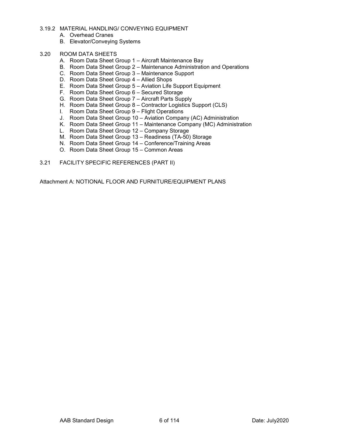- 3.19.2 MATERIAL HANDLING/ CONVEYING EQUIPMENT
	- A. Overhead Cranes
	- B. Elevator/Conveying Systems
- 3.20 ROOM DATA SHEETS
	- A. Room Data Sheet Group 1 Aircraft Maintenance Bay
	- B. Room Data Sheet Group 2 Maintenance Administration and Operations
	- C. Room Data Sheet Group 3 Maintenance Support
	- D. Room Data Sheet Group 4 Allied Shops
	- E. Room Data Sheet Group 5 Aviation Life Support Equipment
	- F. Room Data Sheet Group 6 Secured Storage
	- G. Room Data Sheet Group 7 Aircraft Parts Supply
	- H. Room Data Sheet Group 8 Contractor Logistics Support (CLS)
	- I. Room Data Sheet Group 9 Flight Operations
	- J. Room Data Sheet Group 10 Aviation Company (AC) Administration
	- K. Room Data Sheet Group 11 Maintenance Company (MC) Administration
	- L. Room Data Sheet Group 12 Company Storage
	- M. Room Data Sheet Group 13 Readiness (TA-50) Storage
	- N. Room Data Sheet Group 14 Conference/Training Areas
	- O. Room Data Sheet Group 15 Common Areas
- 3.21 FACILITY SPECIFIC REFERENCES (PART II)

Attachment A: NOTIONAL FLOOR AND FURNITURE/EQUIPMENT PLANS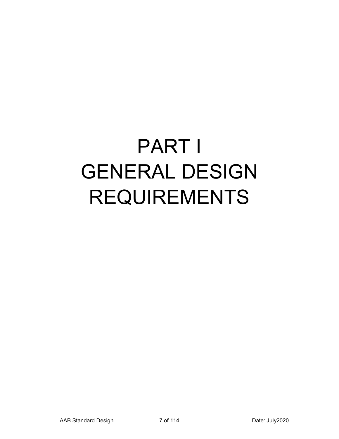# PART I GENERAL DESIGN REQUIREMENTS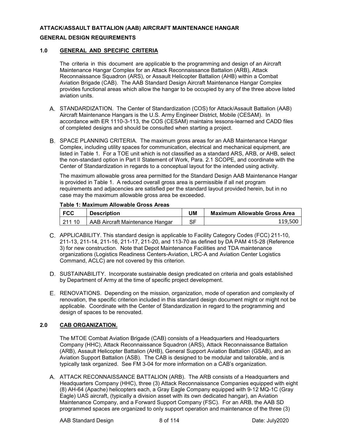#### **ATTACK/ASSAULT BATTALION (AAB) AIRCRAFT MAINTENANCE HANGAR**

#### **GENERAL DESIGN REQUIREMENTS**

#### **1.0 GENERAL AND SPECIFIC CRITERIA**

The criteria in this document are applicable to the programming and design of an Aircraft Maintenance Hangar Complex for an Attack Reconnaissance Battalion (ARB), Attack Reconnaissance Squadron (ARS), or Assault Helicopter Battalion (AHB) within a Combat Aviation Brigade (CAB). The AAB Standard Design Aircraft Maintenance Hangar Complex provides functional areas which allow the hangar to be occupied by any of the three above listed aviation units.

- A. STANDARDIZATION. The Center of Standardization (COS) for Attack/Assault Battalion (AAB) Aircraft Maintenance Hangars is the U.S. Army Engineer District, Mobile (CESAM). In accordance with ER 1110-3-113, the COS (CESAM) maintains lessons-learned and CADD files of completed designs and should be consulted when starting a project.
- SPACE PLANNING CRITERIA. The maximum gross areas for an AAB Maintenance Hangar Complex, including utility spaces for communication, electrical and mechanical equipment, are listed in Table 1. For a TOE unit which is not classified as a standard ARS, ARB, or AHB, select the non-standard option in Part II Statement of Work, Para. 2.1 SCOPE, and coordinate with the Center of Standardization in regards to a conceptual layout for the intended using activity.

The maximum allowable gross area permitted for the Standard Design AAB Maintenance Hangar is provided in Table 1. A reduced overall gross area is permissible if all net program requirements and adjacencies are satisfied per the standard layout provided herein, but in no case may the maximum allowable gross area be exceeded.

#### **Table 1: Maximum Allowable Gross Areas**

| l FCC  | <b>Description</b>              | IJΜ | <b>Maximum Allowable Gross Area</b> |
|--------|---------------------------------|-----|-------------------------------------|
| 211 10 | AAB Aircraft Maintenance Hangar | SF  | 119.500                             |

- APPLICABILITY. This standard design is applicable to Facility Category Codes (FCC) 211-10, 211-13, 211-14, 211-16, 211-17, 211-20, and 113-70 as defined by DA PAM 415-28 (Reference 3) for new construction. Note that Depot Maintenance Facilities and TDA maintenance organizations (Logistics Readiness Centers-Aviation, LRC-A and Aviation Center Logistics Command, ACLC) are not covered by this criterion.
- D. SUSTAINABILITY. Incorporate sustainable design predicated on criteria and goals established by Department of Army at the time of specific project development.
- RENOVATIONS. Depending on the mission, organization, mode of operation and complexity of renovation, the specific criterion included in this standard design document might or might not be applicable. Coordinate with the Center of Standardization in regard to the programming and design of spaces to be renovated.

#### **2.0 CAB ORGANIZATION.**

The MTOE Combat Aviation Brigade (CAB) consists of a Headquarters and Headquarters Company (HHC), Attack Reconnaissance Squadron (ARS), Attack Reconnaissance Battalion (ARB), Assault Helicopter Battalion (AHB), General Support Aviation Battalion (GSAB), and an Aviation Support Battalion (ASB). The CAB is designed to be modular and tailorable, and is typically task organized. See FM 3-04 for more information on a CAB's organization.

A. ATTACK RECONNAISSANCE BATTALION (ARB). The ARB consists of a Headquarters and Headquarters Company (HHC), three (3) Attack Reconnaissance Companies equipped with eight (8) AH-64 (Apache) helicopters each, a Gray Eagle Company equipped with 9-12 MQ-1C (Gray Eagle) UAS aircraft, (typically a division asset with its own dedicated hangar), an Aviation Maintenance Company, and a Forward Support Company (FSC). For an ARB, the AAB SD programmed spaces are organized to only support operation and maintenance of the three (3)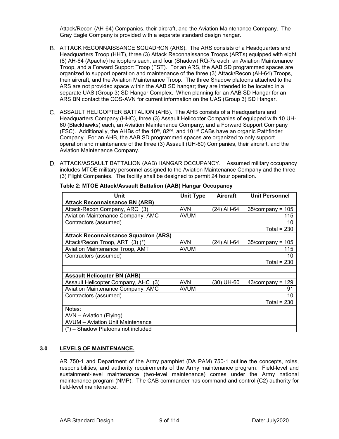Attack/Recon (AH-64) Companies, their aircraft, and the Aviation Maintenance Company. The Gray Eagle Company is provided with a separate standard design hangar.

- ATTACK RECONNAISSANCE SQUADRON (ARS). The ARS consists of a Headquarters and Headquarters Troop (HHT), three (3) Attack Reconnaissance Troops (ARTs) equipped with eight (8) AH-64 (Apache) helicopters each, and four (Shadow) RQ-7s each, an Aviation Maintenance Troop, and a Forward Support Troop (FST). For an ARS, the AAB SD programmed spaces are organized to support operation and maintenance of the three (3) Attack/Recon (AH-64) Troops, their aircraft, and the Aviation Maintenance Troop. The three Shadow platoons attached to the ARS are not provided space within the AAB SD hangar; they are intended to be located in a separate UAS (Group 3) SD Hangar Complex. When planning for an AAB SD Hangar for an ARS BN contact the COS-AVN for current information on the UAS (Group 3) SD Hangar.
- ASSAULT HELICOPTER BATTALION (AHB). The AHB consists of a Headquarters and Headquarters Company (HHC), three (3) Assault Helicopter Companies of equipped with 10 UH-60 (Blackhawks) each, an Aviation Maintenance Company, and a Forward Support Company (FSC). Additionally, the AHBs of the 10<sup>th</sup>, 82<sup>nd</sup>, and 101<sup>st</sup> CABs have an organic Pathfinder Company. For an AHB, the AAB SD programmed spaces are organized to only support operation and maintenance of the three (3) Assault (UH-60) Companies, their aircraft, and the Aviation Maintenance Company.
- D. ATTACK/ASSAULT BATTALION (AAB) HANGAR OCCUPANCY. Assumed military occupancy includes MTOE military personnel assigned to the Aviation Maintenance Company and the three (3) Flight Companies. The facility shall be designed to permit 24 hour operation.

| Unit                                        | <b>Unit Type</b> | <b>Aircraft</b> | <b>Unit Personnel</b> |
|---------------------------------------------|------------------|-----------------|-----------------------|
| <b>Attack Reconnaissance BN (ARB)</b>       |                  |                 |                       |
| Attack-Recon Company, ARC (3)               | <b>AVN</b>       | (24) AH-64      | $35$ /company = 105   |
| Aviation Maintenance Company, AMC           | <b>AVUM</b>      |                 | 115                   |
| Contractors (assumed)                       |                  |                 | 10                    |
|                                             |                  |                 | Total = $230$         |
| <b>Attack Reconnaissance Squadron (ARS)</b> |                  |                 |                       |
| Attack/Recon Troop, ART (3) (*)             | <b>AVN</b>       | (24) AH-64      | $35$ /company = 105   |
| Aviation Maintenance Troop, AMT             | <b>AVUM</b>      |                 | 115                   |
| Contractors (assumed)                       |                  |                 | 10                    |
|                                             |                  |                 | Total = $230$         |
|                                             |                  |                 |                       |
| <b>Assault Helicopter BN (AHB)</b>          |                  |                 |                       |
| Assault Helicopter Company, AHC (3)         | <b>AVN</b>       | (30) UH-60      | $43$ /company = 129   |
| Aviation Maintenance Company, AMC           | <b>AVUM</b>      |                 | 91                    |
| Contractors (assumed)                       |                  |                 | 10                    |
|                                             |                  |                 | Total = $230$         |
| Notes:                                      |                  |                 |                       |
| AVN - Aviation (Flying)                     |                  |                 |                       |
| <b>AVUM</b> - Aviation Unit Maintenance     |                  |                 |                       |
| (*) - Shadow Platoons not included          |                  |                 |                       |

**Table 2: MTOE Attack/Assault Battalion (AAB) Hangar Occupancy**

#### **3.0 LEVELS OF MAINTENANCE.**

AR 750-1 and Department of the Army pamphlet (DA PAM) 750-1 outline the concepts, roles, responsibilities, and authority requirements of the Army maintenance program. Field-level and sustainment-level maintenance (two-level maintenance) comes under the Army national maintenance program (NMP). The CAB commander has command and control (C2) authority for field-level maintenance.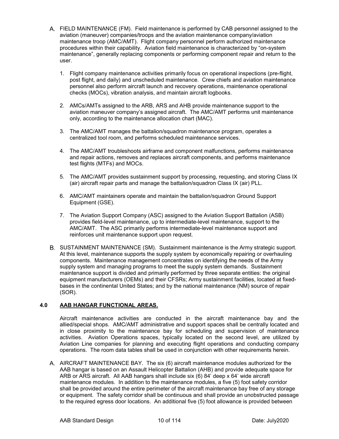- FIELD MAINTENANCE (FM). Field maintenance is performed by CAB personnel assigned to the aviation (maneuver) companies/troops and the aviation maintenance company/aviation maintenance troop (AMC/AMT). Flight company personnel perform authorized maintenance procedures within their capability. Aviation field maintenance is characterized by "on-system maintenance", generally replacing components or performing component repair and return to the user.
	- 1. Flight company maintenance activities primarily focus on operational inspections (pre-flight, post flight, and daily) and unscheduled maintenance. Crew chiefs and aviation maintenance personnel also perform aircraft launch and recovery operations, maintenance operational checks (MOCs), vibration analysis, and maintain aircraft logbooks.
	- 2. AMCs/AMTs assigned to the ARB, ARS and AHB provide maintenance support to the aviation maneuver company's assigned aircraft. The AMC/AMT performs unit maintenance only, according to the maintenance allocation chart (MAC).
	- 3. The AMC/AMT manages the battalion/squadron maintenance program, operates a centralized tool room, and performs scheduled maintenance services.
	- 4. The AMC/AMT troubleshoots airframe and component malfunctions, performs maintenance and repair actions, removes and replaces aircraft components, and performs maintenance test flights (MTFs) and MOCs.
	- 5. The AMC/AMT provides sustainment support by processing, requesting, and storing Class IX (air) aircraft repair parts and manage the battalion/squadron Class IX (air) PLL.
	- 6. AMC/AMT maintainers operate and maintain the battalion/squadron Ground Support Equipment (GSE).
	- 7. The Aviation Support Company (ASC) assigned to the Aviation Support Battalion (ASB) provides field-level maintenance, up to intermediate-level maintenance, support to the AMC/AMT. The ASC primarily performs intermediate-level maintenance support and reinforces unit maintenance support upon request.
- SUSTAINMENT MAINTENANCE (SM). Sustainment maintenance is the Army strategic support. At this level, maintenance supports the supply system by economically repairing or overhauling components. Maintenance management concentrates on identifying the needs of the Army supply system and managing programs to meet the supply system demands. Sustainment maintenance support is divided and primarily performed by three separate entities: the original equipment manufacturers (OEMs) and their CFSRs; Army sustainment facilities, located at fixedbases in the continental United States; and by the national maintenance (NM) source of repair (SOR).

#### **4.0 AAB HANGAR FUNCTIONAL AREAS.**

Aircraft maintenance activities are conducted in the aircraft maintenance bay and the allied/special shops. AMC/AMT administrative and support spaces shall be centrally located and in close proximity to the maintenance bay for scheduling and supervision of maintenance activities. Aviation Operations spaces, typically located on the second level, are utilized by Aviation Line companies for planning and executing flight operations and conducting company operations. The room data tables shall be used in conjunction with other requirements herein.

A. AIRCRAFT MAINTENANCE BAY. The six (6) aircraft maintenance modules authorized for the AAB hangar is based on an Assault Helicopter Battalion (AHB) and provide adequate space for ARB or ARS aircraft. All AAB hangars shall include six (6) 84' deep x 64' wide aircraft maintenance modules. In addition to the maintenance modules, a five (5) foot safety corridor shall be provided around the entire perimeter of the aircraft maintenance bay free of any storage or equipment. The safety corridor shall be continuous and shall provide an unobstructed passage to the required egress door locations. An additional five (5) foot allowance is provided between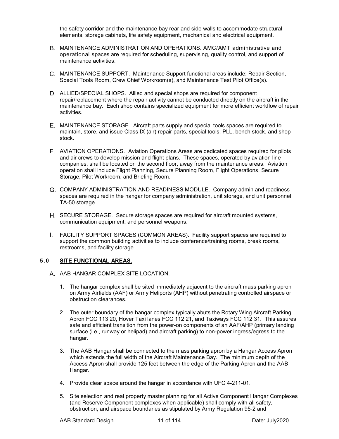the safety corridor and the maintenance bay rear and side walls to accommodate structural elements, storage cabinets, life safety equipment, mechanical and electrical equipment.

- MAINTENANCE ADMINISTRATION AND OPERATIONS. AMC/AMT administrative and operational spaces are required for scheduling, supervising, quality control, and support of maintenance activities.
- MAINTENANCE SUPPORT. Maintenance Support functional areas include: Repair Section, Special Tools Room, Crew Chief Workroom(s), and Maintenance Test Pilot Office(s).
- ALLIED/SPECIAL SHOPS. Allied and special shops are required for component repair/replacement where the repair activity cannot be conducted directly on the aircraft in the maintenance bay. Each shop contains specialized equipment for more efficient workflow of repair activities.
- MAINTENANCE STORAGE. Aircraft parts supply and special tools spaces are required to maintain, store, and issue Class IX (air) repair parts, special tools, PLL, bench stock, and shop stock.
- AVIATION OPERATIONS. Aviation Operations Areas are dedicated spaces required for pilots and air crews to develop mission and flight plans. These spaces, operated by aviation line companies, shall be located on the second floor, away from the maintenance areas. Aviation operation shall include Flight Planning, Secure Planning Room, Flight Operations, Secure Storage, Pilot Workroom, and Briefing Room.
- COMPANY ADMINISTRATION AND READINESS MODULE. Company admin and readiness spaces are required in the hangar for company administration, unit storage, and unit personnel TA-50 storage.
- H. SECURE STORAGE. Secure storage spaces are required for aircraft mounted systems, communication equipment, and personnel weapons.
- FACILITY SUPPORT SPACES (COMMON AREAS). Facility support spaces are required to support the common building activities to include conference/training rooms, break rooms, restrooms, and facility storage.

#### **5.0 SITE FUNCTIONAL AREAS.**

- A. AAB HANGAR COMPLEX SITE LOCATION.
	- 1. The hangar complex shall be sited immediately adjacent to the aircraft mass parking apron on Army Airfields (AAF) or Army Heliports (AHP) without penetrating controlled airspace or obstruction clearances.
	- 2. The outer boundary of the hangar complex typically abuts the Rotary Wing Aircraft Parking Apron FCC 113 20, Hover Taxi lanes FCC 112 21, and Taxiways FCC 112 31. This assures safe and efficient transition from the power-on components of an AAF/AHP (primary landing surface (i.e., runway or helipad) and aircraft parking) to non-power ingress/egress to the hangar.
	- 3. The AAB Hangar shall be connected to the mass parking apron by a Hangar Access Apron which extends the full width of the Aircraft Maintenance Bay. The minimum depth of the Access Apron shall provide 125 feet between the edge of the Parking Apron and the AAB Hangar.
	- 4. Provide clear space around the hangar in accordance with UFC 4-211-01.
	- 5. Site selection and real property master planning for all Active Component Hangar Complexes (and Reserve Component complexes when applicable) shall comply with all safety, obstruction, and airspace boundaries as stipulated by Army Regulation 95-2 and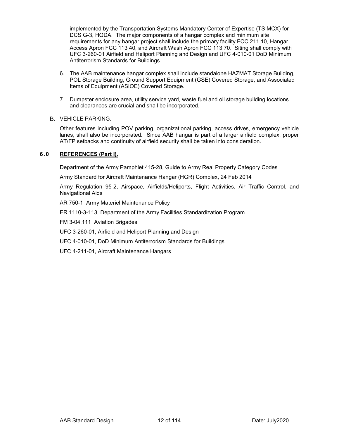implemented by the Transportation Systems Mandatory Center of Expertise (TS MCX) for DCS G-3, HQDA. The major components of a hangar complex and minimum site requirements for any hangar project shall include the primary facility FCC 211 10, Hangar Access Apron FCC 113 40, and Aircraft Wash Apron FCC 113 70. Siting shall comply with UFC 3-260-01 Airfield and Heliport Planning and Design and UFC 4-010-01 DoD Minimum Antiterrorism Standards for Buildings.

- 6. The AAB maintenance hangar complex shall include standalone HAZMAT Storage Building, POL Storage Building, Ground Support Equipment (GSE) Covered Storage, and Associated Items of Equipment (ASIOE) Covered Storage.
- 7. Dumpster enclosure area, utility service yard, waste fuel and oil storage building locations and clearances are crucial and shall be incorporated.

#### B. VEHICLE PARKING.

Other features including POV parking, organizational parking, access drives, emergency vehicle lanes, shall also be incorporated. Since AAB hangar is part of a larger airfield complex, proper AT/FP setbacks and continuity of airfield security shall be taken into consideration.

#### **6.0 REFERENCES (Part I).**

Department of the Army Pamphlet 415-28, Guide to Army Real Property Category Codes

Army Standard for Aircraft Maintenance Hangar (HGR) Complex, 24 Feb 2014

Army Regulation 95-2, Airspace, Airfields/Heliports, Flight Activities, Air Traffic Control, and Navigational Aids

AR 750-1 Army Materiel Maintenance Policy

ER 1110-3-113, Department of the Army Facilities Standardization Program

FM 3-04.111 Aviation Brigades

UFC 3-260-01, Airfield and Heliport Planning and Design

UFC 4-010-01, DoD Minimum Antiterrorism Standards for Buildings

UFC 4-211-01, Aircraft Maintenance Hangars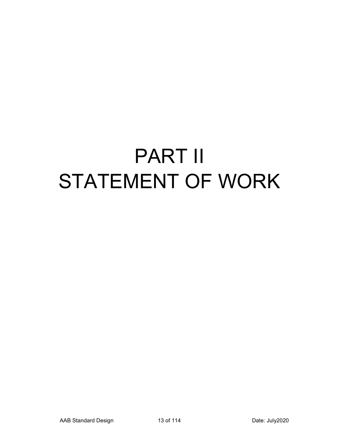## PART II STATEMENT OF WORK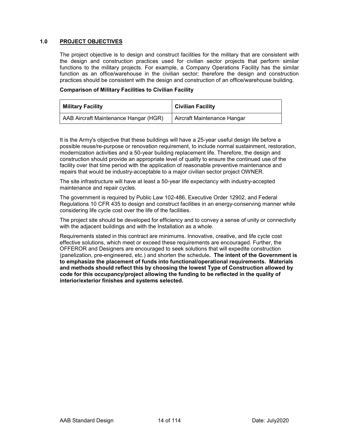#### **1.0 PROJECT OBJECTIVES**

The project objective is to design and construct facilities for the military that are consistent with the design and construction practices used for civilian sector projects that perform similar functions to the military projects. For example, a Company Operations Facility has the similar function as an office/warehouse in the civilian sector; therefore the design and construction practices should be consistent with the design and construction of an office/warehouse building.

#### **Comparison of Military Facilities to Civilian Facility**

| <b>Military Facility</b>              | <b>Civilian Facility</b>    |
|---------------------------------------|-----------------------------|
| AAB Aircraft Maintenance Hangar (HGR) | Aircraft Maintenance Hangar |

It is the Army's objective that these buildings will have a 25-year useful design life before a possible reuse/re-purpose or renovation requirement, to include normal sustainment, restoration, modernization activities and a 50-year building replacement life. Therefore, the design and construction should provide an appropriate level of quality to ensure the continued use of the facility over that time period with the application of reasonable preventive maintenance and repairs that would be industry-acceptable to a major civilian sector project OWNER.

The site infrastructure will have at least a 50-year life expectancy with industry-accepted maintenance and repair cycles.

The government is required by Public Law 102-486, Executive Order 12902, and Federal Regulations 10 CFR 435 to design and construct facilities in an energy-conserving manner while considering life cycle cost over the life of the facilities.

The project site should be developed for efficiency and to convey a sense of unity or connectivity with the adjacent buildings and with the Installation as a whole.

Requirements stated in this contract are minimums. Innovative, creative, and life cycle cost effective solutions, which meet or exceed these requirements are encouraged. Further, the OFFEROR and Designers are encouraged to seek solutions that will expedite construction (panelization, pre-engineered, etc.) and shorten the schedule**. The intent of the Government is to emphasize the placement of funds into functional/operational requirements. Materials and methods should reflect this by choosing the lowest Type of Construction allowed by code for this occupancy/project allowing the funding to be reflected in the quality of interior/exterior finishes and systems selected.**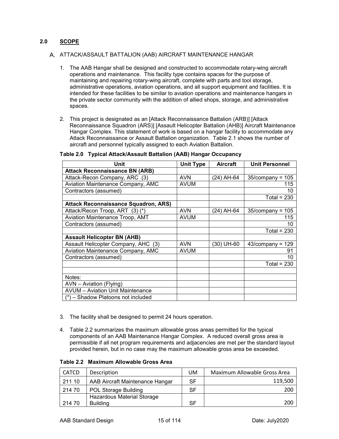#### **2.0 SCOPE**

#### A. ATTACK/ASSAULT BATTALION (AAB) AIRCRAFT MAINTENANCE HANGAR

- 1. The AAB Hangar shall be designed and constructed to accommodate rotary-wing aircraft operations and maintenance. This facility type contains spaces for the purpose of maintaining and repairing rotary-wing aircraft, complete with parts and tool storage, administrative operations, aviation operations, and all support equipment and facilities. It is intended for these facilities to be similar to aviation operations and maintenance hangars in the private sector community with the addition of allied shops, storage, and administrative spaces.
- 2. This project is designated as an [Attack Reconnaissance Battalion (ARB)] [Attack Reconnaissance Squadron (ARS)] [Assault Helicopter Battalion (AHB)] Aircraft Maintenance Hangar Complex. This statement of work is based on a hangar facility to accommodate any Attack Reconnaissance or Assault Battalion organization. Table 2.1 shows the number of aircraft and personnel typically assigned to each Aviation Battalion.

| Unit                                        | <b>Unit Type</b> | <b>Aircraft</b> | <b>Unit Personnel</b> |
|---------------------------------------------|------------------|-----------------|-----------------------|
| <b>Attack Reconnaissance BN (ARB)</b>       |                  |                 |                       |
| Attack-Recon Company, ARC (3)               | <b>AVN</b>       | (24) AH-64      | $35$ /company = 105   |
| Aviation Maintenance Company, AMC           | <b>AVUM</b>      |                 | 115                   |
| Contractors (assumed)                       |                  |                 | 10                    |
|                                             |                  |                 | Total = $230$         |
| <b>Attack Reconnaissance Squadron, ARS)</b> |                  |                 |                       |
| Attack/Recon Troop, ART (3) (*)             | <b>AVN</b>       | (24) AH-64      | $35$ /company = 105   |
| Aviation Maintenance Troop, AMT             | <b>AVUM</b>      |                 | 115                   |
| Contractors (assumed)                       |                  |                 | 10                    |
|                                             |                  |                 | Total = $230$         |
| <b>Assault Helicopter BN (AHB)</b>          |                  |                 |                       |
| Assault Helicopter Company, AHC (3)         | <b>AVN</b>       | (30) UH-60      | $43$ /company = 129   |
| Aviation Maintenance Company, AMC           | <b>AVUM</b>      |                 | 91                    |
| Contractors (assumed)                       |                  |                 | 10                    |
|                                             |                  |                 | Total = $230$         |
|                                             |                  |                 |                       |
| Notes:                                      |                  |                 |                       |
| AVN - Aviation (Flying)                     |                  |                 |                       |
| <b>AVUM</b> - Aviation Unit Maintenance     |                  |                 |                       |
| (*) - Shadow Platoons not included          |                  |                 |                       |

#### **Table 2.0 Typical Attack/Assault Battalion (AAB) Hangar Occupancy**

- 3. The facility shall be designed to permit 24 hours operation.
- 4. Table 2.2 summarizes the maximum allowable gross areas permitted for the typical components of an AAB Maintenance Hangar Complex. A reduced overall gross area is permissible if all net program requirements and adjacencies are met per the standard layout provided herein, but in no case may the maximum allowable gross area be exceeded.

| <b>CATCD</b> | Description                     | UM        | Maximum Allowable Gross Area |
|--------------|---------------------------------|-----------|------------------------------|
| 211 10       | AAB Aircraft Maintenance Hangar | <b>SF</b> | 119,500                      |
| 214 70       | <b>POL Storage Building</b>     | <b>SF</b> | 200                          |
|              | Hazardous Material Storage      |           |                              |
| 214 70       | <b>Building</b>                 | <b>SF</b> | 200                          |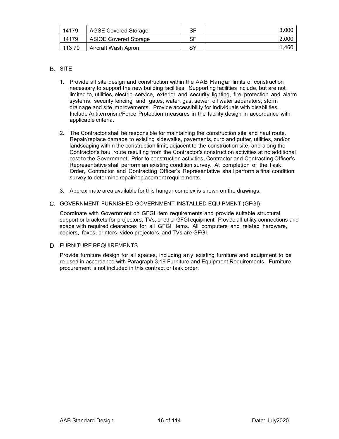| 14179  | <b>AGSE Covered Storage</b>  | SF | 3.00C |
|--------|------------------------------|----|-------|
| 14179  | <b>ASIOE Covered Storage</b> | SF | 2,000 |
| 113 70 | Aircraft Wash Apron          | SY | 1,460 |

#### B. SITE

- 1. Provide all site design and construction within the AAB Hangar limits of construction necessary to support the new building facilities. Supporting facilities include, but are not limited to, utilities, electric service, exterior and security lighting, fire protection and alarm systems, security fencing and gates, water, gas, sewer, oil water separators, storm drainage and site improvements. Provide accessibility for individuals with disabilities. Include Antiterrorism/Force Protection measures in the facility design in accordance with applicable criteria.
- 2. The Contractor shall be responsible for maintaining the construction site and haul route. Repair/replace damage to existing sidewalks, pavements, curb and gutter, utilities, and/or landscaping within the construction limit, adjacent to the construction site, and along the Contractor's haul route resulting from the Contractor's construction activities at no additional cost to the Government. Prior to construction activities, Contractor and Contracting Officer's Representative shall perform an existing condition survey. At completion of the Task Order, Contractor and Contracting Officer's Representative shall perform a final condition survey to determine repair/replacement requirements.
- 3. Approximate area available for this hangar complex is shown on the drawings.

#### GOVERNMENT-FURNISHED GOVERNMENT-INSTALLED EQUIPMENT (GFGI)

Coordinate with Government on GFGI item requirements and provide suitable structural support or brackets for projectors, TVs, or other GFGI equipment. Provide all utility connections and space with required clearances for all GFGI items. All computers and related hardware, copiers, faxes, printers, video projectors, and TVs are GFGI.

#### D. FURNITURE REQUIREMENTS

Provide furniture design for all spaces, including any existing furniture and equipment to be re-used in accordance with Paragraph 3.19 Furniture and Equipment Requirements. Furniture procurement is not included in this contract or task order.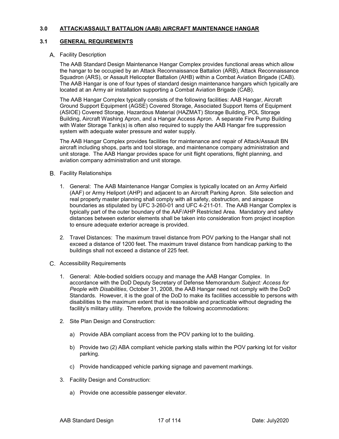#### **3.0 ATTACK/ASSAULT BATTALION (AAB) AIRCRAFT MAINTENANCE HANGAR**

#### **3.1 GENERAL REQUIREMENTS**

#### A. Facility Description

The AAB Standard Design Maintenance Hangar Complex provides functional areas which allow the hangar to be occupied by an Attack Reconnaissance Battalion (ARB), Attack Reconnaissance Squadron (ARS), or Assault Helicopter Battalion (AHB) within a Combat Aviation Brigade (CAB). The AAB Hangar is one of four types of standard design maintenance hangars which typically are located at an Army air installation supporting a Combat Aviation Brigade (CAB).

The AAB Hangar Complex typically consists of the following facilities: AAB Hangar, Aircraft Ground Support Equipment (AGSE) Covered Storage, Associated Support Items of Equipment (ASIOE) Covered Storage, Hazardous Material (HAZMAT) Storage Building, POL Storage Building, Aircraft Washing Apron, and a Hangar Access Apron. A separate Fire Pump Building with Water Storage Tank(s) is often also required to supply the AAB Hangar fire suppression system with adequate water pressure and water supply.

The AAB Hangar Complex provides facilities for maintenance and repair of Attack/Assault BN aircraft including shops, parts and tool storage, and maintenance company administration and unit storage. The AAB Hangar provides space for unit flight operations, flight planning, and aviation company administration and unit storage.

- **B.** Facility Relationships
	- 1. General: The AAB Maintenance Hangar Complex is typically located on an Army Airfield (AAF) or Army Heliport (AHP) and adjacent to an Aircraft Parking Apron. Site selection and real property master planning shall comply with all safety, obstruction, and airspace boundaries as stipulated by UFC 3-260-01 and UFC 4-211-01. The AAB Hangar Complex is typically part of the outer boundary of the AAF/AHP Restricted Area. Mandatory and safety distances between exterior elements shall be taken into consideration from project inception to ensure adequate exterior acreage is provided.
	- 2. Travel Distances: The maximum travel distance from POV parking to the Hangar shall not exceed a distance of 1200 feet. The maximum travel distance from handicap parking to the buildings shall not exceed a distance of 225 feet.
- Accessibility Requirements
	- 1. General: Able-bodied soldiers occupy and manage the AAB Hangar Complex. In accordance with the DoD Deputy Secretary of Defense Memorandum *Subject: Access for People with Disabilities*, October 31, 2008, the AAB Hangar need not comply with the DoD Standards. However, it is the goal of the DoD to make its facilities accessible to persons with disabilities to the maximum extent that is reasonable and practicable without degrading the facility's military utility. Therefore, provide the following accommodations:
	- 2. Site Plan Design and Construction:
		- a) Provide ABA compliant access from the POV parking lot to the building.
		- b) Provide two (2) ABA compliant vehicle parking stalls within the POV parking lot for visitor parking.
		- c) Provide handicapped vehicle parking signage and pavement markings.
	- 3. Facility Design and Construction:
		- a) Provide one accessible passenger elevator.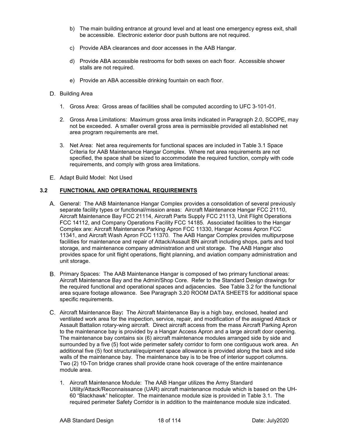- b) The main building entrance at ground level and at least one emergency egress exit, shall be accessible. Electronic exterior door push buttons are not required.
- c) Provide ABA clearances and door accesses in the AAB Hangar.
- d) Provide ABA accessible restrooms for both sexes on each floor. Accessible shower stalls are not required.
- e) Provide an ABA accessible drinking fountain on each floor.
- D. Building Area
	- 1. Gross Area: Gross areas of facilities shall be computed according to UFC 3-101-01.
	- 2. Gross Area Limitations: Maximum gross area limits indicated in Paragraph 2.0, SCOPE, may not be exceeded. A smaller overall gross area is permissible provided all established net area program requirements are met.
	- 3. Net Area: Net area requirements for functional spaces are included in Table 3.1 Space Criteria for AAB Maintenance Hangar Complex. Where net area requirements are not specified, the space shall be sized to accommodate the required function, comply with code requirements, and comply with gross area limitations.
- E. Adapt Build Model: Not Used

#### **3.2 FUNCTIONAL AND OPERATIONAL REQUIREMENTS**

- General: The AAB Maintenance Hangar Complex provides a consolidation of several previously separate facility types or functional/mission areas: Aircraft Maintenance Hangar FCC 21110, Aircraft Maintenance Bay FCC 21114, Aircraft Parts Supply FCC 21113, Unit Flight Operations FCC 14112, and Company Operations Facility FCC 14185. Associated facilities to the Hangar Complex are: Aircraft Maintenance Parking Apron FCC 11330, Hangar Access Apron FCC 11341, and Aircraft Wash Apron FCC 11370. The AAB Hangar Complex provides multipurpose facilities for maintenance and repair of Attack/Assault BN aircraft including shops, parts and tool storage, and maintenance company administration and unit storage. The AAB Hangar also provides space for unit flight operations, flight planning, and aviation company administration and unit storage.
- B. Primary Spaces: The AAB Maintenance Hangar is composed of two primary functional areas: Aircraft Maintenance Bay and the Admin/Shop Core. Refer to the Standard Design drawings for the required functional and operational spaces and adjacencies. See Table 3.2 for the functional area square footage allowance. See Paragraph 3.20 ROOM DATA SHEETS for additional space specific requirements.
- Aircraft Maintenance Bay**:** The Aircraft Maintenance Bay is a high bay, enclosed, heated and ventilated work area for the inspection, service, repair, and modification of the assigned Attack or Assault Battalion rotary-wing aircraft. Direct aircraft access from the mass Aircraft Parking Apron to the maintenance bay is provided by a Hangar Access Apron and a large aircraft door opening. The maintenance bay contains six (6) aircraft maintenance modules arranged side by side and surrounded by a five (5) foot wide perimeter safety corridor to form one contiguous work area. An additional five (5) foot structural/equipment space allowance is provided along the back and side walls of the maintenance bay. The maintenance bay is to be free of interior support columns. Two (2) 10-Ton bridge cranes shall provide crane hook coverage of the entire maintenance module area.
	- 1. Aircraft Maintenance Module: The AAB Hangar utilizes the Army Standard Utility/Attack/Reconnaissance (UAR) aircraft maintenance module which is based on the UH-60 "Blackhawk" helicopter. The maintenance module size is provided in Table 3.1. The required perimeter Safety Corridor is in addition to the maintenance module size indicated.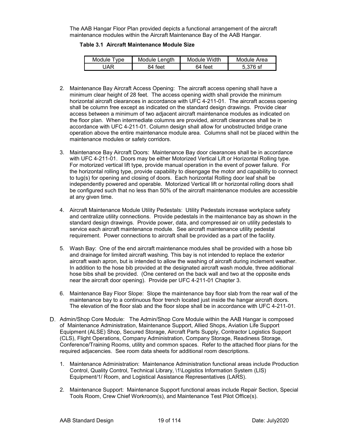The AAB Hangar Floor Plan provided depicts a functional arrangement of the aircraft maintenance modules within the Aircraft Maintenance Bay of the AAB Hangar.

**Table 3.1 Aircraft Maintenance Module Size**

| Module T<br>I vpe | Module Lenath | Module Width | Module Area |
|-------------------|---------------|--------------|-------------|
| I∆R               | 84 feet       | 64 feet      | 5.376 sf    |

- 2. Maintenance Bay Aircraft Access Opening: The aircraft access opening shall have a minimum clear height of 28 feet. The access opening width shall provide the minimum horizontal aircraft clearances in accordance with UFC 4-211-01. The aircraft access opening shall be column free except as indicated on the standard design drawings. Provide clear access between a minimum of two adjacent aircraft maintenance modules as indicated on the floor plan. When intermediate columns are provided, aircraft clearances shall be in accordance with UFC 4-211-01. Column design shall allow for unobstructed bridge crane operation above the entire maintenance module area. Columns shall not be placed within the maintenance modules or safety corridors.
- 3. Maintenance Bay Aircraft Doors: Maintenance Bay door clearances shall be in accordance with UFC 4-211-01. Doors may be either Motorized Vertical Lift or Horizontal Rolling type. For motorized vertical lift type, provide manual operation in the event of power failure. For the horizontal rolling type, provide capability to disengage the motor and capability to connect to tug(s) for opening and closing of doors. Each horizontal Rolling door leaf shall be independently powered and operable. Motorized Vertical lift or horizontal rolling doors shall be configured such that no less than 50% of the aircraft maintenance modules are accessible at any given time.
- 4. Aircraft Maintenance Module Utility Pedestals: Utility Pedestals increase workplace safety and centralize utility connections. Provide pedestals in the maintenance bay as shown in the standard design drawings. Provide power, data, and compressed air on utility pedestals to service each aircraft maintenance module. See aircraft maintenance utility pedestal requirement. Power connections to aircraft shall be provided as a part of the facility.
- 5. Wash Bay:One of the end aircraft maintenance modules shall be provided with a hose bib and drainage for limited aircraft washing. This bay is not intended to replace the exterior aircraft wash apron, but is intended to allow the washing of aircraft during inclement weather. In addition to the hose bib provided at the designated aircraft wash module, three additional hose bibs shall be provided. (One centered on the back wall and two at the opposite ends near the aircraft door opening). Provide per UFC 4-211-01 Chapter 3.
- 6. Maintenance Bay Floor Slope: Slope the maintenance bay floor slab from the rear wall of the maintenance bay to a continuous floor trench located just inside the hangar aircraft doors. The elevation of the floor slab and the floor slope shall be in accordance with UFC 4-211-01.
- D. Admin/Shop Core Module: The Admin/Shop Core Module within the AAB Hangar is composed of Maintenance Administration, Maintenance Support, Allied Shops, Aviation Life Support Equipment (ALSE) Shop, Secured Storage, Aircraft Parts Supply, Contractor Logistics Support (CLS), Flight Operations, Company Administration, Company Storage, Readiness Storage, Conference/Training Rooms, utility and common spaces. Refer to the attached floor plans for the required adjacencies. See room data sheets for additional room descriptions.
	- 1. Maintenance Administration: Maintenance Administration functional areas include Production Control, Quality Control, Technical Library, \1\Logistics Information System (LIS) Equipment/1/ Room, and Logistical Assistance Representatives (LARS).
	- 2. Maintenance Support: Maintenance Support functional areas include Repair Section, Special Tools Room, Crew Chief Workroom(s), and Maintenance Test Pilot Office(s).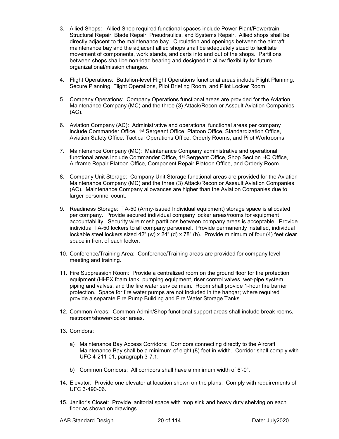- 3. Allied Shops: Allied Shop required functional spaces include Power Plant/Powertrain, Structural Repair, Blade Repair, Pneudraulics, and Systems Repair. Allied shops shall be directly adjacent to the maintenance bay. Circulation and openings between the aircraft maintenance bay and the adjacent allied shops shall be adequately sized to facilitate movement of components, work stands, and carts into and out of the shops. Partitions between shops shall be non-load bearing and designed to allow flexibility for future organizational/mission changes.
- 4. Flight Operations: Battalion-level Flight Operations functional areas include Flight Planning, Secure Planning, Flight Operations, Pilot Briefing Room, and Pilot Locker Room.
- 5. Company Operations: Company Operations functional areas are provided for the Aviation Maintenance Company (MC) and the three (3) Attack/Recon or Assault Aviation Companies (AC).
- 6. Aviation Company (AC): Administrative and operational functional areas per company include Commander Office, 1st Sergeant Office, Platoon Office, Standardization Office, Aviation Safety Office, Tactical Operations Office, Orderly Rooms, and Pilot Workrooms.
- 7. Maintenance Company (MC): Maintenance Company administrative and operational functional areas include Commander Office, 1<sup>st</sup> Sergeant Office, Shop Section HQ Office, Airframe Repair Platoon Office, Component Repair Platoon Office, and Orderly Room.
- 8. Company Unit Storage: Company Unit Storage functional areas are provided for the Aviation Maintenance Company (MC) and the three (3) Attack/Recon or Assault Aviation Companies (AC). Maintenance Company allowances are higher than the Aviation Companies due to larger personnel count.
- 9. Readiness Storage: TA-50 (Army-issued Individual equipment) storage space is allocated per company. Provide secured individual company locker areas/rooms for equipment accountability. Security wire mesh partitions between company areas is acceptable. Provide individual TA-50 lockers to all company personnel. Provide permanently installed, individual lockable steel lockers sized 42" (w) x 24" (d) x 78" (h). Provide minimum of four (4) feet clear space in front of each locker.
- 10. Conference/Training Area: Conference/Training areas are provided for company level meeting and training.
- 11. Fire Suppression Room: Provide a centralized room on the ground floor for fire protection equipment (Hi-EX foam tank, pumping equipment, riser control valves, wet-pipe system piping and valves, and the fire water service main. Room shall provide 1-hour fire barrier protection. Space for fire water pumps are not included in the hangar; where required provide a separate Fire Pump Building and Fire Water Storage Tanks.
- 12. Common Areas: Common Admin/Shop functional support areas shall include break rooms, restroom/shower/locker areas.
- 13. Corridors:
	- a) Maintenance Bay Access Corridors: Corridors connecting directly to the Aircraft Maintenance Bay shall be a minimum of eight (8) feet in width. Corridor shall comply with UFC 4-211-01, paragraph 3-7.1.
	- b) Common Corridors: All corridors shall have a minimum width of 6'-0".
- 14. Elevator: Provide one elevator at location shown on the plans. Comply with requirements of UFC 3-490-06.
- 15. Janitor's Closet: Provide janitorial space with mop sink and heavy duty shelving on each floor as shown on drawings.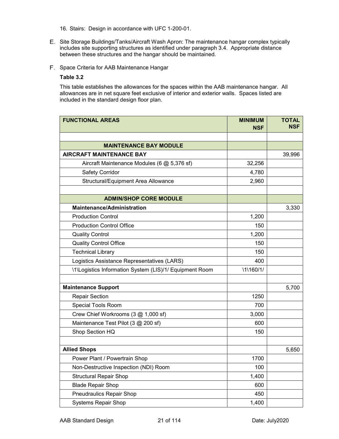16. Stairs: Design in accordance with UFC 1-200-01.

- Site Storage Buildings/Tanks/Aircraft Wash Apron: The maintenance hangar complex typically includes site supporting structures as identified under paragraph 3.4. Appropriate distance between these structures and the hangar should be maintained.
- F. Space Criteria for AAB Maintenance Hangar

#### **Table 3.2**

This table establishes the allowances for the spaces within the AAB maintenance hangar. All allowances are in net square feet exclusive of interior and exterior walls. Spaces listed are included in the standard design floor plan.

| <b>FUNCTIONAL AREAS</b>                                            | <b>MINIMUM</b><br><b>NSF</b> | <b>TOTAL</b><br><b>NSF</b> |
|--------------------------------------------------------------------|------------------------------|----------------------------|
|                                                                    |                              |                            |
| <b>MAINTENANCE BAY MODULE</b>                                      |                              |                            |
| <b>AIRCRAFT MAINTENANCE BAY</b>                                    |                              | 39,996                     |
| Aircraft Maintenance Modules (6 @ 5,376 sf)                        | 32,256                       |                            |
| <b>Safety Corridor</b>                                             | 4,780                        |                            |
| Structural/Equipment Area Allowance                                | 2,960                        |                            |
|                                                                    |                              |                            |
| <b>ADMIN/SHOP CORE MODULE</b><br><b>Maintenance/Administration</b> |                              |                            |
|                                                                    |                              | 3,330                      |
| <b>Production Control</b>                                          | 1,200                        |                            |
| <b>Production Control Office</b>                                   | 150                          |                            |
| <b>Quality Control</b>                                             | 1,200                        |                            |
| <b>Quality Control Office</b>                                      | 150                          |                            |
| <b>Technical Library</b>                                           | 150                          |                            |
| Logistics Assistance Representatives (LARS)                        | 400                          |                            |
| \1\Logistics Information System (LIS)/1/ Equipment Room            | \1\160/1/                    |                            |
| <b>Maintenance Support</b>                                         |                              | 5,700                      |
| <b>Repair Section</b>                                              | 1250                         |                            |
| Special Tools Room                                                 | 700                          |                            |
| Crew Chief Workrooms (3 @ 1,000 sf)                                | 3,000                        |                            |
| Maintenance Test Pilot (3 @ 200 sf)                                | 600                          |                            |
| Shop Section HQ                                                    | 150                          |                            |
|                                                                    |                              |                            |
| <b>Allied Shops</b>                                                |                              | 5,650                      |
| Power Plant / Powertrain Shop                                      | 1700                         |                            |
| Non-Destructive Inspection (NDI) Room                              | 100                          |                            |
| <b>Structural Repair Shop</b>                                      | 1,400                        |                            |
| <b>Blade Repair Shop</b>                                           | 600                          |                            |
| <b>Pneudraulics Repair Shop</b>                                    | 450                          |                            |
| <b>Systems Repair Shop</b>                                         | 1,400                        |                            |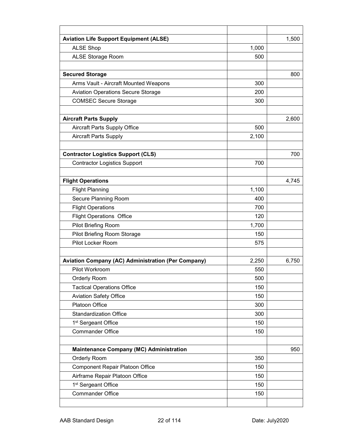| <b>Aviation Life Support Equipment (ALSE)</b>             |       | 1,500 |
|-----------------------------------------------------------|-------|-------|
| <b>ALSE Shop</b>                                          | 1,000 |       |
| <b>ALSE Storage Room</b>                                  | 500   |       |
|                                                           |       |       |
| <b>Secured Storage</b>                                    |       | 800   |
| Arms Vault - Aircraft Mounted Weapons                     | 300   |       |
| <b>Aviation Operations Secure Storage</b>                 | 200   |       |
| <b>COMSEC Secure Storage</b>                              | 300   |       |
|                                                           |       |       |
| <b>Aircraft Parts Supply</b>                              |       | 2,600 |
| <b>Aircraft Parts Supply Office</b>                       | 500   |       |
| <b>Aircraft Parts Supply</b>                              | 2,100 |       |
|                                                           |       |       |
| <b>Contractor Logistics Support (CLS)</b>                 |       | 700   |
| <b>Contractor Logistics Support</b>                       | 700   |       |
|                                                           |       |       |
| <b>Flight Operations</b>                                  |       | 4,745 |
| <b>Flight Planning</b>                                    | 1,100 |       |
| Secure Planning Room                                      | 400   |       |
| <b>Flight Operations</b>                                  | 700   |       |
| <b>Flight Operations Office</b>                           | 120   |       |
| Pilot Briefing Room                                       | 1,700 |       |
| Pilot Briefing Room Storage                               | 150   |       |
| Pilot Locker Room                                         | 575   |       |
| <b>Aviation Company (AC) Administration (Per Company)</b> | 2,250 | 6,750 |
| Pilot Workroom                                            | 550   |       |
| Orderly Room                                              | 500   |       |
| <b>Tactical Operations Office</b>                         | 150   |       |
| <b>Aviation Safety Office</b>                             | 150   |       |
| Platoon Office                                            | 300   |       |
| <b>Standardization Office</b>                             | 300   |       |
| 1 <sup>st</sup> Sergeant Office                           | 150   |       |
| <b>Commander Office</b>                                   | 150   |       |
|                                                           |       |       |
| <b>Maintenance Company (MC) Administration</b>            |       | 950   |
| Orderly Room                                              | 350   |       |
| <b>Component Repair Platoon Office</b>                    | 150   |       |
| Airframe Repair Platoon Office                            | 150   |       |
| 1 <sup>st</sup> Sergeant Office                           | 150   |       |
| <b>Commander Office</b>                                   | 150   |       |
|                                                           |       |       |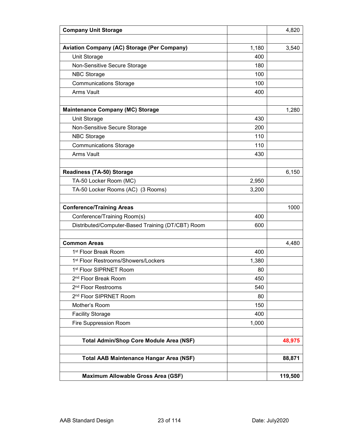| <b>Company Unit Storage</b>                        |       | 4,820   |
|----------------------------------------------------|-------|---------|
|                                                    |       |         |
| <b>Aviation Company (AC) Storage (Per Company)</b> | 1,180 | 3,540   |
| Unit Storage                                       | 400   |         |
| Non-Sensitive Secure Storage                       | 180   |         |
| <b>NBC Storage</b>                                 | 100   |         |
| <b>Communications Storage</b>                      | 100   |         |
| <b>Arms Vault</b>                                  | 400   |         |
|                                                    |       |         |
| <b>Maintenance Company (MC) Storage</b>            |       | 1,280   |
| Unit Storage                                       | 430   |         |
| Non-Sensitive Secure Storage                       | 200   |         |
| <b>NBC Storage</b>                                 | 110   |         |
| <b>Communications Storage</b>                      | 110   |         |
| <b>Arms Vault</b>                                  | 430   |         |
|                                                    |       |         |
| Readiness (TA-50) Storage                          |       | 6,150   |
| TA-50 Locker Room (MC)                             | 2,950 |         |
| TA-50 Locker Rooms (AC) (3 Rooms)                  | 3,200 |         |
|                                                    |       |         |
| <b>Conference/Training Areas</b>                   |       | 1000    |
| Conference/Training Room(s)                        | 400   |         |
| Distributed/Computer-Based Training (DT/CBT) Room  | 600   |         |
|                                                    |       |         |
| <b>Common Areas</b>                                |       | 4,480   |
| 1 <sup>st</sup> Floor Break Room                   | 400   |         |
| 1 <sup>st</sup> Floor Restrooms/Showers/Lockers    | 1,380 |         |
| 1st Floor SIPRNET Room                             | 80    |         |
| 2 <sup>nd</sup> Floor Break Room                   | 450   |         |
| 2 <sup>nd</sup> Floor Restrooms                    | 540   |         |
| 2 <sup>nd</sup> Floor SIPRNET Room                 | 80    |         |
| Mother's Room                                      | 150   |         |
| <b>Facility Storage</b>                            | 400   |         |
| Fire Suppression Room                              | 1,000 |         |
|                                                    |       |         |
| <b>Total Admin/Shop Core Module Area (NSF)</b>     |       | 48,975  |
|                                                    |       |         |
| <b>Total AAB Maintenance Hangar Area (NSF)</b>     |       | 88,871  |
|                                                    |       |         |
| Maximum Allowable Gross Area (GSF)                 |       | 119,500 |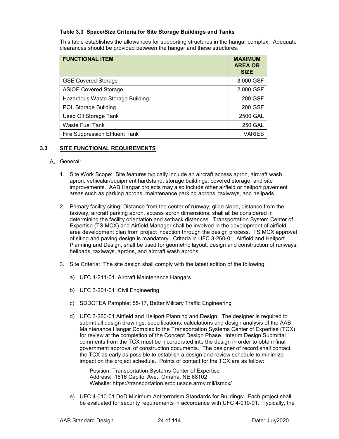#### **Table 3.3 Space/Size Criteria for Site Storage Buildings and Tanks**

This table establishes the allowances for supporting structures in the hangar complex. Adequate clearances should be provided between the hangar and these structures.

| <b>FUNCTIONAL ITEM</b>           | <b>MAXIMUM</b><br><b>AREA OR</b><br><b>SIZE</b> |
|----------------------------------|-------------------------------------------------|
| <b>GSE Covered Storage</b>       | 3,000 GSF                                       |
| <b>ASIOE Covered Storage</b>     | 2,000 GSF                                       |
| Hazardous Waste Storage Building | 200 GSF                                         |
| <b>POL Storage Building</b>      | 200 GSF                                         |
| <b>Used Oil Storage Tank</b>     | 2500 GAL                                        |
| <b>Waste Fuel Tank</b>           | <b>250 GAL</b>                                  |
| Fire Suppression Effluent Tank   | <b>VARIES</b>                                   |

#### **3.3 SITE FUNCTIONAL REQUIREMENTS**

#### A. General:

- 1. Site Work Scope: Site features typically include an aircraft access apron, aircraft wash apron, vehicular/equipment hardstand, storage buildings, covered storage, and site improvements. AAB Hangar projects may also include other airfield or heliport pavement areas such as parking aprons, maintenance parking aprons, taxiways, and helipads.
- 2. Primary facility siting: Distance from the center of runway, glide slope, distance from the taxiway, aircraft parking apron, access apron dimensions, shall all be considered in determining the facility orientation and setback distances. Transportation System Center of Expertise (TS MCX) and Airfield Manager shall be involved in the development of airfield area development plan from project inception through the design process. TS MCX approval of siting and paving design is mandatory. Criteria in UFC 3-260-01, Airfield and Heliport Planning and Design, shall be used for geometric layout, design and construction of runways, helipads, taxiways, aprons, and aircraft wash aprons.
- 3. Site Criteria: The site design shall comply with the latest edition of the following:
	- a) UFC 4-211-01 Aircraft Maintenance Hangars
	- b) UFC 3-201-01 Civil Engineering
	- c) SDDCTEA Pamphlet 55-17, Better Military Traffic Engineering
	- d) UFC 3-260-01 Airfield and Heliport Planning and Design: The designer is required to submit all design drawings, specifications, calculations and design analysis of the AAB Maintenance Hangar Complex to the Transportation Systems Center of Expertise (TCX) for review at the completion of the Concept Design Phase. Interim Design Submittal comments from the TCX must be incorporated into the design in order to obtain final government approval of construction documents. The designer of record shall contact the TCX as early as possible to establish a design and review schedule to minimize impact on the project schedule. Points of contact for the TCX are as follow:

Position: Transportation Systems Center of Expertise Address: 1616 Capitol Ave., Omaha, NE 68102 Website: https://transportation.erdc.usace.army.mil/tsmcx/

e) UFC 4-010-01 DoD Minimum Antiterrorism Standards for Buildings: Each project shall be evaluated for security requirements in accordance with UFC 4-010-01. Typically, the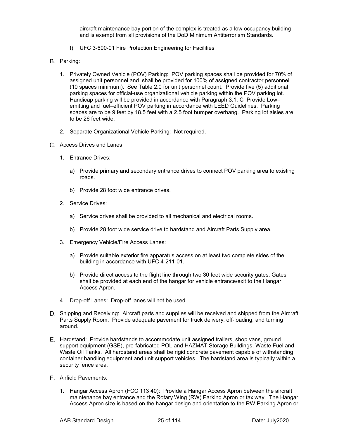aircraft maintenance bay portion of the complex is treated as a low occupancy building and is exempt from all provisions of the DoD Minimum Antiterrorism Standards.

- f) UFC 3-600-01 Fire Protection Engineering for Facilities
- B. Parking:
	- 1. Privately Owned Vehicle (POV) Parking: POV parking spaces shall be provided for 70% of assigned unit personnel and shall be provided for 100% of assigned contractor personnel (10 spaces minimum). See Table 2.0 for unit personnel count. Provide five (5) additional parking spaces for official-use organizational vehicle parking within the POV parking lot. Handicap parking will be provided in accordance with Paragraph 3.1. C Provide Low– emitting and fuel–efficient POV parking in accordance with LEED Guidelines. Parking spaces are to be 9 feet by 18.5 feet with a 2.5 foot bumper overhang. Parking lot aisles are to be 26 feet wide.
	- 2. Separate Organizational Vehicle Parking: Not required.
- Access Drives and Lanes
	- 1. Entrance Drives:
		- a) Provide primary and secondary entrance drives to connect POV parking area to existing roads.
		- b) Provide 28 foot wide entrance drives.
	- 2. Service Drives:
		- a) Service drives shall be provided to all mechanical and electrical rooms.
		- b) Provide 28 foot wide service drive to hardstand and Aircraft Parts Supply area.
	- 3. Emergency Vehicle/Fire Access Lanes:
		- a) Provide suitable exterior fire apparatus access on at least two complete sides of the building in accordance with UFC 4-211-01.
		- b) Provide direct access to the flight line through two 30 feet wide security gates. Gates shall be provided at each end of the hangar for vehicle entrance/exit to the Hangar Access Apron.
	- 4. Drop-off Lanes: Drop-off lanes will not be used.
- D. Shipping and Receiving: Aircraft parts and supplies will be received and shipped from the Aircraft Parts Supply Room. Provide adequate pavement for truck delivery, off-loading, and turning around.
- Hardstand: Provide hardstands to accommodate unit assigned trailers, shop vans, ground support equipment (GSE), pre-fabricated POL and HAZMAT Storage Buildings, Waste Fuel and Waste Oil Tanks. All hardstand areas shall be rigid concrete pavement capable of withstanding container handling equipment and unit support vehicles. The hardstand area is typically within a security fence area.
- Airfield Pavements:
	- 1. Hangar Access Apron (FCC 113 40): Provide a Hangar Access Apron between the aircraft maintenance bay entrance and the Rotary Wing (RW) Parking Apron or taxiway. The Hangar Access Apron size is based on the hangar design and orientation to the RW Parking Apron or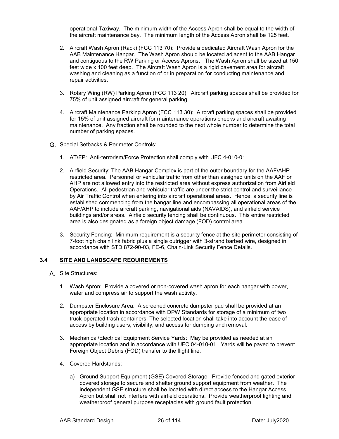operational Taxiway. The minimum width of the Access Apron shall be equal to the width of the aircraft maintenance bay. The minimum length of the Access Apron shall be 125 feet.

- 2. Aircraft Wash Apron (Rack) (FCC 113 70): Provide a dedicated Aircraft Wash Apron for the AAB Maintenance Hangar. The Wash Apron should be located adjacent to the AAB Hangar and contiguous to the RW Parking or Access Aprons. The Wash Apron shall be sized at 150 feet wide x 100 feet deep. The Aircraft Wash Apron is a rigid pavement area for aircraft washing and cleaning as a function of or in preparation for conducting maintenance and repair activities.
- 3. Rotary Wing (RW) Parking Apron (FCC 113 20): Aircraft parking spaces shall be provided for 75% of unit assigned aircraft for general parking.
- 4. Aircraft Maintenance Parking Apron (FCC 113 30): Aircraft parking spaces shall be provided for 15% of unit assigned aircraft for maintenance operations checks and aircraft awaiting maintenance. Any fraction shall be rounded to the next whole number to determine the total number of parking spaces.
- G. Special Setbacks & Perimeter Controls:
	- 1. AT/FP:Anti-terrorism/Force Protection shall comply with UFC 4-010-01.
	- 2. Airfield Security: The AAB Hangar Complex is part of the outer boundary for the AAF/AHP restricted area. Personnel or vehicular traffic from other than assigned units on the AAF or AHP are not allowed entry into the restricted area without express authorization from Airfield Operations. All pedestrian and vehicular traffic are under the strict control and surveillance by Air Traffic Control when entering into aircraft operational areas. Hence, a security line is established commencing from the hangar line and encompassing all operational areas of the AAF/AHP to include aircraft parking, navigational aids (NAVAIDS), and airfield service buildings and/or areas. Airfield security fencing shall be continuous. This entire restricted area is also designated as a foreign object damage (FOD) control area.
	- 3. Security Fencing: Minimum requirement is a security fence at the site perimeter consisting of 7-foot high chain link fabric plus a single outrigger with 3-strand barbed wire, designed in accordance with STD 872-90-03, FE-6, Chain-Link Security Fence Details.

#### **3.4 SITE AND LANDSCAPE REQUIREMENTS**

- A. Site Structures:
	- 1. Wash Apron: Provide a covered or non-covered wash apron for each hangar with power, water and compress air to support the wash activity.
	- 2. Dumpster Enclosure Area: A screened concrete dumpster pad shall be provided at an appropriate location in accordance with DPW Standards for storage of a minimum of two truck-operated trash containers. The selected location shall take into account the ease of access by building users, visibility, and access for dumping and removal.
	- 3. Mechanical/Electrical Equipment Service Yards: May be provided as needed at an appropriate location and in accordance with UFC 04-010-01. Yards will be paved to prevent Foreign Object Debris (FOD) transfer to the flight line.
	- 4. Covered Hardstands:
		- a) Ground Support Equipment (GSE) Covered Storage: Provide fenced and gated exterior covered storage to secure and shelter ground support equipment from weather. The independent GSE structure shall be located with direct access to the Hangar Access Apron but shall not interfere with airfield operations. Provide weatherproof lighting and weatherproof general purpose receptacles with ground fault protection.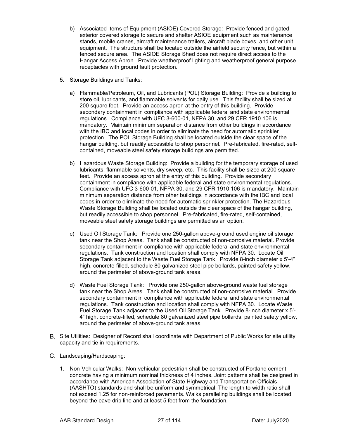- b) Associated Items of Equipment (ASIOE) Covered Storage: Provide fenced and gated exterior covered storage to secure and shelter ASIOE equipment such as maintenance stands, mobile cranes, aircraft maintenance trailers, aircraft blade boxes, and other unit equipment. The structure shall be located outside the airfield security fence, but within a fenced secure area. The ASIOE Storage Shed does not require direct access to the Hangar Access Apron. Provide weatherproof lighting and weatherproof general purpose receptacles with ground fault protection.
- 5. Storage Buildings and Tanks:
	- a) Flammable/Petroleum, Oil, and Lubricants (POL) Storage Building: Provide a building to store oil, lubricants, and flammable solvents for daily use. This facility shall be sized at 200 square feet. Provide an access apron at the entry of this building. Provide secondary containment in compliance with applicable federal and state environmental regulations. Compliance with UFC 3-600-01, NFPA 30, and 29 CFR 1910.106 is mandatory. Maintain minimum separation distance from other buildings in accordance with the IBC and local codes in order to eliminate the need for automatic sprinkler protection. The POL Storage Building shall be located outside the clear space of the hangar building, but readily accessible to shop personnel. Pre-fabricated, fire-rated, selfcontained, moveable steel safety storage buildings are permitted.
	- b) Hazardous Waste Storage Building: Provide a building for the temporary storage of used lubricants, flammable solvents, dry sweep, etc. This facility shall be sized at 200 square feet. Provide an access apron at the entry of this building. Provide secondary containment in compliance with applicable federal and state environmental regulations. Compliance with UFC 3-600-01, NFPA 30, and 29 CFR 1910.106 is mandatory. Maintain minimum separation distance from other buildings in accordance with the IBC and local codes in order to eliminate the need for automatic sprinkler protection. The Hazardous Waste Storage Building shall be located outside the clear space of the hangar building, but readily accessible to shop personnel. Pre-fabricated, fire-rated, self-contained, moveable steel safety storage buildings are permitted as an option.
	- c) Used Oil Storage Tank: Provide one 250-gallon above-ground used engine oil storage tank near the Shop Areas. Tank shall be constructed of non-corrosive material. Provide secondary containment in compliance with applicable federal and state environmental regulations. Tank construction and location shall comply with NFPA 30. Locate Oil Storage Tank adjacent to the Waste Fuel Storage Tank. Provide 8-inch diameter x 5'-4" high, concrete-filled, schedule 80 galvanized steel pipe bollards, painted safety yellow, around the perimeter of above-ground tank areas.
	- d) Waste Fuel Storage Tank: Provide one 250-gallon above-ground waste fuel storage tank near the Shop Areas. Tank shall be constructed of non-corrosive material. Provide secondary containment in compliance with applicable federal and state environmental regulations. Tank construction and location shall comply with NFPA 30. Locate Waste Fuel Storage Tank adjacent to the Used Oil Storage Tank. Provide 8-inch diameter x 5'- 4" high, concrete-filled, schedule 80 galvanized steel pipe bollards, painted safety yellow, around the perimeter of above-ground tank areas.
- Site Utilities: Designer of Record shall coordinate with Department of Public Works for site utility capacity and tie in requirements.
- Landscaping/Hardscaping:
	- 1. Non-Vehicular Walks:Non-vehicular pedestrian shall be constructed of Portland cement concrete having a minimum nominal thickness of 4 inches. Joint patterns shall be designed in accordance with American Association of State Highway and Transportation Officials (AASHTO) standards and shall be uniform and symmetrical. The length to width ratio shall not exceed 1.25 for non-reinforced pavements. Walks paralleling buildings shall be located beyond the eave drip line and at least 5 feet from the foundation.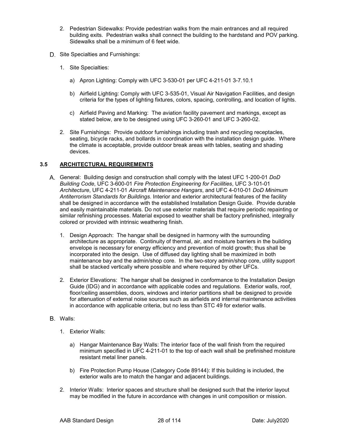- 2. Pedestrian Sidewalks: Provide pedestrian walks from the main entrances and all required building exits. Pedestrian walks shall connect the building to the hardstand and POV parking. Sidewalks shall be a minimum of 6 feet wide.
- D. Site Specialties and Furnishings:
	- 1. Site Specialties:
		- a) Apron Lighting: Comply with UFC 3-530-01 per UFC 4-211-01 3-7.10.1
		- b) Airfield Lighting: Comply with UFC 3-535-01, Visual Air Navigation Facilities, and design criteria for the types of lighting fixtures, colors, spacing, controlling, and location of lights.
		- c) Airfield Paving and Marking: The aviation facility pavement and markings, except as stated below, are to be designed using UFC 3-260-01 and UFC 3-260-02.
	- 2. Site Furnishings: Provide outdoor furnishings including trash and recycling receptacles, seating, bicycle racks, and bollards in coordination with the installation design guide. Where the climate is acceptable, provide outdoor break areas with tables, seating and shading devices.

#### **3.5 ARCHITECTURAL REQUIREMENTS**

- General: Building design and construction shall comply with the latest UFC 1-200-01 *DoD Building Code*, UFC 3-600-01 *Fire Protection Engineering for Facilities*, UFC 3-101-01 *Architecture*, UFC 4-211-01 *Aircraft Maintenance Hangars*, and UFC 4-010-01 *DoD Minimum Antiterrorism Standards for Buildings*. Interior and exterior architectural features of the facility shall be designed in accordance with the established Installation Design Guide. Provide durable and easily maintainable materials. Do not use exterior materials that require periodic repainting or similar refinishing processes. Material exposed to weather shall be factory prefinished, integrally colored or provided with intrinsic weathering finish.
	- 1. Design Approach: The hangar shall be designed in harmony with the surrounding architecture as appropriate. Continuity of thermal, air, and moisture barriers in the building envelope is necessary for energy efficiency and prevention of mold growth; thus shall be incorporated into the design. Use of diffused day lighting shall be maximized in both maintenance bay and the admin/shop core. In the two-story admin/shop core, utility support shall be stacked vertically where possible and where required by other UFCs.
	- 2. Exterior Elevations:The hangar shall be designed in conformance to the Installation Design Guide (IDG) and in accordance with applicable codes and regulations. Exterior walls, roof, floor/ceiling assemblies, doors, windows and interior partitions shall be designed to provide for attenuation of external noise sources such as airfields and internal maintenance activities in accordance with applicable criteria, but no less than STC 49 for exterior walls.
- B. Walls:
	- 1. Exterior Walls:
		- a) Hangar Maintenance Bay Walls: The interior face of the wall finish from the required minimum specified in UFC 4-211-01 to the top of each wall shall be prefinished moisture resistant metal liner panels.
		- b) Fire Protection Pump House (Category Code 89144): If this building is included, the exterior walls are to match the hangar and adjacent buildings.
	- 2. Interior Walls: Interior spaces and structure shall be designed such that the interior layout may be modified in the future in accordance with changes in unit composition or mission.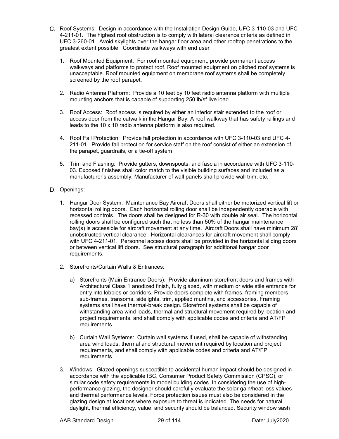- C. Roof Systems: Design in accordance with the Installation Design Guide, UFC 3-110-03 and UFC 4-211-01. The highest roof obstruction is to comply with lateral clearance criteria as defined in UFC 3-260-01. Avoid skylights over the hangar floor area and other rooftop penetrations to the greatest extent possible. Coordinate walkways with end user
	- 1. Roof Mounted Equipment: For roof mounted equipment, provide permanent access walkways and platforms to protect roof. Roof mounted equipment on pitched roof systems is unacceptable. Roof mounted equipment on membrane roof systems shall be completely screened by the roof parapet.
	- 2. Radio Antenna Platform: Provide a 10 feet by 10 feet radio antenna platform with multiple mounting anchors that is capable of supporting 250 lb/sf live load.
	- 3. Roof Access: Roof access is required by either an interior stair extended to the roof or access door from the catwalk in the Hangar Bay. A roof walkway that has safety railings and leads to the 10 x 10 radio antenna platform is also required.
	- 4. Roof Fall Protection: Provide fall protection in accordance with UFC 3-110-03 and UFC 4- 211-01. Provide fall protection for service staff on the roof consist of either an extension of the parapet, guardrails, or a tie-off system.
	- 5. Trim and Flashing: Provide gutters, downspouts, and fascia in accordance with UFC 3-110- 03. Exposed finishes shall color match to the visible building surfaces and included as a manufacturer's assembly. Manufacturer of wall panels shall provide wall trim, etc.
- D. Openings:
	- 1. Hangar Door System: Maintenance Bay Aircraft Doors shall either be motorized vertical lift or horizontal rolling doors. Each horizontal rolling door shall be independently operable with recessed controls. The doors shall be designed for R-30 with double air seal. The horizontal rolling doors shall be configured such that no less than 50% of the hangar maintenance bay(s) is accessible for aircraft movement at any time. Aircraft Doors shall have minimum 28' unobstructed vertical clearance. Horizontal clearances for aircraft movement shall comply with UFC 4-211-01. Personnel access doors shall be provided in the horizontal sliding doors or between vertical lift doors. See structural paragraph for additional hangar door requirements.
	- 2. Storefronts/Curtain Walls & Entrances:
		- a) Storefronts (Main Entrance Doors): Provide aluminum storefront doors and frames with Architectural Class 1 anodized finish, fully glazed, with medium or wide stile entrance for entry into lobbies or corridors. Provide doors complete with frames, framing members, sub-frames, transoms, sidelights, trim, applied muntins, and accessories. Framing systems shall have thermal-break design. Storefront systems shall be capable of withstanding area wind loads, thermal and structural movement required by location and project requirements, and shall comply with applicable codes and criteria and AT/FP requirements.
		- b) Curtain Wall Systems: Curtain wall systems if used, shall be capable of withstanding area wind loads, thermal and structural movement required by location and project requirements, and shall comply with applicable codes and criteria and AT/FP requirements.
	- 3. Windows: Glazed openings susceptible to accidental human impact should be designed in accordance with the applicable IBC, Consumer Product Safety Commission (CPSC), or similar code safety requirements in model building codes. In considering the use of highperformance glazing, the designer should carefully evaluate the solar gain/heat loss values and thermal performance levels. Force protection issues must also be considered in the glazing design at locations where exposure to threat is indicated. The needs for natural daylight, thermal efficiency, value, and security should be balanced. Security window sash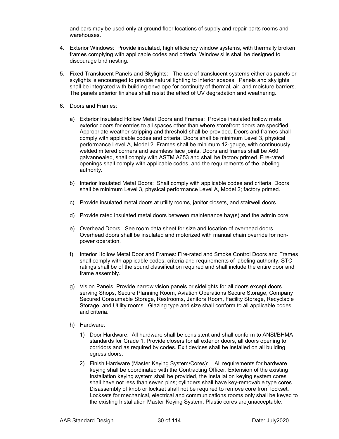and bars may be used only at ground floor locations of supply and repair parts rooms and warehouses.

- 4. Exterior Windows:Provide insulated, high efficiency window systems, with thermally broken frames complying with applicable codes and criteria. Window sills shall be designed to discourage bird nesting.
- 5. Fixed Translucent Panels and Skylights:The use of translucent systems either as panels or skylights is encouraged to provide natural lighting to interior spaces. Panels and skylights shall be integrated with building envelope for continuity of thermal, air, and moisture barriers. The panels exterior finishes shall resist the effect of UV degradation and weathering.
- 6. Doors and Frames:
	- a) Exterior Insulated Hollow Metal Doors and Frames: Provide insulated hollow metal exterior doors for entries to all spaces other than where storefront doors are specified. Appropriate weather-stripping and threshold shall be provided. Doors and frames shall comply with applicable codes and criteria. Doors shall be minimum Level 3, physical performance Level A, Model 2. Frames shall be minimum 12-gauge, with continuously welded mitered corners and seamless face joints. Doors and frames shall be A60 galvannealed, shall comply with ASTM A653 and shall be factory primed. Fire-rated openings shall comply with applicable codes, and the requirements of the labeling authority.
	- b) Interior Insulated Metal Doors: Shall comply with applicable codes and criteria. Doors shall be minimum Level 3, physical performance Level A, Model 2; factory primed.
	- c) Provide insulated metal doors at utility rooms, janitor closets, and stairwell doors.
	- d) Provide rated insulated metal doors between maintenance bay(s) and the admin core.
	- e) Overhead Doors: See room data sheet for size and location of overhead doors. Overhead doors shall be insulated and motorized with manual chain override for nonpower operation.
	- f) Interior Hollow Metal Door and Frames: Fire-rated and Smoke Control Doors and Frames shall comply with applicable codes, criteria and requirements of labeling authority. STC ratings shall be of the sound classification required and shall include the entire door and frame assembly.
	- g) Vision Panels: Provide narrow vision panels or sidelights for all doors except doors serving Shops, Secure Planning Room, Aviation Operations Secure Storage, Company Secured Consumable Storage, Restrooms, Janitors Room, Facility Storage, Recyclable Storage, and Utility rooms. Glazing type and size shall conform to all applicable codes and criteria.
	- h) Hardware:
		- 1) Door Hardware: All hardware shall be consistent and shall conform to ANSI/BHMA standards for Grade 1. Provide closers for all exterior doors, all doors opening to corridors and as required by codes. Exit devices shall be installed on all building egress doors.
		- 2) Finish Hardware (Master Keying System/Cores): All requirements for hardware keying shall be coordinated with the Contracting Officer. Extension of the existing Installation keying system shall be provided, the Installation keying system cores shall have not less than seven pins; cylinders shall have key-removable type cores. Disassembly of knob or lockset shall not be required to remove core from lockset. Locksets for mechanical, electrical and communications rooms only shall be keyed to the existing Installation Master Keying System. Plastic cores are unacceptable.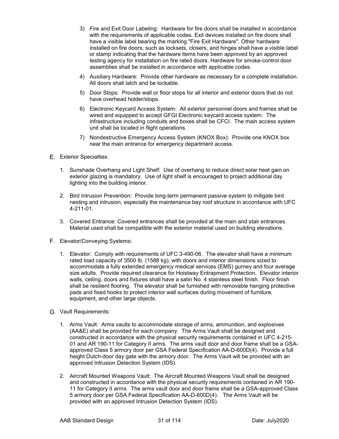- 3) Fire and Exit Door Labeling: Hardware for fire doors shall be installed in accordance with the requirements of applicable codes. Exit devices installed on fire doors shall have a visible label bearing the marking "Fire Exit Hardware". Other hardware installed on fire doors, such as locksets, closers, and hinges shall have a visible label or stamp indicating that the hardware items have been approved by an approved testing agency for installation on fire rated doors. Hardware for smoke-control door assemblies shall be installed in accordance with applicable codes.
- 4) Auxiliary Hardware: Provide other hardware as necessary for a complete installation. All doors shall latch and be lockable.
- 5) Door Stops: Provide wall or floor stops for all interior and exterior doors that do not have overhead holder/stops.
- 6) Electronic Keycard Access System: All exterior personnel doors and frames shall be wired and equipped to accept GFGI Electronic keycard access system. The infrastructure including conduits and boxes shall be CFCI. The main access system unit shall be located in flight operations.
- 7) Nondestructive Emergency Access System (KNOX Box): Provide one KNOX box near the main entrance for emergency department access.
- Exterior Specialties:
	- 1. Sunshade Overhang and Light Shelf: Use of overhang to reduce direct solar heat gain on exterior glazing is mandatory. Use of light shelf is encouraged to project additional day lighting into the building interior.
	- 2. Bird Intrusion Prevention: Provide long-term permanent passive system to mitigate bird nesting and intrusion, especially the maintenance bay roof structure in accordance with UFC 4-211-01.
	- 3. Covered Entrance: Covered entrances shall be provided at the main and stair entrances. Material used shall be compatible with the exterior material used on building elevations.
- Elevator/Conveying Systems:
	- 1. Elevator: Comply with requirements of UFC 3-490-06. The elevator shall have a minimum rated load capacity of 3500 lb. (1588 kg), with doors and interior dimensions sized to accommodate a fully extended emergency medical services (EMS) gurney and four average size adults. Provide required clearance for Hoistway Entrapment Protection. Elevator interior walls, ceiling, doors and fixtures shall have a satin No. 4 stainless steel finish. Floor finish shall be resilient flooring. The elevator shall be furnished with removable hanging protective pads and fixed hooks to protect interior wall surfaces during movement of furniture, equipment, and other large objects.
- Vault Requirements:
	- 1. Arms Vault: Arms vaults to accommodate storage of arms, ammunition, and explosives (AA&E) shall be provided for each company. The Arms Vault shall be designed and constructed in accordance with the physical security requirements contained in UFC 4-215- 01 and AR 190-11 for Category II arms. The arms vault door and door frame shall be a GSAapproved Class 5 armory door per GSA Federal Specification AA-D-600D(4). Provide a full height Dutch-door day gate with the armory door. The Arms Vault will be provided with an approved Intrusion Detection System (IDS).
	- 2. Aircraft Mounted Weapons Vault: The Aircraft Mounted Weapons Vault shall be designed and constructed in accordance with the physical security requirements contained in AR 190- 11 for Category II arms. The arms vault door and door frame shall be a GSA-approved Class 5 armory door per GSA Federal Specification AA-D-600D(4). The Arms Vault will be provided with an approved Intrusion Detection System (IDS).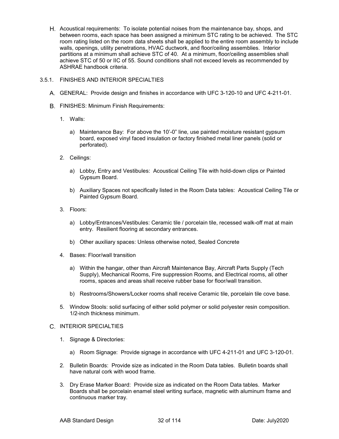- H. Acoustical requirements: To isolate potential noises from the maintenance bay, shops, and between rooms, each space has been assigned a minimum STC rating to be achieved. The STC room rating listed on the room data sheets shall be applied to the entire room assembly to include walls, openings, utility penetrations, HVAC ductwork, and floor/ceiling assemblies. Interior partitions at a minimum shall achieve STC of 40. At a minimum, floor/ceiling assemblies shall achieve STC of 50 or IIC of 55. Sound conditions shall not exceed levels as recommended by ASHRAE handbook criteria.
- 3.5.1. FINISHES AND INTERIOR SPECIALTIES
	- GENERAL: Provide design and finishes in accordance with UFC 3-120-10 and UFC 4-211-01.
	- FINISHES: Minimum Finish Requirements:
		- 1. Walls:
			- a) Maintenance Bay: For above the 10'-0" line, use painted moisture resistant gypsum board, exposed vinyl faced insulation or factory finished metal liner panels (solid or perforated).
		- 2. Ceilings:
			- a) Lobby, Entry and Vestibules: Acoustical Ceiling Tile with hold-down clips or Painted Gypsum Board.
			- b) Auxiliary Spaces not specifically listed in the Room Data tables: Acoustical Ceiling Tile or Painted Gypsum Board.
		- 3. Floors:
			- a) Lobby/Entrances/Vestibules: Ceramic tile / porcelain tile, recessed walk-off mat at main entry. Resilient flooring at secondary entrances.
			- b) Other auxiliary spaces: Unless otherwise noted, Sealed Concrete
		- 4. Bases: Floor/wall transition
			- a) Within the hangar, other than Aircraft Maintenance Bay, Aircraft Parts Supply (Tech Supply), Mechanical Rooms, Fire suppression Rooms, and Electrical rooms, all other rooms, spaces and areas shall receive rubber base for floor/wall transition.
			- b) Restrooms/Showers/Locker rooms shall receive Ceramic tile, porcelain tile cove base.
		- 5. Window Stools: solid surfacing of either solid polymer or solid polyester resin composition. 1/2-inch thickness minimum.

#### C. INTERIOR SPECIALTIES

- 1. Signage & Directories:
	- a) Room Signage: Provide signage in accordance with UFC 4-211-01 and UFC 3-120-01.
- 2. Bulletin Boards: Provide size as indicated in the Room Data tables. Bulletin boards shall have natural cork with wood frame.
- 3. Dry Erase Marker Board: Provide size as indicated on the Room Data tables. Marker Boards shall be porcelain enamel steel writing surface, magnetic with aluminum frame and continuous marker tray.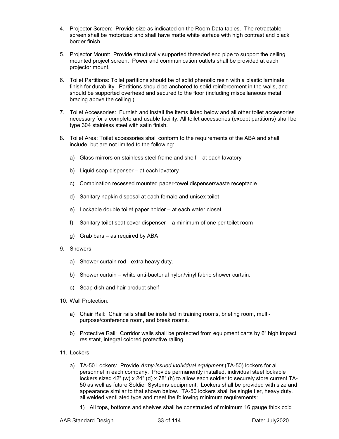- 4. Projector Screen: Provide size as indicated on the Room Data tables. The retractable screen shall be motorized and shall have matte white surface with high contrast and black border finish.
- 5. Projector Mount: Provide structurally supported threaded end pipe to support the ceiling mounted project screen. Power and communication outlets shall be provided at each projector mount.
- 6. Toilet Partitions: Toilet partitions should be of solid phenolic resin with a plastic laminate finish for durability. Partitions should be anchored to solid reinforcement in the walls, and should be supported overhead and secured to the floor (including miscellaneous metal bracing above the ceiling.)
- 7. Toilet Accessories: Furnish and install the items listed below and all other toilet accessories necessary for a complete and usable facility. All toilet accessories (except partitions) shall be type 304 stainless steel with satin finish.
- 8. Toilet Area: Toilet accessories shall conform to the requirements of the ABA and shall include, but are not limited to the following:
	- a) Glass mirrors on stainless steel frame and shelf at each lavatory
	- b) Liquid soap dispenser at each lavatory
	- c) Combination recessed mounted paper-towel dispenser/waste receptacle
	- d) Sanitary napkin disposal at each female and unisex toilet
	- e) Lockable double toilet paper holder at each water closet.
	- f) Sanitary toilet seat cover dispenser a minimum of one per toilet room
	- g) Grab bars as required by ABA
- 9. Showers:
	- a) Shower curtain rod extra heavy duty.
	- b) Shower curtain white anti-bacterial nylon/vinyl fabric shower curtain.
	- c) Soap dish and hair product shelf
- 10. Wall Protection:
	- a) Chair Rail: Chair rails shall be installed in training rooms, briefing room, multipurpose/conference room, and break rooms.
	- b) Protective Rail: Corridor walls shall be protected from equipment carts by 6" high impact resistant, integral colored protective railing.
- 11. Lockers:
	- a) TA-50 Lockers: Provide *Army-issued individual equipment* (TA-50) lockers for all personnel in each company. Provide permanently installed, individual steel lockable lockers sized 42" (w) x  $24$ " (d) x 78" (h) to allow each soldier to securely store current TA-50 as well as future Soldier Systems equipment. Lockers shall be provided with size and appearance similar to that shown below. TA-50 lockers shall be single tier, heavy duty, all welded ventilated type and meet the following minimum requirements:
		- 1) All tops, bottoms and shelves shall be constructed of minimum 16 gauge thick cold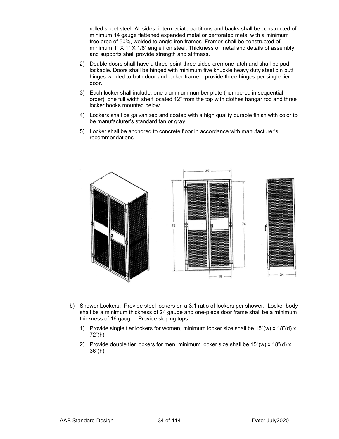rolled sheet steel. All sides, intermediate partitions and backs shall be constructed of minimum 14 gauge flattened expanded metal or perforated metal with a minimum free area of 50%, welded to angle iron frames. Frames shall be constructed of minimum 1" X 1" X 1/8" angle iron steel. Thickness of metal and details of assembly and supports shall provide strength and stiffness.

- 2) Double doors shall have a three-point three-sided cremone latch and shall be padlockable. Doors shall be hinged with minimum five knuckle heavy duty steel pin butt hinges welded to both door and locker frame – provide three hinges per single tier door.
- 3) Each locker shall include: one aluminum number plate (numbered in sequential order), one full width shelf located 12" from the top with clothes hangar rod and three locker hooks mounted below.
- 4) Lockers shall be galvanized and coated with a high quality durable finish with color to be manufacturer's standard tan or gray.
- 5) Locker shall be anchored to concrete floor in accordance with manufacturer's recommendations.



- b) Shower Lockers:Provide steel lockers on a 3:1 ratio of lockers per shower. Locker body shall be a minimum thickness of 24 gauge and one-piece door frame shall be a minimum thickness of 16 gauge. Provide sloping tops.
	- 1) Provide single tier lockers for women, minimum locker size shall be  $15''(w) \times 18''(d) \times$ 72"(h).
	- 2) Provide double tier lockers for men, minimum locker size shall be  $15''(w) \times 18''(d) \times$ 36"(h).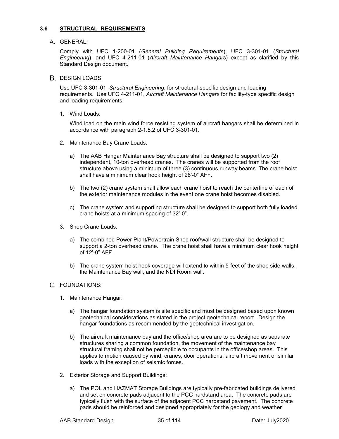#### **3.6 STRUCTURAL REQUIREMENTS**

A. GENERAL:

Comply with UFC 1-200-01 (*General Building Requirements*), UFC 3-301-01 (*Structural Engineering*), and UFC 4-211-01 (*Aircraft Maintenance Hangars*) except as clarified by this Standard Design document.

**B. DESIGN LOADS:** 

Use UFC 3-301-01, *Structural Engineering*, for structural-specific design and loading requirements. Use UFC 4-211-01, *Aircraft Maintenance Hangars* for facility-type specific design and loading requirements.

1. Wind Loads:

Wind load on the main wind force resisting system of aircraft hangars shall be determined in accordance with paragraph 2-1.5.2 of UFC 3-301-01.

- 2. Maintenance Bay Crane Loads:
	- a) The AAB Hangar Maintenance Bay structure shall be designed to support two (2) independent, 10-ton overhead cranes. The cranes will be supported from the roof structure above using a minimum of three (3) continuous runway beams. The crane hoist shall have a minimum clear hook height of 28'-0" AFF.
	- b) The two (2) crane system shall allow each crane hoist to reach the centerline of each of the exterior maintenance modules in the event one crane hoist becomes disabled.
	- c) The crane system and supporting structure shall be designed to support both fully loaded crane hoists at a minimum spacing of 32'-0".
- 3. Shop Crane Loads:
	- a) The combined Power Plant/Powertrain Shop roof/wall structure shall be designed to support a 2-ton overhead crane. The crane hoist shall have a minimum clear hook height of 12'-0" AFF.
	- b) The crane system hoist hook coverage will extend to within 5-feet of the shop side walls, the Maintenance Bay wall, and the NDI Room wall.

#### C. FOUNDATIONS:

- 1. Maintenance Hangar:
	- a) The hangar foundation system is site specific and must be designed based upon known geotechnical considerations as stated in the project geotechnical report. Design the hangar foundations as recommended by the geotechnical investigation.
	- b) The aircraft maintenance bay and the office/shop area are to be designed as separate structures sharing a common foundation, the movement of the maintenance bay structural framing shall not be perceptible to occupants in the office/shop areas. This applies to motion caused by wind, cranes, door operations, aircraft movement or similar loads with the exception of seismic forces.
- 2. Exterior Storage and Support Buildings:
	- a) The POL and HAZMAT Storage Buildings are typically pre-fabricated buildings delivered and set on concrete pads adjacent to the PCC hardstand area. The concrete pads are typically flush with the surface of the adjacent PCC hardstand pavement. The concrete pads should be reinforced and designed appropriately for the geology and weather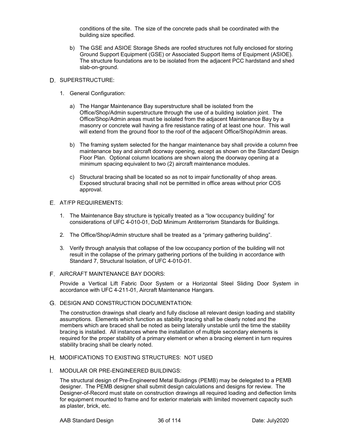conditions of the site. The size of the concrete pads shall be coordinated with the building size specified.

b) The GSE and ASIOE Storage Sheds are roofed structures not fully enclosed for storing Ground Support Equipment (GSE) or Associated Support Items of Equipment (ASIOE). The structure foundations are to be isolated from the adjacent PCC hardstand and shed slab-on-ground.

#### D. SUPERSTRUCTURE:

- 1. General Configuration:
	- a) The Hangar Maintenance Bay superstructure shall be isolated from the Office/Shop/Admin superstructure through the use of a building isolation joint. The Office/Shop/Admin areas must be isolated from the adjacent Maintenance Bay by a masonry or concrete wall having a fire resistance rating of at least one hour. This wall will extend from the ground floor to the roof of the adjacent Office/Shop/Admin areas.
	- b) The framing system selected for the hangar maintenance bay shall provide a column free maintenance bay and aircraft doorway opening, except as shown on the Standard Design Floor Plan. Optional column locations are shown along the doorway opening at a minimum spacing equivalent to two (2) aircraft maintenance modules.
	- c) Structural bracing shall be located so as not to impair functionality of shop areas. Exposed structural bracing shall not be permitted in office areas without prior COS approval.

#### AT/FP REQUIREMENTS:

- 1. The Maintenance Bay structure is typically treated as a "low occupancy building" for considerations of UFC 4-010-01, DoD Minimum Antiterrorism Standards for Buildings.
- 2. The Office/Shop/Admin structure shall be treated as a "primary gathering building".
- 3. Verify through analysis that collapse of the low occupancy portion of the building will not result in the collapse of the primary gathering portions of the building in accordance with Standard 7, Structural Isolation, of UFC 4-010-01.

#### F. AIRCRAFT MAINTENANCE BAY DOORS:

Provide a Vertical Lift Fabric Door System or a Horizontal Steel Sliding Door System in accordance with UFC 4-211-01, Aircraft Maintenance Hangars.

DESIGN AND CONSTRUCTION DOCUMENTATION:

The construction drawings shall clearly and fully disclose all relevant design loading and stability assumptions. Elements which function as stability bracing shall be clearly noted and the members which are braced shall be noted as being laterally unstable until the time the stability bracing is installed. All instances where the installation of multiple secondary elements is required for the proper stability of a primary element or when a bracing element in turn requires stability bracing shall be clearly noted.

- H. MODIFICATIONS TO EXISTING STRUCTURES: NOT USED
- MODULAR OR PRE-ENGINEERED BUILDINGS:

The structural design of Pre-Engineered Metal Buildings (PEMB) may be delegated to a PEMB designer. The PEMB designer shall submit design calculations and designs for review. The Designer-of-Record must state on construction drawings all required loading and deflection limits for equipment mounted to frame and for exterior materials with limited movement capacity such as plaster, brick, etc.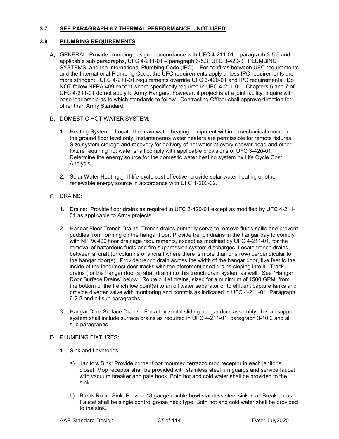#### **3.7 SEE PARAGRAPH 6.7 THERMAL PERFORMANCE – NOT USED**

### **3.8 PLUMBING REQUIREMENTS**

GENERAL: Provide plumbing design in accordance with UFC 4-211-01 – paragraph 3-5.5 and applicable sub paragraphs, UFC 4-211-01 – paragraph 6-5.3, UFC 3-420-01 PLUMBING SYSTEMS, and the International Plumbing Code (IPC). For conflicts between UFC requirements and the International Plumbing Code, the UFC requirements apply unless IPC requirements are more stringent. UFC 4-211-01 requirements override UFC 3-420-01 and IPC requirements. Do NOT follow NFPA 409 except where specifically required in UFC 4-211-01. Chapters 5 and 7 of UFC 4-211-01 do not apply to Army Hangars, however, if project is at a joint facility, inquire with base leadership as to which standards to follow. Contracting Officer shall approve direction for other than Army Standard.

#### B. DOMESTIC HOT WATER SYSTEM:

- 1. Heating System: Locate the main water heating equipment within a mechanical room, on the ground floor level only. Instantaneous water heaters are permissible for remote fixtures. Size system storage and recovery for delivery of hot water at every shower head and other fixture requiring hot water shall comply with applicable provisions of UFC 3-420-01. Determine the energy source for the domestic water heating system by Life Cycle Cost Analysis.
- 2. Solar Water Heating: If life-cycle cost effective, provide solar water heating or other renewable energy source in accordance with UFC 1-200-02.

## C. DRAINS:

- 1. Drains: Provide floor drains as required in UFC 3-420-01 except as modified by UFC 4-211- 01 as applicable to Army projects.
- 2. Hangar Floor Trench Drains: Trench drains primarily serve to remove fluids spills and prevent puddles from forming on the hangar floor. Provide trench drains in the hangar bay to comply with NFPA 409 floor drainage requirements, except as modified by UFC 4-211-01, for the removal of hazardous fuels and fire suppression system discharges. Locate trench drains between aircraft (or columns of aircraft where there is more than one row) perpendicular to the hangar door(s). Provide trench drain across the width of the hangar door, five feet to the inside of the innermost door tracks with the aforementioned drains sloping into it. Track drains (for the hangar door(s) shall drain into this trench drain system as well. See "Hangar Door Surface Drains" below. Route outlet drains, sized for a minimum of 1500 GPM, from the bottom of the trench low point(s) to an oil water separator or to effluent capture tanks and provide diverter valve with monitoring and controls as indicated in UFC 4-211-01, Paragraph 6-2.2 and all sub paragraphs.
- 3. Hangar Door Surface Drains:For a horizontal sliding hangar door assembly, the rail support system shall include surface drains as required in UFC 4-211-01, paragraph 3-10.2 and all sub paragraphs.

#### D. PLUMBING FIXTURES:

- 1. Sink and Lavatories:
	- a) Janitors Sink: Provide corner floor mounted terrazzo mop receptor in each janitor's closet. Mop receptor shall be provided with stainless steel rim guards and service faucet with vacuum breaker and pale hook. Both hot and cold water shall be provided to the sink.
	- b) Break Room Sink: Provide 18 gauge double bowl stainless steel sink in all Break areas. Faucet shall be single control goose neck type. Both hot and cold water shall be provided to the sink.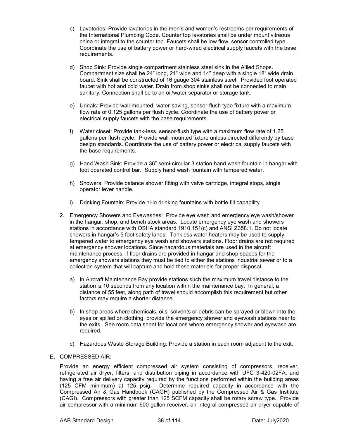- c) Lavatories: Provide lavatories in the men's and women's restrooms per requirements of the International Plumbing Code. Counter top lavatories shall be under mount vitreous china or integral to the counter top. Faucets shall be low flow, sensor controlled type. Coordinate the use of battery power or hard-wired electrical supply faucets with the base requirements.
- d) Shop Sink: Provide single compartment stainless steel sink in the Allied Shops. Compartment size shall be 24" long, 21" wide and 14" deep with a single 18" wide drain board. Sink shall be constructed of 16 gauge 304 stainless steel. Provided foot operated faucet with hot and cold water. Drain from shop sinks shall not be connected to main sanitary. Connection shall be to an oil/water separator or storage tank.
- e) Urinals: Provide wall-mounted, water-saving, sensor-flush type fixture with a maximum flow rate of 0.125 gallons per flush cycle. Coordinate the use of battery power or electrical supply faucets with the base requirements.
- f) Water closet: Provide tank-less, sensor-flush type with a maximum flow rate of 1.25 gallons per flush cycle. Provide wall-mounted fixture unless directed differently by base design standards. Coordinate the use of battery power or electrical supply faucets with the base requirements.
- g) Hand Wash Sink: Provide a 36" semi-circular 3 station hand wash fountain in hangar with foot operated control bar. Supply hand wash fountain with tempered water.
- h) Showers: Provide balance shower fitting with valve cartridge, integral stops, single operator lever handle.
- i) Drinking Fountain: Provide hi-lo drinking fountains with bottle fill capability.
- 2. Emergency Showers and Eyewashes: Provide eye wash-and emergency eye wash/shower in the hangar, shop, and bench stock areas. Locate emergency eye wash and showers stations in accordance with OSHA standard 1910.151(c) and ANSI Z358.1. Do not locate showers in hangar's 5 foot safety lanes. Tankless water heaters may be used to supply tempered water to emergency eye wash and showers stations. Floor drains are not required at emergency shower locations. Since hazardous materials are used in the aircraft maintenance process, if floor drains are provided in hangar and shop spaces for the emergency showers stations they must be tied to either the stations industrial sewer or to a collection system that will capture and hold these materials for proper disposal.
	- a) In Aircraft Maintenance Bay provide stations such the maximum travel distance to the station is 10 seconds from any location within the maintenance bay. In general, a distance of 55 feet, along path of travel should accomplish this requirement but other factors may require a shorter distance.
	- b) In shop areas where chemicals, oils, solvents or debris can be sprayed or blown into the eyes or spilled on clothing, provide the emergency shower and eyewash stations near to the exits. See room data sheet for locations where emergency shower and eyewash are required.
	- c) Hazardous Waste Storage Building: Provide a station in each room adjacent to the exit.
- E. COMPRESSED AIR:

Provide an energy efficient compressed air system consisting of compressors, receiver, refrigerated air dryer, filters, and distribution piping in accordance with UFC 3-420-02FA, and having a free air delivery capacity required by the functions performed within the building areas (125 CFM minimum) at 125 psig. Determine required capacity in accordance with the Compressed Air & Gas Handbook (CAGH) published by the Compressed Air & Gas Institute (CAGI). Compressors with greater than 125 SCFM capacity shall be rotary screw type. Provide air compressor with a minimum 600 gallon receiver, an integral compressed air dryer capable of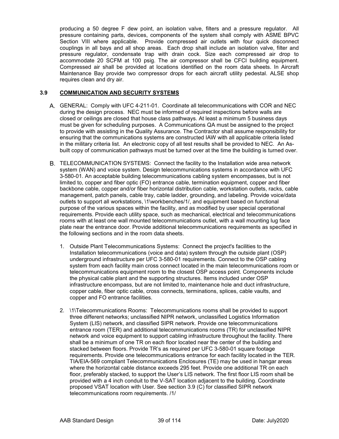producing a 50 degree F dew point, an isolation valve, filters and a pressure regulator. All pressure containing parts, devices, components of the system shall comply with ASME BPVC Section VIII where applicable. Provide compressed air outlets with four quick disconnect couplings in all bays and all shop areas. Each drop shall include an isolation valve, filter and pressure regulator, condensate trap with drain cock. Size each compressed air drop to accommodate 20 SCFM at 100 psig. The air compressor shall be CFCI building equipment. Compressed air shall be provided at locations identified on the room data sheets. In Aircraft Maintenance Bay provide two compressor drops for each aircraft utility pedestal. ALSE shop requires clean and dry air.

#### **3.9 COMMUNICATION AND SECURITY SYSTEMS**

- GENERAL: Comply with UFC 4-211-01. Coordinate all telecommunications with COR and NEC during the design process. NEC must be informed of required inspections before walls are closed or ceilings are closed that house class pathways. At least a minimum 5 business days must be given for scheduling purposes. A Communications QA must be assigned to the project to provide with assisting in the Quality Assurance. The Contractor shall assume responsibility for ensuring that the communications systems are constructed IAW with all applicable criteria listed in the military criteria list. An electronic copy of all test results shall be provided to NEC. An Asbuilt copy of communication pathways must be turned over at the time the building is turned over.
- TELECOMMUNICATION SYSTEMS: Connect the facility to the Installation wide area network system (WAN) and voice system. Design telecommunications systems in accordance with UFC 3-580-01. An acceptable building telecommunications cabling system encompasses, but is not limited to, copper and fiber optic (FO) entrance cable, termination equipment, copper and fiber backbone cable, copper and/or fiber horizontal distribution cable, workstation outlets, racks, cable management, patch panels, cable tray, cable ladder, grounding, and labeling. Provide voice/data outlets to support all workstations, \1\workbenches/1/, and equipment based on functional purpose of the various spaces within the facility, and as modified by user special operational requirements. Provide each utility space, such as mechanical, electrical and telecommunications rooms with at least one wall mounted telecommunications outlet, with a wall mounting lug face plate near the entrance door. Provide additional telecommunications requirements as specified in the following sections and in the room data sheets.
	- 1. Outside Plant Telecommunications Systems: Connect the project's facilities to the Installation telecommunications (voice and data) system through the outside plant (OSP) underground infrastructure per UFC 3-580-01 requirements. Connect to the OSP cabling system from each facility main cross connect located in the main telecommunications room or telecommunications equipment room to the closest OSP access point. Components include the physical cable plant and the supporting structures. Items included under OSP infrastructure encompass, but are not limited to, maintenance hole and duct infrastructure, copper cable, fiber optic cable, cross connects, terminations, splices, cable vaults, and copper and FO entrance facilities.
	- 2. \1\Telecommunications Rooms: Telecommunications rooms shall be provided to support three different networks; unclassified NIPR network, unclassified Logistics Information System (LIS) network, and classified SIPR network. Provide one telecommunications entrance room (TER) and additional telecommunications rooms (TR) for unclassified NIPR network and voice equipment to support cabling infrastructure throughout the facility. There shall be a minimum of one TR on each floor located near the center of the building and stacked between floors. Provide TR's as required per UFC 3-580-01 square footage requirements. Provide one telecommunications entrance for each facility located in the TER. TIA/EIA-569 compliant Telecommunications Enclosures (TE) may be used in hangar areas where the horizontal cable distance exceeds 295 feet. Provide one additional TR on each floor, preferably stacked, to support the User's LIS network. The first floor LIS room shall be provided with a 4 inch conduit to the V-SAT location adjacent to the building. Coordinate proposed VSAT location with User. See section 3.9 (C) for classified SIPR network telecommunications room requirements. /1/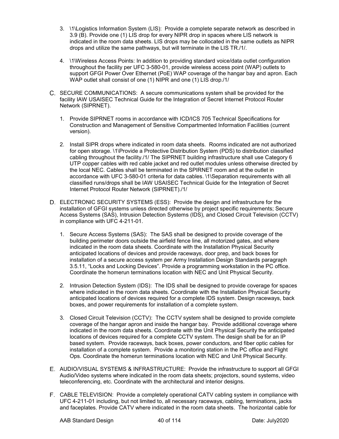- 3. \1\Logistics Information System (LIS): Provide a complete separate network as described in 3.9 (B). Provide one (1) LIS drop for every NIPR drop in spaces where LIS network is indicated in the room data sheets. LIS drops may be collocated in the same outlets as NIPR drops and utilize the same pathways, but will terminate in the LIS TR./1/.
- 4. \1\Wireless Access Points: In addition to providing standard voice/data outlet configuration throughout the facility per UFC 3-580-01, provide wireless access point (WAP) outlets to support GFGI Power Over Ethernet (PoE) WAP coverage of the hangar bay and apron. Each WAP outlet shall consist of one (1) NIPR and one (1) LIS drop./1/
- C. SECURE COMMUNICATIONS: A secure communications system shall be provided for the facility IAW USAISEC Technical Guide for the Integration of Secret Internet Protocol Router Network (SIPRNET).
	- 1. Provide SIPRNET rooms in accordance with ICD/ICS 705 Technical Specifications for Construction and Management of Sensitive Compartmented Information Facilities (current version).
	- 2. Install SIPR drops where indicated in room data sheets. Rooms indicated are not authorized for open storage. \1\Provide a Protective Distribution System (PDS) to distribution classified cabling throughout the facility./1/ The SIPRNET building infrastructure shall use Category 6 UTP copper cables with red cable jacket and red outlet modules unless otherwise directed by the local NEC. Cables shall be terminated in the SPIRNET room and at the outlet in accordance with UFC 3-580-01 criteria for data cables. \1\Separation requirements with all classified runs/drops shall be IAW USAISEC Technical Guide for the Integration of Secret Internet Protocol Router Network (SIPRNET)./1/
- ELECTRONIC SECURITY SYSTEMS (ESS): Provide the design and infrastructure for the installation of GFGI systems unless directed otherwise by project specific requirements; Secure Access Systems (SAS), Intrusion Detection Systems (IDS), and Closed Circuit Television (CCTV) in compliance with UFC 4-211-01.
	- 1. Secure Access Systems (SAS): The SAS shall be designed to provide coverage of the building perimeter doors outside the airfield fence line, all motorized gates, and where indicated in the room data sheets. Coordinate with the Installation Physical Security anticipated locations of devices and provide raceways, door prep, and back boxes for installation of a secure access system per Army Installation Design Standards paragraph 3.5.11, "Locks and Locking Devices". Provide a programming workstation in the PC office. Coordinate the homerun terminations location with NEC and Unit Physical Security.
	- 2. Intrusion Detection System (IDS): The IDS shall be designed to provide coverage for spaces where indicated in the room data sheets. Coordinate with the Installation Physical Security anticipated locations of devices required for a complete IDS system. Design raceways, back boxes, and power requirements for installation of a complete system.
	- 3. Closed Circuit Television (CCTV): The CCTV system shall be designed to provide complete coverage of the hangar apron and inside the hangar bay. Provide additional coverage where indicated in the room data sheets. Coordinate with the Unit Physical Security the anticipated locations of devices required for a complete CCTV system. The design shall be for an IP based system. Provide raceways, back boxes, power conductors, and fiber optic cables for installation of a complete system. Provide a monitoring station in the PC office and Flight Ops. Coordinate the homerun terminations location with NEC and Unit Physical Security.
- AUDIO/VISUAL SYSTEMS & INFRASTRUCTURE: Provide the infrastructure to support all GFGI Audio/Video systems where indicated in the room data sheets; projectors, sound systems, video teleconferencing, etc. Coordinate with the architectural and interior designs.
- CABLE TELEVISION: Provide a completely operational CATV cabling system in compliance with UFC 4-211-01 including, but not limited to, all necessary raceways, cabling, terminations, jacks and faceplates. Provide CATV where indicated in the room data sheets. The horizontal cable for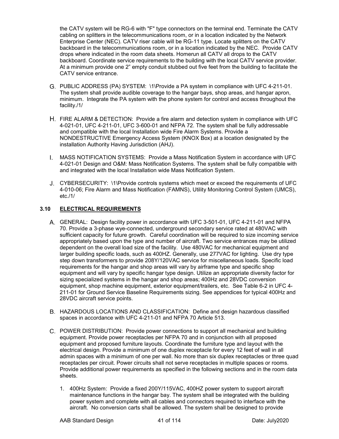the CATV system will be RG-6 with "F" type connectors on the terminal end. Terminate the CATV cabling on splitters in the telecommunications room, or in a location indicated by the Network Enterprise Center (NEC). CATV riser cable will be RG-11 type. Locate splitters on the CATV backboard in the telecommunications room, or in a location indicated by the NEC. Provide CATV drops where indicated in the room data sheets. Homerun all CATV all drops to the CATV backboard. Coordinate service requirements to the building with the local CATV service provider. At a minimum provide one 2" empty conduit stubbed out five feet from the building to facilitate the CATV service entrance.

- PUBLIC ADDRESS (PA) SYSTEM: \1\Provide a PA system in compliance with UFC 4-211-01. The system shall provide audible coverage to the hangar bays, shop areas, and hangar apron, minimum. Integrate the PA system with the phone system for control and access throughout the facility./1/
- H. FIRE ALARM & DETECTION: Provide a fire alarm and detection system in compliance with UFC 4-021-01, UFC 4-211-01, UFC 3-600-01 and NFPA 72. The system shall be fully addressable and compatible with the local Installation wide Fire Alarm Systems. Provide a NONDESTRUCTIVE Emergency Access System (KNOX Box) at a location designated by the installation Authority Having Jurisdiction (AHJ).
- MASS NOTIFICATION SYSTEMS: Provide a Mass Notification System in accordance with UFC 4-021-01 Design and O&M: Mass Notification Systems. The system shall be fully compatible with and integrated with the local Installation wide Mass Notification System.
- CYBERSECURITY: \1\Provide controls systems which meet or exceed the requirements of UFC 4-010-06; Fire Alarm and Mass Notification (FAMNS), Utility Monitoring Control System (UMCS), etc./1/

## **3.10 ELECTRICAL REQUIREMENTS**

- GENERAL: Design facility power in accordance with UFC 3-501-01, UFC 4-211-01 and NFPA 70. Provide a 3-phase wye-connected, underground secondary service rated at 480VAC with sufficient capacity for future growth. Careful coordination will be required to size incoming service appropriately based upon the type and number of aircraft. Two service entrances may be utilized dependent on the overall load size of the facility. Use 480VAC for mechanical equipment and larger building specific loads, such as 400HZ. Generally, use 277VAC for lighting. Use dry type step down transformers to provide 208Y/120VAC service for miscellaneous loads. Specific load requirements for the hangar and shop areas will vary by airframe type and specific shop equipment and will vary by specific hangar type design. Utilize an appropriate diversity factor for sizing specialized systems in the hangar and shop areas; 400Hz and 28VDC conversion equipment, shop machine equipment, exterior equipment/trailers, etc. See Table 6-2 in UFC 4- 211-01 for Ground Service Baseline Requirements sizing. See appendices for typical 400Hz and 28VDC aircraft service points.
- HAZARDOUS LOCATIONS AND CLASSIFICATION: Define and design hazardous classified spaces in accordance with UFC 4-211-01 and NFPA 70 Article 513.
- POWER DISTRIBUTION: Provide power connections to support all mechanical and building equipment. Provide power receptacles per NFPA 70 and in conjunction with all proposed equipment and proposed furniture layouts. Coordinate the furniture type and layout with the electrical design. Provide a minimum of one duplex receptacle for every 12 feet of wall in all admin spaces with a minimum of one per wall. No more than six duplex receptacles or three quad receptacles per circuit. Power circuits shall not serve receptacles in multiple spaces or rooms. Provide additional power requirements as specified in the following sections and in the room data sheets.
	- 1. 400Hz System: Provide a fixed 200Y/115VAC, 400HZ power system to support aircraft maintenance functions in the hangar bay. The system shall be integrated with the building power system and complete with all cables and connectors required to interface with the aircraft. No conversion carts shall be allowed. The system shall be designed to provide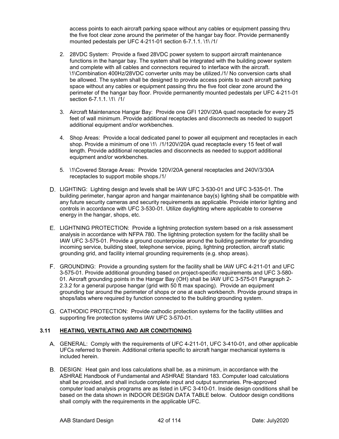access points to each aircraft parking space without any cables or equipment passing thru the five foot clear zone around the perimeter of the hangar bay floor. Provide permanently mounted pedestals per UFC 4-211-01 section 6-7.1.1. \1\ /1/

- 2. 28VDC System: Provide a fixed 28VDC power system to support aircraft maintenance functions in the hangar bay. The system shall be integrated with the building power system and complete with all cables and connectors required to interface with the aircraft. \1\Combination 400Hz/28VDC converter units may be utilized./1/ No conversion carts shall be allowed. The system shall be designed to provide access points to each aircraft parking space without any cables or equipment passing thru the five foot clear zone around the perimeter of the hangar bay floor. Provide permanently mounted pedestals per UFC 4-211-01 section 6-7.1.1. \1\ /1/
- 3. Aircraft Maintenance Hangar Bay: Provide one GFI 120V/20A quad receptacle for every 25 feet of wall minimum. Provide additional receptacles and disconnects as needed to support additional equipment and/or workbenches.
- 4. Shop Areas: Provide a local dedicated panel to power all equipment and receptacles in each shop. Provide a minimum of one \1\ /1/120V/20A quad receptacle every 15 feet of wall length. Provide additional receptacles and disconnects as needed to support additional equipment and/or workbenches.
- 5. \1\Covered Storage Areas: Provide 120V/20A general receptacles and 240V/3/30A receptacles to support mobile shops./1/
- D. LIGHTING: Lighting design and levels shall be IAW UFC 3-530-01 and UFC 3-535-01. The building perimeter, hangar apron and hangar maintenance bay(s) lighting shall be compatible with any future security cameras and security requirements as applicable. Provide interior lighting and controls in accordance with UFC 3-530-01. Utilize daylighting where applicable to conserve energy in the hangar, shops, etc.
- LIGHTNING PROTECTION: Provide a lightning protection system based on a risk assessment analysis in accordance with NFPA 780. The lightning protection system for the facility shall be IAW UFC 3-575-01. Provide a ground counterpoise around the building perimeter for grounding incoming service, building steel, telephone service, piping, lightning protection, aircraft static grounding grid, and facility internal grounding requirements (e.g. shop areas).
- GROUNDING: Provide a grounding system for the facility shall be IAW UFC 4-211-01 and UFC 3-575-01. Provide additional grounding based on project-specific requirements and UFC 3-580- 01. Aircraft grounding points in the Hangar Bay (OH) shall be IAW UFC 3-575-01 Paragraph 2- 2.3.2 for a general purpose hangar (grid with 50 ft max spacing). Provide an equipment grounding bar around the perimeter of shops or one at each workbench. Provide ground straps in shops/labs where required by function connected to the building grounding system.
- CATHODIC PROTECTION: Provide cathodic protection systems for the facility utilities and supporting fire protection systems IAW UFC 3-570-01.

## **3.11 HEATING, VENTILATING AND AIR CONDITIONING**

- GENERAL: Comply with the requirements of UFC 4-211-01, UFC 3-410-01, and other applicable UFCs referred to therein. Additional criteria specific to aircraft hangar mechanical systems is included herein.
- DESIGN: Heat gain and loss calculations shall be, as a minimum, in accordance with the ASHRAE Handbook of Fundamental and ASHRAE Standard 183. Computer load calculations shall be provided, and shall include complete input and output summaries. Pre-approved computer load analysis programs are as listed in UFC 3-410-01. Inside design conditions shall be based on the data shown in INDOOR DESIGN DATA TABLE below. Outdoor design conditions shall comply with the requirements in the applicable UFC.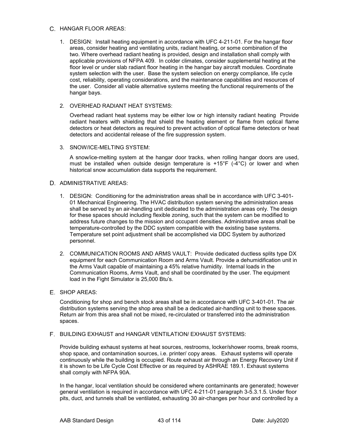#### C. HANGAR FLOOR AREAS:

1. DESIGN: Install heating equipment in accordance with UFC 4-211-01. For the hangar floor areas, consider heating and ventilating units, radiant heating, or some combination of the two. Where overhead radiant heating is provided, design and installation shall comply with applicable provisions of NFPA 409. In colder climates, consider supplemental heating at the floor level or under slab radiant floor heating in the hangar bay aircraft modules. Coordinate system selection with the user. Base the system selection on energy compliance, life cycle cost, reliability, operating considerations, and the maintenance capabilities and resources of the user. Consider all viable alternative systems meeting the functional requirements of the hangar bays.

#### 2. OVERHEAD RADIANT HEAT SYSTEMS:

Overhead radiant heat systems may be either low or high intensity radiant heating Provide radiant heaters with shielding that shield the heating element or flame from optical flame detectors or heat detectors as required to prevent activation of optical flame detectors or heat detectors and accidental release of the fire suppression system.

3. SNOW/ICE-MELTING SYSTEM:

A snow/ice-melting system at the hangar door tracks, when rolling hangar doors are used, must be installed when outside design temperature is +15°F (-4°C) or lower and when historical snow accumulation data supports the requirement.

#### D. ADMINISTRATIVE AREAS:

- 1. DESIGN: Conditioning for the administration areas shall be in accordance with UFC 3-401- 01 Mechanical Engineering. The HVAC distribution system serving the administration areas shall be served by an air-handling unit dedicated to the administration areas only. The design for these spaces should including flexible zoning, such that the system can be modified to address future changes to the mission and occupant densities. Administrative areas shall be temperature-controlled by the DDC system compatible with the existing base systems. Temperature set point adjustment shall be accomplished via DDC System by authorized personnel.
- 2. COMMUNICATION ROOMS AND ARMS VAULT: Provide dedicated ductless splits type DX equipment for each Communication Room and Arms Vault. Provide a dehumidification unit in the Arms Vault capable of maintaining a 45% relative humidity. Internal loads in the Communication Rooms, Arms Vault, and shall be coordinated by the user. The equipment load in the Fight Simulator is 25,000 Btu's.
- E. SHOP AREAS:

Conditioning for shop and bench stock areas shall be in accordance with UFC 3-401-01. The air distribution systems serving the shop area shall be a dedicated air-handling unit to these spaces. Return air from this area shall not be mixed, re-circulated or transferred into the administration spaces.

BUILDING EXHAUST and HANGAR VENTILATION/ EXHAUST SYSTEMS:

Provide building exhaust systems at heat sources, restrooms, locker/shower rooms, break rooms, shop space, and contamination sources, i.e. printer/ copy areas. Exhaust systems will operate continuously while the building is occupied. Route exhaust air through an Energy Recovery Unit if it is shown to be Life Cycle Cost Effective or as required by ASHRAE 189.1. Exhaust systems shall comply with NFPA 90A.

In the hangar, local ventilation should be considered where contaminants are generated; however general ventilation is required in accordance with UFC 4-211-01 paragraph 3-5.3.1.5. Under floor pits, duct, and tunnels shall be ventilated, exhausting 30 air-changes per hour and controlled by a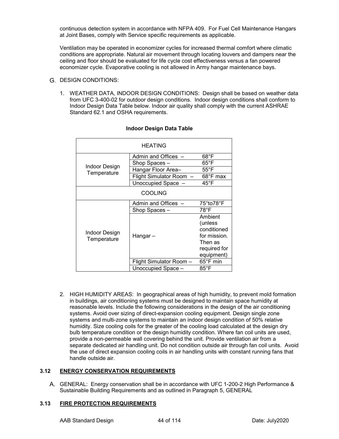continuous detection system in accordance with NFPA 409. For Fuel Cell Maintenance Hangars at Joint Bases, comply with Service specific requirements as applicable.

Ventilation may be operated in economizer cycles for increased thermal comfort where climatic conditions are appropriate. Natural air movement through locating louvers and dampers near the ceiling and floor should be evaluated for life cycle cost effectiveness versus a fan powered economizer cycle. Evaporative cooling is not allowed in Army hangar maintenance bays.

#### G. DESIGN CONDITIONS:

1. WEATHER DATA, INDOOR DESIGN CONDITIONS: Design shall be based on weather data from UFC 3-400-02 for outdoor design conditions. Indoor design conditions shall conform to Indoor Design Data Table below. Indoor air quality shall comply with the current ASHRAE Standard 62.1 and OSHA requirements.

| <b>HEATING</b>               |                         |                                   |  |
|------------------------------|-------------------------|-----------------------------------|--|
|                              | Admin and Offices       | $68^{\circ}$ F                    |  |
|                              | Shop Spaces-            | 65°F                              |  |
| Indoor Design<br>Temperature | Hangar Floor Area-      | $55^{\circ}$ F                    |  |
|                              | Flight Simulator Room - | 68°F max                          |  |
|                              | Unoccupied Space -      | $45^{\circ}$ F                    |  |
| <b>COOLING</b>               |                         |                                   |  |
|                              | Admin and Offices -     | 75°to78°F                         |  |
|                              | Shop Spaces -           | 78°F                              |  |
|                              |                         | Ambient<br>(unless<br>conditioned |  |
| Indoor Design                | Hangar –                | for mission.                      |  |
| Temperature                  |                         | Then as                           |  |
|                              |                         | required for                      |  |
|                              |                         | equipment)                        |  |
|                              | Flight Simulator Room - | 65°F min                          |  |
|                              | Unoccupied Space -      | $85^{\circ}$ F                    |  |

## **Indoor Design Data Table**

2. HIGH HUMIDITY AREAS: In geographical areas of high humidity, to prevent mold formation in buildings, air conditioning systems must be designed to maintain space humidity at reasonable levels. Include the following considerations in the design of the air conditioning systems. Avoid over sizing of direct-expansion cooling equipment. Design single zone systems and multi-zone systems to maintain an indoor design condition of 50% relative humidity. Size cooling coils for the greater of the cooling load calculated at the design dry bulb temperature condition or the design humidity condition. Where fan coil units are used, provide a non-permeable wall covering behind the unit. Provide ventilation air from a separate dedicated air handling unit. Do not condition outside air through fan coil units. Avoid the use of direct expansion cooling coils in air handling units with constant running fans that handle outside air.

## **3.12 ENERGY CONSERVATION REQUIREMENTS**

GENERAL: Energy conservation shall be in accordance with UFC 1-200-2 High Performance & Sustainable Building Requirements and as outlined in Paragraph 5, GENERAL

#### **3.13 FIRE PROTECTION REQUIREMENTS**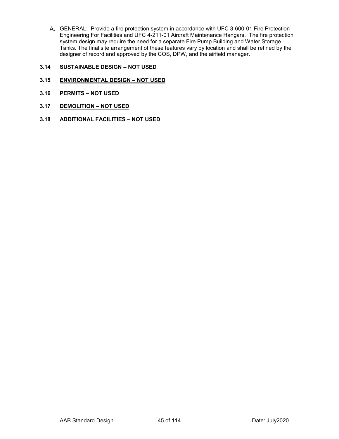GENERAL:Provide a fire protection system in accordance with UFC 3-600-01 Fire Protection Engineering For Facilities and UFC 4-211-01 Aircraft Maintenance Hangars. The fire protection system design may require the need for a separate Fire Pump Building and Water Storage Tanks. The final site arrangement of these features vary by location and shall be refined by the designer of record and approved by the COS, DPW, and the airfield manager.

## **3.14 SUSTAINABLE DESIGN – NOT USED**

- **3.15 ENVIRONMENTAL DESIGN – NOT USED**
- **3.16 PERMITS – NOT USED**
- **3.17 DEMOLITION – NOT USED**
- **3.18 ADDITIONAL FACILITIES – NOT USED**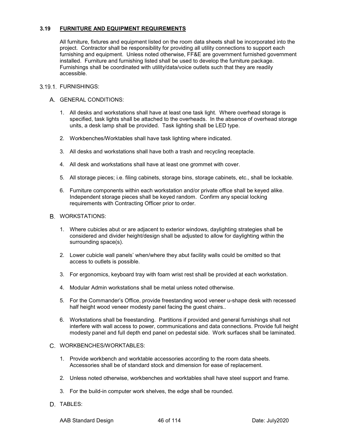#### **3.19 FURNITURE AND EQUIPMENT REQUIREMENTS**

All furniture, fixtures and equipment listed on the room data sheets shall be incorporated into the project. Contractor shall be responsibility for providing all utility connections to support each furnishing and equipment. Unless noted otherwise, FF&E are government furnished government installed. Furniture and furnishing listed shall be used to develop the furniture package. Furnishings shall be coordinated with utility/data/voice outlets such that they are readily accessible.

#### 3.19.1 FURNISHINGS:

#### A. GENERAL CONDITIONS:

- 1. All desks and workstations shall have at least one task light. Where overhead storage is specified, task lights shall be attached to the overheads. In the absence of overhead storage units, a desk lamp shall be provided. Task lighting shall be LED type.
- 2. Workbenches/Worktables shall have task lighting where indicated.
- 3. All desks and workstations shall have both a trash and recycling receptacle.
- 4. All desk and workstations shall have at least one grommet with cover.
- 5. All storage pieces; i.e. filing cabinets, storage bins, storage cabinets, etc., shall be lockable.
- 6. Furniture components within each workstation and/or private office shall be keyed alike. Independent storage pieces shall be keyed random. Confirm any special locking requirements with Contracting Officer prior to order.

#### **B. WORKSTATIONS:**

- 1. Where cubicles abut or are adjacent to exterior windows, daylighting strategies shall be considered and divider height/design shall be adjusted to allow for daylighting within the surrounding space(s).
- 2. Lower cubicle wall panels' when/where they abut facility walls could be omitted so that access to outlets is possible.
- 3. For ergonomics, keyboard tray with foam wrist rest shall be provided at each workstation.
- 4. Modular Admin workstations shall be metal unless noted otherwise.
- 5. For the Commander's Office, provide freestanding wood veneer u-shape desk with recessed half height wood veneer modesty panel facing the guest chairs..
- 6. Workstations shall be freestanding. Partitions if provided and general furnishings shall not interfere with wall access to power, communications and data connections. Provide full height modesty panel and full depth end panel on pedestal side. Work surfaces shall be laminated.

#### C. WORKBENCHES/WORKTABLES:

- 1. Provide workbench and worktable accessories according to the room data sheets. Accessories shall be of standard stock and dimension for ease of replacement.
- 2. Unless noted otherwise, workbenches and worktables shall have steel support and frame.
- 3. For the build-in computer work shelves, the edge shall be rounded.
- D. TABLES: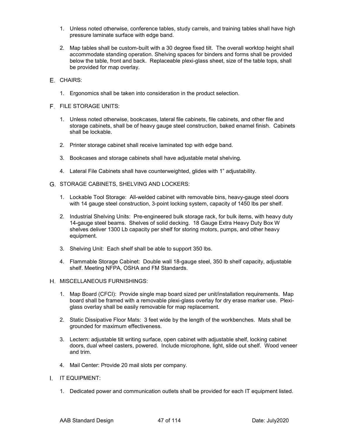- 1. Unless noted otherwise, conference tables, study carrels, and training tables shall have high pressure laminate surface with edge band.
- 2. Map tables shall be custom-built with a 30 degree fixed tilt. The overall worktop height shall accommodate standing operation. Shelving spaces for binders and forms shall be provided below the table, front and back. Replaceable plexi-glass sheet, size of the table tops, shall be provided for map overlay.
- E. CHAIRS:
	- 1. Ergonomics shall be taken into consideration in the product selection.
- F. FILE STORAGE UNITS:
	- 1. Unless noted otherwise, bookcases, lateral file cabinets, file cabinets, and other file and storage cabinets, shall be of heavy gauge steel construction, baked enamel finish. Cabinets shall be lockable.
	- 2. Printer storage cabinet shall receive laminated top with edge band.
	- 3. Bookcases and storage cabinets shall have adjustable metal shelving.
	- 4. Lateral File Cabinets shall have counterweighted, glides with 1" adjustability.
- G. STORAGE CABINETS, SHELVING AND LOCKERS:
	- 1. Lockable Tool Storage: All-welded cabinet with removable bins, heavy-gauge steel doors with 14 gauge steel construction, 3-point locking system, capacity of 1450 lbs per shelf.
	- 2. Industrial Shelving Units: Pre-engineered bulk storage rack, for bulk items, with heavy duty 14-gauge steel beams. Shelves of solid decking. 18 Gauge Extra Heavy Duty Box W shelves deliver 1300 Lb capacity per shelf for storing motors, pumps, and other heavy equipment.
	- 3. Shelving Unit: Each shelf shall be able to support 350 lbs.
	- 4. Flammable Storage Cabinet: Double wall 18-gauge steel, 350 lb shelf capacity, adjustable shelf. Meeting NFPA, OSHA and FM Standards.
- H. MISCELLANEOUS FURNISHINGS:
	- 1. Map Board (CFCI): Provide single map board sized per unit/installation requirements. Map board shall be framed with a removable plexi-glass overlay for dry erase marker use. Plexiglass overlay shall be easily removable for map replacement.
	- 2. Static Dissipative Floor Mats: 3 feet wide by the length of the workbenches. Mats shall be grounded for maximum effectiveness.
	- 3. Lectern: adjustable tilt writing surface, open cabinet with adjustable shelf, locking cabinet doors, dual wheel casters, powered. Include microphone, light, slide out shelf. Wood veneer and trim.
	- 4. Mail Center: Provide 20 mail slots per company.
- I. IT EQUIPMENT:
	- 1. Dedicated power and communication outlets shall be provided for each IT equipment listed.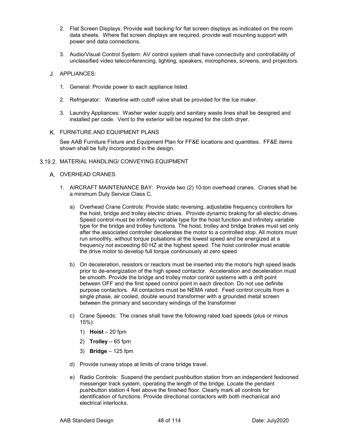- 2. Flat Screen Displays: Provide wall backing for flat screen displays as indicated on the room data sheets. Where flat screen displays are required, provide wall mounting support with power and data connections.
- 3. Audio/Visual Control System: AV control system shall have connectivity and controllability of unclassified video teleconferencing, lighting, speakers, microphones, screens, and projectors.

#### J. APPLIANCES:

- 1. General: Provide power to each appliance listed.
- 2. Refrigerator: Waterline with cutoff valve shall be provided for the Ice maker.
- 3. Laundry Appliances: Washer water supply and sanitary waste lines shall be designed and installed per code. Vent to the exterior will be required for the cloth dryer.
- FURNITURE AND EQUIPMENT PLANS

See AAB Furniture Fixture and Equipment Plan for FF&E locations and quantities. FF&E items shown shall be fully incorporated in the design.

#### 3.19.2. MATERIAL HANDLING/ CONVEYING EQUIPMENT

- A. OVERHEAD CRANES
	- 1. AIRCRAFT MAINTENANCE BAY: Provide two (2) 10-ton overhead cranes. Cranes shall be a minimum Duty Service Class C.
		- a) Overhead Crane Controls: Provide static reversing, adjustable frequency controllers for the hoist, bridge and trolley electric drives. Provide dynamic braking for all electric drives. Speed control must be infinitely variable type for the hoist function and infinitely variable type for the bridge and trolley functions. The hoist, trolley and bridge brakes must set only after the associated controller decelerates the motor to a controlled stop. All motors must run smoothly, without torque pulsations at the lowest speed and be energized at a frequency not exceeding 60 HZ at the highest speed. The hoist controller must enable the drive motor to develop full torque continuously at zero speed
		- b) On deceleration, resistors or reactors must be inserted into the motor's high speed leads prior to de-energization of the high speed contactor. Acceleration and deceleration must be smooth. Provide the bridge and trolley motor control systems with a drift point between OFF and the first speed control point in each direction. Do not use definite purpose contactors. All contactors must be NEMA rated. Feed control circuits from a single phase, air cooled, double wound transformer with a grounded metal screen between the primary and secondary windings of the transformer
		- c) Crane Speeds: The cranes shall have the following rated load speeds (plus or minus 15%):
			- 1) **Hoist** 20 fpm
			- 2) **Trolley**  65 fpm
			- 3) **Bridge**  125 fpm
		- d) Provide runway stops at limits of crane bridge travel.
		- e) Radio Controls: Suspend the pendant pushbutton station from an independent festooned messenger track system, operating the length of the bridge. Locate the pendant pushbutton station 4 feet above the finished floor. Clearly mark all controls for identification of functions. Provide directional contactors with both mechanical and electrical interlocks.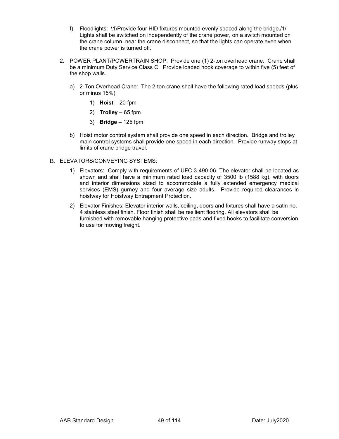- f) Floodlights: \1\Provide four HID fixtures mounted evenly spaced along the bridge./1/ Lights shall be switched on independently of the crane power, on a switch mounted on the crane column, near the crane disconnect, so that the lights can operate even when the crane power is turned off.
- 2. POWER PLANT/POWERTRAIN SHOP: Provide one (1) 2-ton overhead crane. Crane shall be a minimum Duty Service Class C Provide loaded hook coverage to within five (5) feet of the shop walls.
	- a) 2-Ton Overhead Crane: The 2-ton crane shall have the following rated load speeds (plus or minus 15%):
		- 1) **Hoist** 20 fpm
		- 2) **Trolley**  65 fpm
		- 3) **Bridge**  125 fpm
	- b) Hoist motor control system shall provide one speed in each direction. Bridge and trolley main control systems shall provide one speed in each direction. Provide runway stops at limits of crane bridge travel.

#### ELEVATORS/CONVEYING SYSTEMS:

- 1) Elevators:Comply with requirements of UFC 3-490-06. The elevator shall be located as shown and shall have a minimum rated load capacity of 3500 lb (1588 kg), with doors and interior dimensions sized to accommodate a fully extended emergency medical services (EMS) gurney and four average size adults. Provide required clearances in hoistway for Hoistway Entrapment Protection.
- 2) Elevator Finishes: Elevator interior walls, ceiling, doors and fixtures shall have a satin no. 4 stainless steel finish. Floor finish shall be resilient flooring. All elevators shall be furnished with removable hanging protective pads and fixed hooks to facilitate conversion to use for moving freight.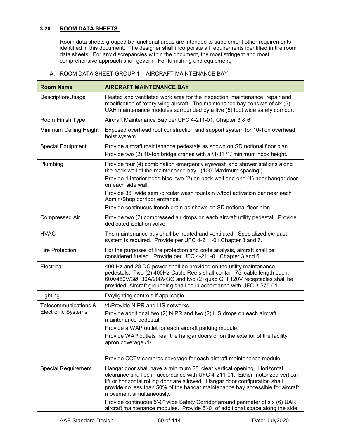## **3.20 ROOM DATA SHEETS:**

Room data sheets grouped by functional areas are intended to supplement other requirements identified in this document. The designer shall incorporate all requirements identified in the room data sheets. For any discrepancies within the document, the most stringent and most comprehensive approach shall govern. For furnishing and equipment,

| <b>Room Name</b>           | <b>AIRCRAFT MAINTENANCE BAY</b>                                                                                                                                                                                                                                                                                                                        |
|----------------------------|--------------------------------------------------------------------------------------------------------------------------------------------------------------------------------------------------------------------------------------------------------------------------------------------------------------------------------------------------------|
| Description/Usage          | Heated and ventilated work area for the inspection, maintenance, repair and<br>modification of rotary-wing aircraft. The maintenance bay consists of six (6)<br>UAH maintenance modules surrounded by a five (5) foot wide safety corridor.                                                                                                            |
| Room Finish Type           | Aircraft Maintenance Bay per UFC 4-211-01, Chapter 3 & 6.                                                                                                                                                                                                                                                                                              |
| Minimum Ceiling Height     | Exposed overhead roof construction and support system for 10-Ton overhead<br>hoist system.                                                                                                                                                                                                                                                             |
| <b>Special Equipment</b>   | Provide aircraft maintenance pedestals as shown on SD notional floor plan.<br>Provide two (2) 10-ton bridge cranes with a \1\31'/1/ minimum hook height.                                                                                                                                                                                               |
| Plumbing                   | Provide four (4) combination emergency eyewash and shower stations along<br>the back wall of the maintenance bay. (100' Maximum spacing.)<br>Provide 4 interior hose bibs, two (2) on back wall and one (1) near hangar door                                                                                                                           |
|                            | on each side wall.                                                                                                                                                                                                                                                                                                                                     |
|                            | Provide 36" wide semi-circular wash fountain w/foot activation bar near each<br>Admin/Shop corridor entrance.                                                                                                                                                                                                                                          |
|                            | Provide continuous trench drain as shown on SD notional floor plan.                                                                                                                                                                                                                                                                                    |
| <b>Compressed Air</b>      | Provide two (2) compressed air drops on each aircraft utility pedestal. Provide<br>dedicated isolation valve.                                                                                                                                                                                                                                          |
| <b>HVAC</b>                | The maintenance bay shall be heated and ventilated. Specialized exhaust<br>system is required. Provide per UFC 4-211-01 Chapter 3 and 6.                                                                                                                                                                                                               |
| <b>Fire Protection</b>     | For the purposes of fire protection and code analysis, aircraft shall be<br>considered fueled. Provide per UFC 4-211-01 Chapter 3 and 6.                                                                                                                                                                                                               |
| Electrical                 | 400 Hz and 28 DC power shall be provided on the utility maintenance<br>pedestals. Two (2) 400Hz Cable Reels shall contain 75' cable length each.<br>60A/480V/3Ø, 30A/208V/3Ø and two (2) quad GFI 120V receptacles shall be<br>provided. Aircraft grounding shall be in accordance with UFC 3-575-01.                                                  |
| Lighting                   | Daylighting controls if applicable.                                                                                                                                                                                                                                                                                                                    |
| Telecommunications &       | \1\Provide NIPR and LIS networks.                                                                                                                                                                                                                                                                                                                      |
| <b>Electronic Systems</b>  | Provide additional two (2) NIPR and two (2) LIS drops on each aircraft<br>maintenance pedestal.                                                                                                                                                                                                                                                        |
|                            | Provide a WAP outlet for each aircraft parking module.                                                                                                                                                                                                                                                                                                 |
|                            | Provide WAP outlets near the hangar doors or on the exterior of the facility<br>apron coverage./1/                                                                                                                                                                                                                                                     |
|                            | Provide CCTV cameras coverage for each aircraft maintenance module.                                                                                                                                                                                                                                                                                    |
| <b>Special Requirement</b> | Hangar door shall have a minimum 28' clear vertical opening. Horizontal<br>clearance shall be in accordance with UFC 4-211-01. Either motorized vertical<br>lift or horizontal rolling door are allowed. Hangar door configuration shall<br>provide no less than 50% of the hangar maintenance bay accessible for aircraft<br>movement simultaneously. |
|                            | Provide continuous 5'-0" wide Safety Corridor around perimeter of six (6) UAR<br>aircraft maintenance modules. Provide 5'-0" of additional space along the side                                                                                                                                                                                        |

A. ROOM DATA SHEET GROUP 1 - AIRCRAFT MAINTENANCE BAY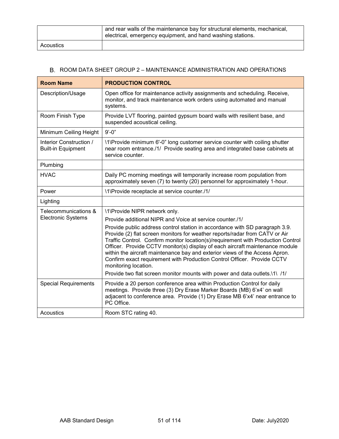|           | and rear walls of the maintenance bay for structural elements, mechanical,<br>electrical, emergency equipment, and hand washing stations. |
|-----------|-------------------------------------------------------------------------------------------------------------------------------------------|
| Acoustics |                                                                                                                                           |

| <b>Room Name</b>                                     | <b>PRODUCTION CONTROL</b>                                                                                                                                                                                                                                                                                                                                                                                                                                                                                        |
|------------------------------------------------------|------------------------------------------------------------------------------------------------------------------------------------------------------------------------------------------------------------------------------------------------------------------------------------------------------------------------------------------------------------------------------------------------------------------------------------------------------------------------------------------------------------------|
| Description/Usage                                    | Open office for maintenance activity assignments and scheduling. Receive,<br>monitor, and track maintenance work orders using automated and manual<br>systems.                                                                                                                                                                                                                                                                                                                                                   |
| Room Finish Type                                     | Provide LVT flooring, painted gypsum board walls with resilient base, and<br>suspended acoustical ceiling.                                                                                                                                                                                                                                                                                                                                                                                                       |
| Minimum Ceiling Height                               | $9' - 0''$                                                                                                                                                                                                                                                                                                                                                                                                                                                                                                       |
| Interior Construction /<br><b>Built-in Equipment</b> | \1\Provide minimum 6'-0" long customer service counter with coiling shutter<br>near room entrance./1/ Provide seating area and integrated base cabinets at<br>service counter.                                                                                                                                                                                                                                                                                                                                   |
| Plumbing                                             |                                                                                                                                                                                                                                                                                                                                                                                                                                                                                                                  |
| <b>HVAC</b>                                          | Daily PC morning meetings will temporarily increase room population from<br>approximately seven (7) to twenty (20) personnel for approximately 1-hour.                                                                                                                                                                                                                                                                                                                                                           |
| Power                                                | \1\Provide receptacle at service counter./1/                                                                                                                                                                                                                                                                                                                                                                                                                                                                     |
| Lighting                                             |                                                                                                                                                                                                                                                                                                                                                                                                                                                                                                                  |
| Telecommunications &                                 | \1\Provide NIPR network only.                                                                                                                                                                                                                                                                                                                                                                                                                                                                                    |
| <b>Electronic Systems</b>                            | Provide additional NIPR and Voice at service counter./1/                                                                                                                                                                                                                                                                                                                                                                                                                                                         |
|                                                      | Provide public address control station in accordance with SD paragraph 3.9.<br>Provide (2) flat screen monitors for weather reports/radar from CATV or Air<br>Traffic Control. Confirm monitor location(s)/requirement with Production Control<br>Officer. Provide CCTV monitor(s) display of each aircraft maintenance module<br>within the aircraft maintenance bay and exterior views of the Access Apron.<br>Confirm exact requirement with Production Control Officer. Provide CCTV<br>monitoring location. |
|                                                      | Provide two flat screen monitor mounts with power and data outlets.\1\ /1/                                                                                                                                                                                                                                                                                                                                                                                                                                       |
| <b>Special Requirements</b>                          | Provide a 20 person conference area within Production Control for daily<br>meetings. Provide three (3) Dry Erase Marker Boards (MB) 6'x4' on wall<br>adjacent to conference area. Provide (1) Dry Erase MB 6'x4' near entrance to<br>PC Office.                                                                                                                                                                                                                                                                  |
| Acoustics                                            | Room STC rating 40.                                                                                                                                                                                                                                                                                                                                                                                                                                                                                              |

## B. ROOM DATA SHEET GROUP 2 - MAINTENANCE ADMINISTRATION AND OPERATIONS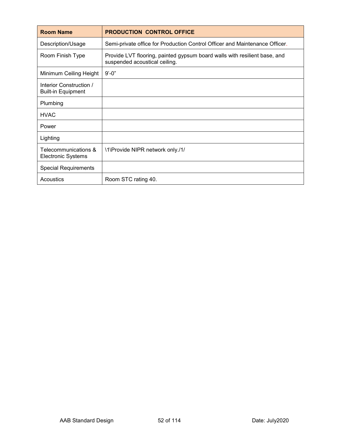| <b>Room Name</b>                                     | <b>PRODUCTION CONTROL OFFICE</b>                                                                           |
|------------------------------------------------------|------------------------------------------------------------------------------------------------------------|
| Description/Usage                                    | Semi-private office for Production Control Officer and Maintenance Officer.                                |
| Room Finish Type                                     | Provide LVT flooring, painted gypsum board walls with resilient base, and<br>suspended acoustical ceiling. |
| Minimum Ceiling Height                               | $9' - 0''$                                                                                                 |
| Interior Construction /<br><b>Built-in Equipment</b> |                                                                                                            |
| Plumbing                                             |                                                                                                            |
| <b>HVAC</b>                                          |                                                                                                            |
| Power                                                |                                                                                                            |
| Lighting                                             |                                                                                                            |
| Telecommunications &<br><b>Electronic Systems</b>    | \1\Provide NIPR network only./1/                                                                           |
| <b>Special Requirements</b>                          |                                                                                                            |
| Acoustics                                            | Room STC rating 40.                                                                                        |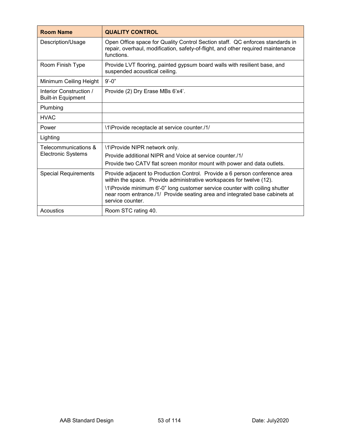| <b>Room Name</b>                                     | <b>QUALITY CONTROL</b>                                                                                                                                                                                                                                                                                                               |
|------------------------------------------------------|--------------------------------------------------------------------------------------------------------------------------------------------------------------------------------------------------------------------------------------------------------------------------------------------------------------------------------------|
| Description/Usage                                    | Open Office space for Quality Control Section staff. QC enforces standards in<br>repair, overhaul, modification, safety-of-flight, and other required maintenance<br>functions.                                                                                                                                                      |
| Room Finish Type                                     | Provide LVT flooring, painted gypsum board walls with resilient base, and<br>suspended acoustical ceiling.                                                                                                                                                                                                                           |
| Minimum Ceiling Height                               | $9' - 0''$                                                                                                                                                                                                                                                                                                                           |
| Interior Construction /<br><b>Built-in Equipment</b> | Provide (2) Dry Erase MBs 6'x4'.                                                                                                                                                                                                                                                                                                     |
| Plumbing                                             |                                                                                                                                                                                                                                                                                                                                      |
| <b>HVAC</b>                                          |                                                                                                                                                                                                                                                                                                                                      |
| Power                                                | \1\Provide receptacle at service counter./1/                                                                                                                                                                                                                                                                                         |
| Lighting                                             |                                                                                                                                                                                                                                                                                                                                      |
| Telecommunications &<br><b>Electronic Systems</b>    | \1\Provide NIPR network only.<br>Provide additional NIPR and Voice at service counter./1/<br>Provide two CATV flat screen monitor mount with power and data outlets.                                                                                                                                                                 |
| <b>Special Requirements</b>                          | Provide adjacent to Production Control. Provide a 6 person conference area<br>within the space. Provide administrative workspaces for twelve (12).<br>\1\Provide minimum 6'-0" long customer service counter with coiling shutter<br>near room entrance./1/ Provide seating area and integrated base cabinets at<br>service counter. |
| Acoustics                                            | Room STC rating 40.                                                                                                                                                                                                                                                                                                                  |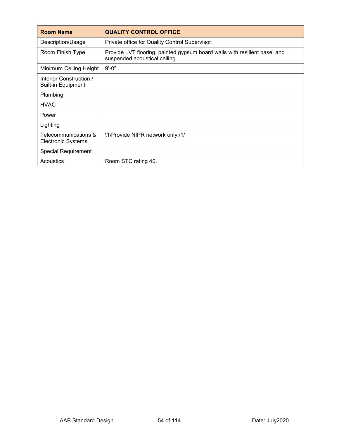| <b>Room Name</b>                                     | <b>QUALITY CONTROL OFFICE</b>                                                                              |
|------------------------------------------------------|------------------------------------------------------------------------------------------------------------|
| Description/Usage                                    | Private office for Quality Control Supervisor.                                                             |
| Room Finish Type                                     | Provide LVT flooring, painted gypsum board walls with resilient base, and<br>suspended acoustical ceiling. |
| Minimum Ceiling Height                               | $9' - 0''$                                                                                                 |
| Interior Construction /<br><b>Built-in Equipment</b> |                                                                                                            |
| Plumbing                                             |                                                                                                            |
| <b>HVAC</b>                                          |                                                                                                            |
| Power                                                |                                                                                                            |
| Lighting                                             |                                                                                                            |
| Telecommunications &<br><b>Electronic Systems</b>    | \1\Provide NIPR network only./1/                                                                           |
| <b>Special Requirement</b>                           |                                                                                                            |
| Acoustics                                            | Room STC rating 40.                                                                                        |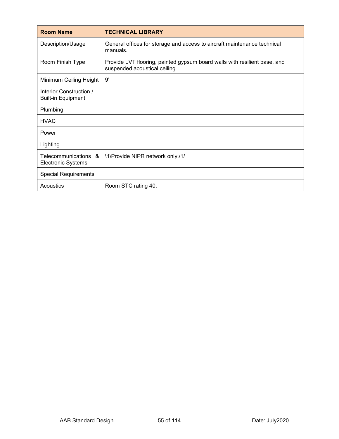| <b>Room Name</b>                                     | <b>TECHNICAL LIBRARY</b>                                                                                   |
|------------------------------------------------------|------------------------------------------------------------------------------------------------------------|
| Description/Usage                                    | General offices for storage and access to aircraft maintenance technical<br>manuals.                       |
| Room Finish Type                                     | Provide LVT flooring, painted gypsum board walls with resilient base, and<br>suspended acoustical ceiling. |
| Minimum Ceiling Height                               | 9'                                                                                                         |
| Interior Construction /<br><b>Built-in Equipment</b> |                                                                                                            |
| Plumbing                                             |                                                                                                            |
| <b>HVAC</b>                                          |                                                                                                            |
| Power                                                |                                                                                                            |
| Lighting                                             |                                                                                                            |
| Telecommunications &<br><b>Electronic Systems</b>    | \1\Provide NIPR network only./1/                                                                           |
| <b>Special Requirements</b>                          |                                                                                                            |
| Acoustics                                            | Room STC rating 40.                                                                                        |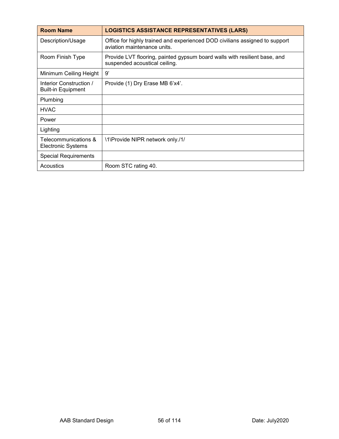| <b>Room Name</b>                                     | <b>LOGISTICS ASSISTANCE REPRESENTATIVES (LARS)</b>                                                         |
|------------------------------------------------------|------------------------------------------------------------------------------------------------------------|
| Description/Usage                                    | Office for highly trained and experienced DOD civilians assigned to support<br>aviation maintenance units. |
| Room Finish Type                                     | Provide LVT flooring, painted gypsum board walls with resilient base, and<br>suspended acoustical ceiling. |
| Minimum Ceiling Height                               | 9'                                                                                                         |
| Interior Construction /<br><b>Built-in Equipment</b> | Provide (1) Dry Erase MB 6'x4'.                                                                            |
| Plumbing                                             |                                                                                                            |
| <b>HVAC</b>                                          |                                                                                                            |
| Power                                                |                                                                                                            |
| Lighting                                             |                                                                                                            |
| Telecommunications &<br><b>Electronic Systems</b>    | \1\Provide NIPR network only./1/                                                                           |
| <b>Special Requirements</b>                          |                                                                                                            |
| Acoustics                                            | Room STC rating 40.                                                                                        |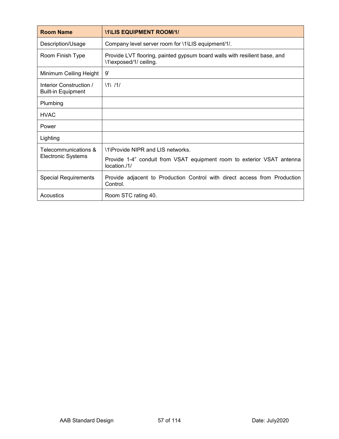| <b>Room Name</b>                                     | <b>ITALIS EQUIPMENT ROOM/1/</b>                                                                     |
|------------------------------------------------------|-----------------------------------------------------------------------------------------------------|
| Description/Usage                                    | Company level server room for \1\LIS equipment/1/.                                                  |
| Room Finish Type                                     | Provide LVT flooring, painted gypsum board walls with resilient base, and<br>\1\exposed/1/ ceiling. |
| Minimum Ceiling Height                               | 9'                                                                                                  |
| Interior Construction /<br><b>Built-in Equipment</b> | 11/11/                                                                                              |
| Plumbing                                             |                                                                                                     |
| <b>HVAC</b>                                          |                                                                                                     |
| Power                                                |                                                                                                     |
| Lighting                                             |                                                                                                     |
| Telecommunications &<br><b>Electronic Systems</b>    | \1\Provide NIPR and LIS networks.                                                                   |
|                                                      | Provide 1-4" conduit from VSAT equipment room to exterior VSAT antenna<br>location./1/              |
| <b>Special Requirements</b>                          | Provide adjacent to Production Control with direct access from Production<br>Control.               |
| Acoustics                                            | Room STC rating 40.                                                                                 |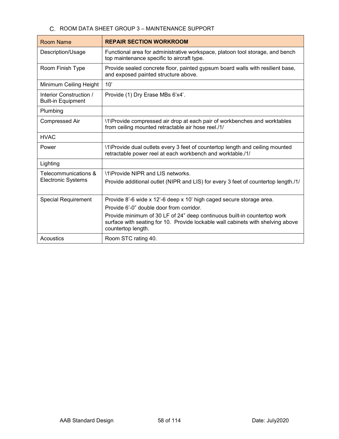## C. ROOM DATA SHEET GROUP 3 - MAINTENANCE SUPPORT

| <b>Room Name</b>                                     | <b>REPAIR SECTION WORKROOM</b>                                                                                                                                                    |
|------------------------------------------------------|-----------------------------------------------------------------------------------------------------------------------------------------------------------------------------------|
| Description/Usage                                    | Functional area for administrative workspace, platoon tool storage, and bench<br>top maintenance specific to aircraft type.                                                       |
| Room Finish Type                                     | Provide sealed concrete floor, painted gypsum board walls with resilient base,<br>and exposed painted structure above.                                                            |
| Minimum Ceiling Height                               | 10'                                                                                                                                                                               |
| Interior Construction /<br><b>Built-in Equipment</b> | Provide (1) Dry Erase MBs 6'x4'.                                                                                                                                                  |
| Plumbing                                             |                                                                                                                                                                                   |
| <b>Compressed Air</b>                                | \1\Provide compressed air drop at each pair of workbenches and worktables<br>from ceiling mounted retractable air hose reel./1/                                                   |
| <b>HVAC</b>                                          |                                                                                                                                                                                   |
| Power                                                | \1\Provide dual outlets every 3 feet of countertop length and ceiling mounted<br>retractable power reel at each workbench and worktable./1/                                       |
| Lighting                                             |                                                                                                                                                                                   |
| Telecommunications &<br><b>Electronic Systems</b>    | \1\Provide NIPR and LIS networks.<br>Provide additional outlet (NIPR and LIS) for every 3 feet of countertop length./1/                                                           |
|                                                      |                                                                                                                                                                                   |
| <b>Special Requirement</b>                           | Provide 8'-6 wide x 12'-6 deep x 10' high caged secure storage area.<br>Provide 6'-0" double door from corridor.                                                                  |
|                                                      | Provide minimum of 30 LF of 24" deep continuous built-in countertop work<br>surface with seating for 10. Provide lockable wall cabinets with shelving above<br>countertop length. |
| Acoustics                                            | Room STC rating 40.                                                                                                                                                               |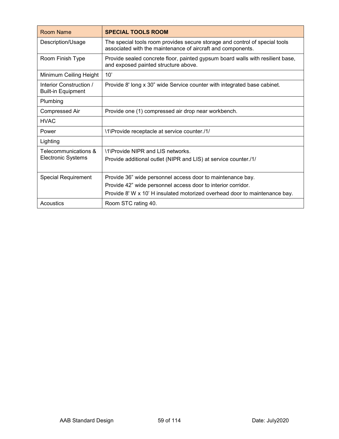| <b>Room Name</b>                                     | <b>SPECIAL TOOLS ROOM</b>                                                                                                                                                                                |
|------------------------------------------------------|----------------------------------------------------------------------------------------------------------------------------------------------------------------------------------------------------------|
| Description/Usage                                    | The special tools room provides secure storage and control of special tools<br>associated with the maintenance of aircraft and components.                                                               |
| Room Finish Type                                     | Provide sealed concrete floor, painted gypsum board walls with resilient base,<br>and exposed painted structure above.                                                                                   |
| Minimum Ceiling Height                               | 10'                                                                                                                                                                                                      |
| Interior Construction /<br><b>Built-in Equipment</b> | Provide 8' long x 30" wide Service counter with integrated base cabinet.                                                                                                                                 |
| Plumbing                                             |                                                                                                                                                                                                          |
| <b>Compressed Air</b>                                | Provide one (1) compressed air drop near workbench.                                                                                                                                                      |
| <b>HVAC</b>                                          |                                                                                                                                                                                                          |
| Power                                                | \1\Provide receptacle at service counter./1/                                                                                                                                                             |
| Lighting                                             |                                                                                                                                                                                                          |
| Telecommunications &<br><b>Electronic Systems</b>    | \1\Provide NIPR and LIS networks.<br>Provide additional outlet (NIPR and LIS) at service counter./1/                                                                                                     |
| <b>Special Requirement</b>                           | Provide 36" wide personnel access door to maintenance bay.<br>Provide 42" wide personnel access door to interior corridor.<br>Provide 8' W x 10' H insulated motorized overhead door to maintenance bay. |
| Acoustics                                            | Room STC rating 40.                                                                                                                                                                                      |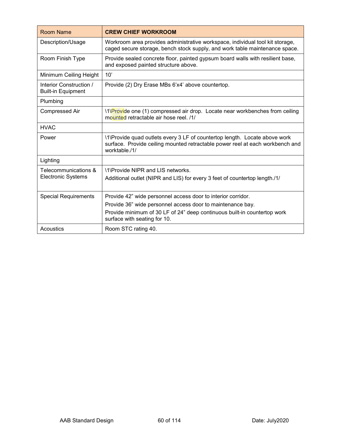| <b>Room Name</b>                                     | <b>CREW CHIEF WORKROOM</b>                                                                                                                                                   |
|------------------------------------------------------|------------------------------------------------------------------------------------------------------------------------------------------------------------------------------|
| Description/Usage                                    | Workroom area provides administrative workspace, individual tool kit storage,<br>caged secure storage, bench stock supply, and work table maintenance space.                 |
| Room Finish Type                                     | Provide sealed concrete floor, painted gypsum board walls with resilient base,<br>and exposed painted structure above.                                                       |
| Minimum Ceiling Height                               | 10'                                                                                                                                                                          |
| Interior Construction /<br><b>Built-in Equipment</b> | Provide (2) Dry Erase MBs 6'x4' above countertop.                                                                                                                            |
| Plumbing                                             |                                                                                                                                                                              |
| <b>Compressed Air</b>                                | \1\Provide one (1) compressed air drop. Locate near workbenches from ceiling<br>mounted retractable air hose reel. /1/                                                       |
| <b>HVAC</b>                                          |                                                                                                                                                                              |
| Power                                                | \1\Provide quad outlets every 3 LF of countertop length. Locate above work<br>surface. Provide ceiling mounted retractable power reel at each workbench and<br>worktable./1/ |
| Lighting                                             |                                                                                                                                                                              |
| Telecommunications &<br><b>Electronic Systems</b>    | \1\Provide NIPR and LIS networks.                                                                                                                                            |
|                                                      | Additional outlet (NIPR and LIS) for every 3 feet of countertop length./1/                                                                                                   |
| <b>Special Requirements</b>                          | Provide 42" wide personnel access door to interior corridor.                                                                                                                 |
|                                                      | Provide 36" wide personnel access door to maintenance bay.                                                                                                                   |
|                                                      | Provide minimum of 30 LF of 24" deep continuous built-in countertop work<br>surface with seating for 10.                                                                     |
| Acoustics                                            | Room STC rating 40.                                                                                                                                                          |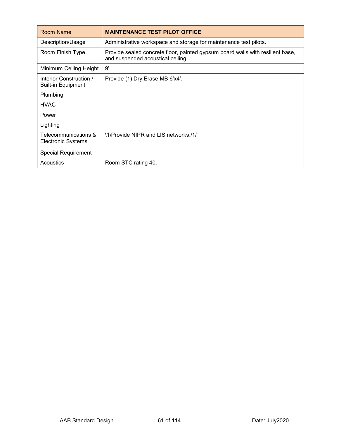| Room Name                                            | <b>MAINTENANCE TEST PILOT OFFICE</b>                                                                                |
|------------------------------------------------------|---------------------------------------------------------------------------------------------------------------------|
| Description/Usage                                    | Administrative workspace and storage for maintenance test pilots.                                                   |
| Room Finish Type                                     | Provide sealed concrete floor, painted gypsum board walls with resilient base,<br>and suspended acoustical ceiling. |
| Minimum Ceiling Height                               | 9'                                                                                                                  |
| Interior Construction /<br><b>Built-in Equipment</b> | Provide (1) Dry Erase MB 6'x4'.                                                                                     |
| Plumbing                                             |                                                                                                                     |
| <b>HVAC</b>                                          |                                                                                                                     |
| Power                                                |                                                                                                                     |
| Lighting                                             |                                                                                                                     |
| Telecommunications &<br>Electronic Systems           | \1\Provide NIPR and LIS networks./1/                                                                                |
| <b>Special Requirement</b>                           |                                                                                                                     |
| Acoustics                                            | Room STC rating 40.                                                                                                 |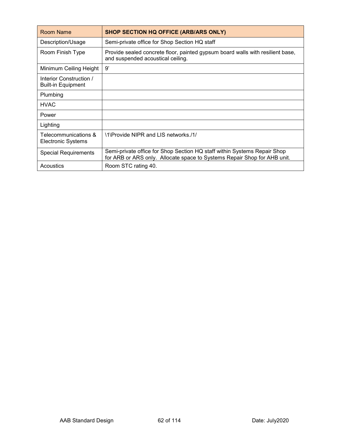| Room Name                                            | <b>SHOP SECTION HQ OFFICE (ARB/ARS ONLY)</b>                                                                                                         |
|------------------------------------------------------|------------------------------------------------------------------------------------------------------------------------------------------------------|
| Description/Usage                                    | Semi-private office for Shop Section HQ staff                                                                                                        |
| Room Finish Type                                     | Provide sealed concrete floor, painted gypsum board walls with resilient base,<br>and suspended acoustical ceiling.                                  |
| Minimum Ceiling Height                               | 9'                                                                                                                                                   |
| Interior Construction /<br><b>Built-in Equipment</b> |                                                                                                                                                      |
| Plumbing                                             |                                                                                                                                                      |
| <b>HVAC</b>                                          |                                                                                                                                                      |
| Power                                                |                                                                                                                                                      |
| Lighting                                             |                                                                                                                                                      |
| Telecommunications &<br>Electronic Systems           | \1\Provide NIPR and LIS networks./1/                                                                                                                 |
| <b>Special Requirements</b>                          | Semi-private office for Shop Section HQ staff within Systems Repair Shop<br>for ARB or ARS only. Allocate space to Systems Repair Shop for AHB unit. |
| Acoustics                                            | Room STC rating 40.                                                                                                                                  |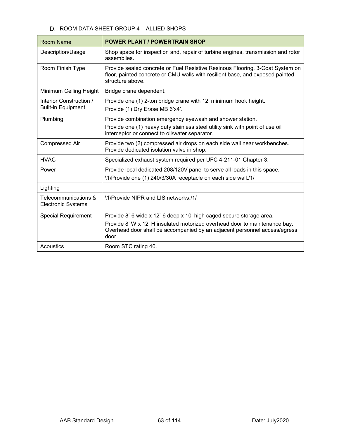## D. ROOM DATA SHEET GROUP 4 - ALLIED SHOPS

| <b>Room Name</b>                                     | <b>POWER PLANT / POWERTRAIN SHOP</b>                                                                                                                                                         |
|------------------------------------------------------|----------------------------------------------------------------------------------------------------------------------------------------------------------------------------------------------|
| Description/Usage                                    | Shop space for inspection and, repair of turbine engines, transmission and rotor<br>assemblies.                                                                                              |
| Room Finish Type                                     | Provide sealed concrete or Fuel Resistive Resinous Flooring, 3-Coat System on<br>floor, painted concrete or CMU walls with resilient base, and exposed painted<br>structure above.           |
| Minimum Ceiling Height                               | Bridge crane dependent.                                                                                                                                                                      |
| Interior Construction /<br><b>Built-in Equipment</b> | Provide one (1) 2-ton bridge crane with 12' minimum hook height.<br>Provide (1) Dry Erase MB 6'x4'.                                                                                          |
| Plumbing                                             | Provide combination emergency eyewash and shower station.<br>Provide one (1) heavy duty stainless steel utility sink with point of use oil<br>interceptor or connect to oil/water separator. |
| <b>Compressed Air</b>                                | Provide two (2) compressed air drops on each side wall near workbenches.<br>Provide dedicated isolation valve in shop.                                                                       |
| <b>HVAC</b>                                          | Specialized exhaust system required per UFC 4-211-01 Chapter 3.                                                                                                                              |
| Power                                                | Provide local dedicated 208/120V panel to serve all loads in this space.<br>\1\Provide one (1) 240/3/30A receptacle on each side wall./1/                                                    |
| Lighting                                             |                                                                                                                                                                                              |
| Telecommunications &<br><b>Electronic Systems</b>    | \1\Provide NIPR and LIS networks /1/                                                                                                                                                         |
| <b>Special Requirement</b>                           | Provide 8'-6 wide x 12'-6 deep x 10' high caged secure storage area.                                                                                                                         |
|                                                      | Provide 8' W x 12' H insulated motorized overhead door to maintenance bay.<br>Overhead door shall be accompanied by an adjacent personnel access/egress<br>door.                             |
| Acoustics                                            | Room STC rating 40.                                                                                                                                                                          |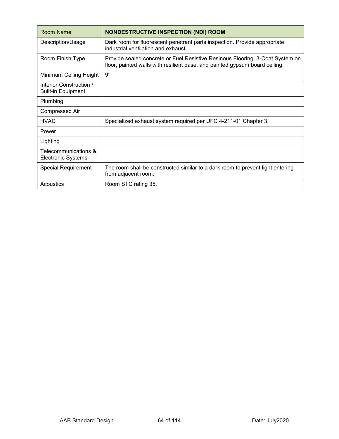| <b>Room Name</b>                                     | <b>NONDESTRUCTIVE INSPECTION (NDI) ROOM</b>                                                                                                                  |
|------------------------------------------------------|--------------------------------------------------------------------------------------------------------------------------------------------------------------|
| Description/Usage                                    | Dark room for fluorescent penetrant parts inspection. Provide appropriate<br>industrial ventilation and exhaust.                                             |
| Room Finish Type                                     | Provide sealed concrete or Fuel Resistive Resinous Flooring, 3-Coat System on<br>floor, painted walls with resilient base, and painted gypsum board ceiling. |
| Minimum Ceiling Height                               | g,                                                                                                                                                           |
| Interior Construction /<br><b>Built-in Equipment</b> |                                                                                                                                                              |
| Plumbing                                             |                                                                                                                                                              |
| <b>Compressed Air</b>                                |                                                                                                                                                              |
| <b>HVAC</b>                                          | Specialized exhaust system required per UFC 4-211-01 Chapter 3.                                                                                              |
| Power                                                |                                                                                                                                                              |
| Lighting                                             |                                                                                                                                                              |
| Telecommunications &<br><b>Electronic Systems</b>    |                                                                                                                                                              |
| <b>Special Requirement</b>                           | The room shall be constructed similar to a dark room to prevent light entering<br>from adjacent room.                                                        |
| Acoustics                                            | Room STC rating 35.                                                                                                                                          |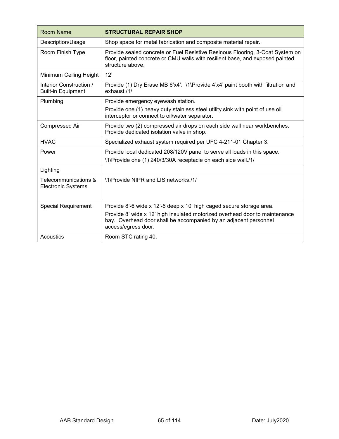| <b>Room Name</b>                                     | <b>STRUCTURAL REPAIR SHOP</b>                                                                                                                                                      |
|------------------------------------------------------|------------------------------------------------------------------------------------------------------------------------------------------------------------------------------------|
| Description/Usage                                    | Shop space for metal fabrication and composite material repair.                                                                                                                    |
| Room Finish Type                                     | Provide sealed concrete or Fuel Resistive Resinous Flooring, 3-Coat System on<br>floor, painted concrete or CMU walls with resilient base, and exposed painted<br>structure above. |
| Minimum Ceiling Height                               | 12'                                                                                                                                                                                |
| Interior Construction /<br><b>Built-in Equipment</b> | Provide (1) Dry Erase MB 6'x4'. \1\Provide 4'x4' paint booth with filtration and<br>exhaust./1/                                                                                    |
| Plumbing                                             | Provide emergency eyewash station.                                                                                                                                                 |
|                                                      | Provide one (1) heavy duty stainless steel utility sink with point of use oil<br>interceptor or connect to oil/water separator.                                                    |
| <b>Compressed Air</b>                                | Provide two (2) compressed air drops on each side wall near workbenches.<br>Provide dedicated isolation valve in shop.                                                             |
| <b>HVAC</b>                                          | Specialized exhaust system required per UFC 4-211-01 Chapter 3.                                                                                                                    |
| Power                                                | Provide local dedicated 208/120V panel to serve all loads in this space.                                                                                                           |
|                                                      | \1\Provide one (1) 240/3/30A receptacle on each side wall./1/                                                                                                                      |
| Lighting                                             |                                                                                                                                                                                    |
| Telecommunications &<br><b>Electronic Systems</b>    | \1\Provide NIPR and LIS networks./1/                                                                                                                                               |
| <b>Special Requirement</b>                           | Provide 8'-6 wide x 12'-6 deep x 10' high caged secure storage area.                                                                                                               |
|                                                      | Provide 8' wide x 12' high insulated motorized overhead door to maintenance<br>bay. Overhead door shall be accompanied by an adjacent personnel<br>access/egress door.             |
| Acoustics                                            | Room STC rating 40.                                                                                                                                                                |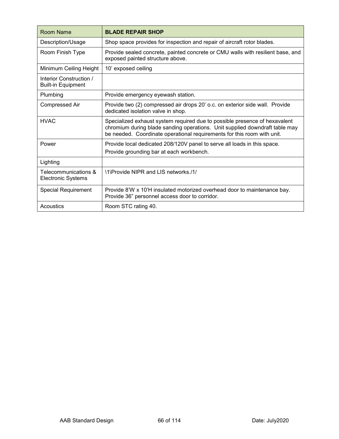| Room Name                                            | <b>BLADE REPAIR SHOP</b>                                                                                                                                                                                                             |
|------------------------------------------------------|--------------------------------------------------------------------------------------------------------------------------------------------------------------------------------------------------------------------------------------|
| Description/Usage                                    | Shop space provides for inspection and repair of aircraft rotor blades.                                                                                                                                                              |
| Room Finish Type                                     | Provide sealed concrete, painted concrete or CMU walls with resilient base, and<br>exposed painted structure above.                                                                                                                  |
| Minimum Ceiling Height                               | 10' exposed ceiling                                                                                                                                                                                                                  |
| Interior Construction /<br><b>Built-in Equipment</b> |                                                                                                                                                                                                                                      |
| Plumbing                                             | Provide emergency eyewash station.                                                                                                                                                                                                   |
| <b>Compressed Air</b>                                | Provide two (2) compressed air drops 20' o.c. on exterior side wall. Provide<br>dedicated isolation valve in shop.                                                                                                                   |
| <b>HVAC</b>                                          | Specialized exhaust system required due to possible presence of hexavalent<br>chromium during blade sanding operations. Unit supplied downdraft table may<br>be needed. Coordinate operational requirements for this room with unit. |
| Power                                                | Provide local dedicated 208/120V panel to serve all loads in this space.<br>Provide grounding bar at each workbench.                                                                                                                 |
| Lighting                                             |                                                                                                                                                                                                                                      |
| Telecommunications &<br><b>Electronic Systems</b>    | \1\Provide NIPR and LIS networks./1/                                                                                                                                                                                                 |
| <b>Special Requirement</b>                           | Provide 8'W x 10'H insulated motorized overhead door to maintenance bay.<br>Provide 36" personnel access door to corridor.                                                                                                           |
| Acoustics                                            | Room STC rating 40.                                                                                                                                                                                                                  |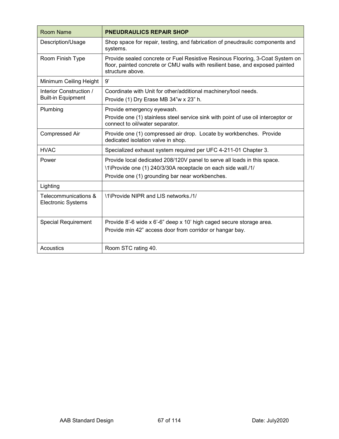| <b>Room Name</b>                                     | <b>PNEUDRAULICS REPAIR SHOP</b>                                                                                                                                                              |
|------------------------------------------------------|----------------------------------------------------------------------------------------------------------------------------------------------------------------------------------------------|
| Description/Usage                                    | Shop space for repair, testing, and fabrication of pneudraulic components and<br>systems.                                                                                                    |
| Room Finish Type                                     | Provide sealed concrete or Fuel Resistive Resinous Flooring, 3-Coat System on<br>floor, painted concrete or CMU walls with resilient base, and exposed painted<br>structure above.           |
| Minimum Ceiling Height                               | 9'                                                                                                                                                                                           |
| Interior Construction /<br><b>Built-in Equipment</b> | Coordinate with Unit for other/additional machinery/tool needs.<br>Provide (1) Dry Erase MB 34"w x 23" h.                                                                                    |
| Plumbing                                             | Provide emergency eyewash.<br>Provide one (1) stainless steel service sink with point of use oil interceptor or<br>connect to oil/water separator.                                           |
| <b>Compressed Air</b>                                | Provide one (1) compressed air drop. Locate by workbenches. Provide<br>dedicated isolation valve in shop.                                                                                    |
| <b>HVAC</b>                                          | Specialized exhaust system required per UFC 4-211-01 Chapter 3.                                                                                                                              |
| Power                                                | Provide local dedicated 208/120V panel to serve all loads in this space.<br>\1\Provide one (1) 240/3/30A receptacle on each side wall./1/<br>Provide one (1) grounding bar near workbenches. |
| Lighting                                             |                                                                                                                                                                                              |
| Telecommunications &<br><b>Electronic Systems</b>    | \1\Provide NIPR and LIS networks./1/                                                                                                                                                         |
| <b>Special Requirement</b>                           | Provide 8'-6 wide x 6'-6" deep x 10' high caged secure storage area.<br>Provide min 42" access door from corridor or hangar bay.                                                             |
| Acoustics                                            | Room STC rating 40.                                                                                                                                                                          |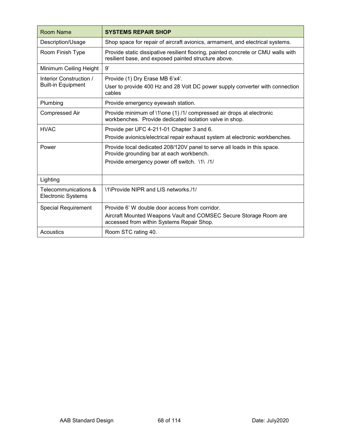| <b>Room Name</b>                                     | <b>SYSTEMS REPAIR SHOP</b>                                                                                                                |
|------------------------------------------------------|-------------------------------------------------------------------------------------------------------------------------------------------|
| Description/Usage                                    | Shop space for repair of aircraft avionics, armament, and electrical systems.                                                             |
| Room Finish Type                                     | Provide static dissipative resilient flooring, painted concrete or CMU walls with<br>resilient base, and exposed painted structure above. |
| Minimum Ceiling Height                               | g,                                                                                                                                        |
| Interior Construction /<br><b>Built-in Equipment</b> | Provide (1) Dry Erase MB 6'x4'.<br>User to provide 400 Hz and 28 Volt DC power supply converter with connection<br>cables                 |
| Plumbing                                             | Provide emergency eyewash station.                                                                                                        |
| <b>Compressed Air</b>                                | Provide minimum of \1\one (1) /1/ compressed air drops at electronic<br>workbenches. Provide dedicated isolation valve in shop.           |
| <b>HVAC</b>                                          | Provide per UFC 4-211-01 Chapter 3 and 6.                                                                                                 |
|                                                      | Provide avionics/electrical repair exhaust system at electronic workbenches.                                                              |
| Power                                                | Provide local dedicated 208/120V panel to serve all loads in this space.<br>Provide grounding bar at each workbench.                      |
|                                                      | Provide emergency power off switch. \1\ /1/                                                                                               |
| Lighting                                             |                                                                                                                                           |
| Telecommunications &<br><b>Electronic Systems</b>    | \1\Provide NIPR and LIS networks./1/                                                                                                      |
| <b>Special Requirement</b>                           | Provide 6' W double door access from corridor.                                                                                            |
|                                                      | Aircraft Mounted Weapons Vault and COMSEC Secure Storage Room are<br>accessed from within Systems Repair Shop.                            |
| Acoustics                                            | Room STC rating 40.                                                                                                                       |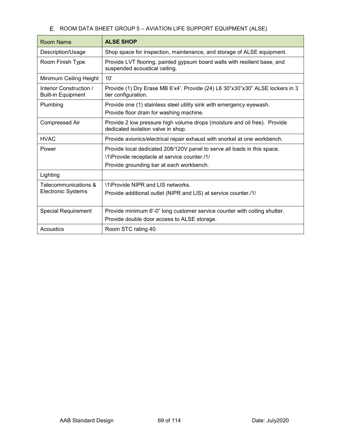# E. ROOM DATA SHEET GROUP 5 - AVIATION LIFE SUPPORT EQUIPMENT (ALSE)

| Room Name                                            | <b>ALSE SHOP</b>                                                                                                                                                     |
|------------------------------------------------------|----------------------------------------------------------------------------------------------------------------------------------------------------------------------|
| Description/Usage                                    | Shop space for inspection, maintenance, and storage of ALSE equipment.                                                                                               |
| Room Finish Type                                     | Provide LVT flooring, painted gypsum board walls with resilient base, and<br>suspended acoustical ceiling.                                                           |
| Minimum Ceiling Height                               | 10'                                                                                                                                                                  |
| Interior Construction /<br><b>Built-in Equipment</b> | Provide (1) Dry Erase MB 6'x4'. Provide (24) L6 30"x30"x30" ALSE lockers in 3<br>tier configuration.                                                                 |
| Plumbing                                             | Provide one (1) stainless steel utility sink with emergency eyewash.<br>Provide floor drain for washing machine.                                                     |
| <b>Compressed Air</b>                                | Provide 2 low pressure high volume drops (moisture and oil free). Provide<br>dedicated isolation valve in shop.                                                      |
| <b>HVAC</b>                                          | Provide avionics/electrical repair exhaust with snorkel at one workbench.                                                                                            |
| Power                                                | Provide local dedicated 208/120V panel to serve all loads in this space.<br>\1\Provide receptacle at service counter./1/<br>Provide grounding bar at each workbench. |
| Lighting                                             |                                                                                                                                                                      |
| Telecommunications &<br><b>Electronic Systems</b>    | \1\Provide NIPR and LIS networks.<br>Provide additional outlet (NIPR and LIS) at service counter./1/                                                                 |
| <b>Special Requirement</b>                           | Provide minimum 6'-0" long customer service counter with coiling shutter.<br>Provide double door access to ALSE storage.                                             |
| Acoustics                                            | Room STC rating 40.                                                                                                                                                  |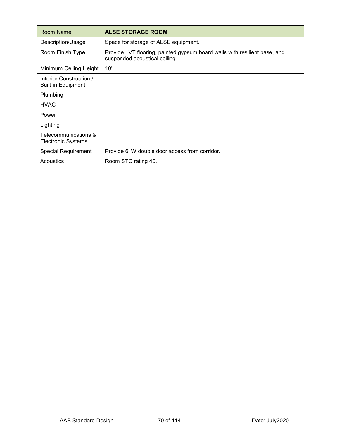| Room Name                                            | <b>ALSE STORAGE ROOM</b>                                                                                   |
|------------------------------------------------------|------------------------------------------------------------------------------------------------------------|
| Description/Usage                                    | Space for storage of ALSE equipment.                                                                       |
| Room Finish Type                                     | Provide LVT flooring, painted gypsum board walls with resilient base, and<br>suspended acoustical ceiling. |
| Minimum Ceiling Height                               | 10'                                                                                                        |
| Interior Construction /<br><b>Built-in Equipment</b> |                                                                                                            |
| Plumbing                                             |                                                                                                            |
| <b>HVAC</b>                                          |                                                                                                            |
| Power                                                |                                                                                                            |
| Lighting                                             |                                                                                                            |
| Telecommunications &<br><b>Electronic Systems</b>    |                                                                                                            |
| <b>Special Requirement</b>                           | Provide 6' W double door access from corridor.                                                             |
| Acoustics                                            | Room STC rating 40.                                                                                        |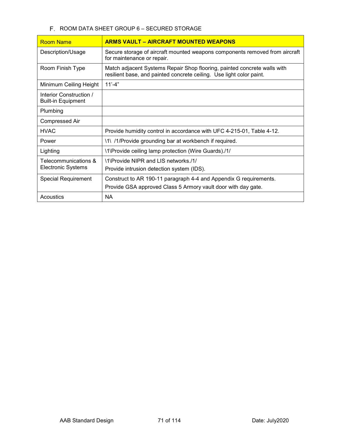## F. ROOM DATA SHEET GROUP 6 - SECURED STORAGE

| <b>Room Name</b>                                     | <b>ARMS VAULT – AIRCRAFT MOUNTED WEAPONS</b>                                                                                                     |
|------------------------------------------------------|--------------------------------------------------------------------------------------------------------------------------------------------------|
| Description/Usage                                    | Secure storage of aircraft mounted weapons components removed from aircraft<br>for maintenance or repair.                                        |
| Room Finish Type                                     | Match adjacent Systems Repair Shop flooring, painted concrete walls with<br>resilient base, and painted concrete ceiling. Use light color paint. |
| Minimum Ceiling Height                               | $11' - 4"$                                                                                                                                       |
| Interior Construction /<br><b>Built-in Equipment</b> |                                                                                                                                                  |
| Plumbing                                             |                                                                                                                                                  |
| <b>Compressed Air</b>                                |                                                                                                                                                  |
| <b>HVAC</b>                                          | Provide humidity control in accordance with UFC 4-215-01, Table 4-12.                                                                            |
| Power                                                | \1\ /1/Provide grounding bar at workbench if required.                                                                                           |
| Lighting                                             | \1\Provide ceiling lamp protection (Wire Guards)./1/                                                                                             |
| Telecommunications &<br><b>Electronic Systems</b>    | \1\Provide NIPR and LIS networks /1/                                                                                                             |
|                                                      | Provide intrusion detection system (IDS).                                                                                                        |
| <b>Special Requirement</b>                           | Construct to AR 190-11 paragraph 4-4 and Appendix G requirements.                                                                                |
|                                                      | Provide GSA approved Class 5 Armory vault door with day gate.                                                                                    |
| Acoustics                                            | <b>NA</b>                                                                                                                                        |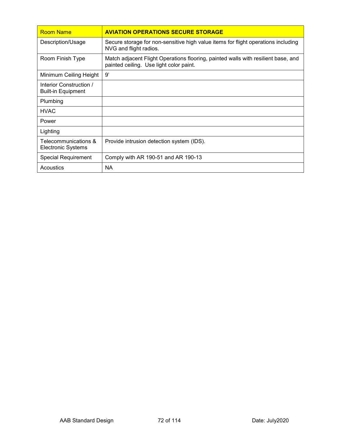| <b>Room Name</b>                                     | <b>AVIATION OPERATIONS SECURE STORAGE</b>                                                                                    |
|------------------------------------------------------|------------------------------------------------------------------------------------------------------------------------------|
| Description/Usage                                    | Secure storage for non-sensitive high value items for flight operations including<br>NVG and flight radios.                  |
| Room Finish Type                                     | Match adjacent Flight Operations flooring, painted walls with resilient base, and<br>painted ceiling. Use light color paint. |
| Minimum Ceiling Height                               | 9'                                                                                                                           |
| Interior Construction /<br><b>Built-in Equipment</b> |                                                                                                                              |
| Plumbing                                             |                                                                                                                              |
| <b>HVAC</b>                                          |                                                                                                                              |
| Power                                                |                                                                                                                              |
| Lighting                                             |                                                                                                                              |
| Telecommunications &<br>Electronic Systems           | Provide intrusion detection system (IDS).                                                                                    |
| <b>Special Requirement</b>                           | Comply with AR 190-51 and AR 190-13                                                                                          |
| Acoustics                                            | <b>NA</b>                                                                                                                    |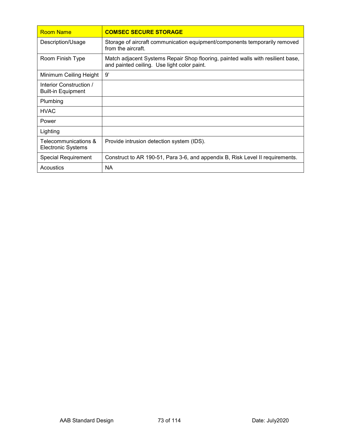| <b>Room Name</b>                                     | <b>COMSEC SECURE STORAGE</b>                                                                                                   |
|------------------------------------------------------|--------------------------------------------------------------------------------------------------------------------------------|
| Description/Usage                                    | Storage of aircraft communication equipment/components temporarily removed<br>from the aircraft.                               |
| Room Finish Type                                     | Match adjacent Systems Repair Shop flooring, painted walls with resilient base,<br>and painted ceiling. Use light color paint. |
| Minimum Ceiling Height                               | 9'                                                                                                                             |
| Interior Construction /<br><b>Built-in Equipment</b> |                                                                                                                                |
| Plumbing                                             |                                                                                                                                |
| <b>HVAC</b>                                          |                                                                                                                                |
| Power                                                |                                                                                                                                |
| Lighting                                             |                                                                                                                                |
| Telecommunications &<br>Electronic Systems           | Provide intrusion detection system (IDS).                                                                                      |
| <b>Special Requirement</b>                           | Construct to AR 190-51, Para 3-6, and appendix B, Risk Level II requirements.                                                  |
| Acoustics                                            | <b>NA</b>                                                                                                                      |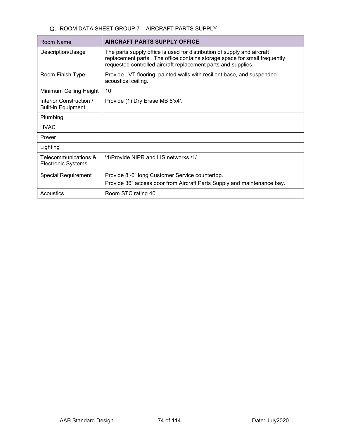### G. ROOM DATA SHEET GROUP 7 - AIRCRAFT PARTS SUPPLY

| Room Name                                            | <b>AIRCRAFT PARTS SUPPLY OFFICE</b>                                                                                                                                                                                   |
|------------------------------------------------------|-----------------------------------------------------------------------------------------------------------------------------------------------------------------------------------------------------------------------|
| Description/Usage                                    | The parts supply office is used for distribution of supply and aircraft<br>replacement parts. The office contains storage space for small frequently<br>requested controlled aircraft replacement parts and supplies. |
| Room Finish Type                                     | Provide LVT flooring, painted walls with resilient base, and suspended<br>acoustical ceiling.                                                                                                                         |
| Minimum Ceiling Height                               | 10'                                                                                                                                                                                                                   |
| Interior Construction /<br><b>Built-in Equipment</b> | Provide (1) Dry Erase MB 6'x4'.                                                                                                                                                                                       |
| Plumbing                                             |                                                                                                                                                                                                                       |
| <b>HVAC</b>                                          |                                                                                                                                                                                                                       |
| Power                                                |                                                                                                                                                                                                                       |
| Lighting                                             |                                                                                                                                                                                                                       |
| Telecommunications &<br><b>Electronic Systems</b>    | \1\Provide NIPR and LIS networks./1/                                                                                                                                                                                  |
| <b>Special Requirement</b>                           | Provide 8'-0" long Customer Service countertop.                                                                                                                                                                       |
|                                                      | Provide 36" access door from Aircraft Parts Supply and maintenance bay.                                                                                                                                               |
| Acoustics                                            | Room STC rating 40.                                                                                                                                                                                                   |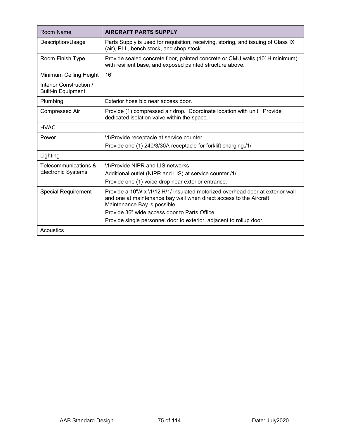| Room Name                                            | <b>AIRCRAFT PARTS SUPPLY</b>                                                                                                                                                         |
|------------------------------------------------------|--------------------------------------------------------------------------------------------------------------------------------------------------------------------------------------|
| Description/Usage                                    | Parts Supply is used for requisition, receiving, storing, and issuing of Class IX<br>(air), PLL, bench stock, and shop stock.                                                        |
| Room Finish Type                                     | Provide sealed concrete floor, painted concrete or CMU walls (10' H minimum)<br>with resilient base, and exposed painted structure above.                                            |
| Minimum Ceiling Height                               | 16'                                                                                                                                                                                  |
| Interior Construction /<br><b>Built-in Equipment</b> |                                                                                                                                                                                      |
| Plumbing                                             | Exterior hose bib near access door.                                                                                                                                                  |
| <b>Compressed Air</b>                                | Provide (1) compressed air drop. Coordinate location with unit. Provide<br>dedicated isolation valve within the space.                                                               |
| <b>HVAC</b>                                          |                                                                                                                                                                                      |
| Power                                                | \1\Provide receptacle at service counter.                                                                                                                                            |
|                                                      | Provide one (1) 240/3/30A receptacle for forklift charging./1/                                                                                                                       |
| Lighting                                             |                                                                                                                                                                                      |
| Telecommunications &                                 | \1\Provide NIPR and LIS networks.                                                                                                                                                    |
| <b>Electronic Systems</b>                            | Additional outlet (NIPR and LIS) at service counter./1/                                                                                                                              |
|                                                      | Provide one (1) voice drop near exterior entrance.                                                                                                                                   |
| <b>Special Requirement</b>                           | Provide a 10'W x \1\12'H/1/ insulated motorized overhead door at exterior wall<br>and one at maintenance bay wall when direct access to the Aircraft<br>Maintenance Bay is possible. |
|                                                      | Provide 36" wide access door to Parts Office.                                                                                                                                        |
|                                                      | Provide single personnel door to exterior, adjacent to rollup door.                                                                                                                  |
| Acoustics                                            |                                                                                                                                                                                      |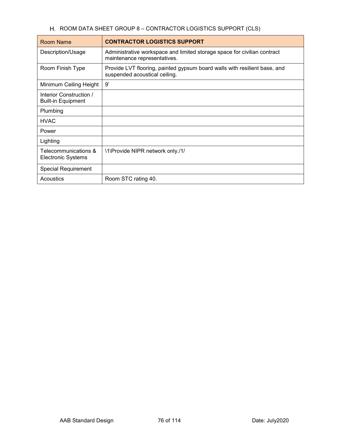# H. ROOM DATA SHEET GROUP 8 - CONTRACTOR LOGISTICS SUPPORT (CLS)

| Room Name                                            | <b>CONTRACTOR LOGISTICS SUPPORT</b>                                                                        |
|------------------------------------------------------|------------------------------------------------------------------------------------------------------------|
| Description/Usage                                    | Administrative workspace and limited storage space for civilian contract<br>maintenance representatives.   |
| Room Finish Type                                     | Provide LVT flooring, painted gypsum board walls with resilient base, and<br>suspended acoustical ceiling. |
| Minimum Ceiling Height                               | 9'                                                                                                         |
| Interior Construction /<br><b>Built-in Equipment</b> |                                                                                                            |
| Plumbing                                             |                                                                                                            |
| <b>HVAC</b>                                          |                                                                                                            |
| Power                                                |                                                                                                            |
| Lighting                                             |                                                                                                            |
| Telecommunications &<br><b>Electronic Systems</b>    | \1\Provide NIPR network only./1/                                                                           |
| <b>Special Requirement</b>                           |                                                                                                            |
| Acoustics                                            | Room STC rating 40.                                                                                        |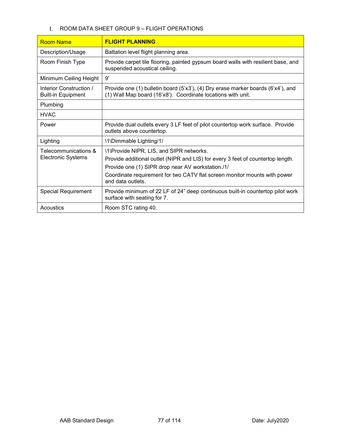### I. ROOM DATA SHEET GROUP 9 - FLIGHT OPERATIONS

| <b>Room Name</b>                                     | <b>FLIGHT PLANNING</b>                                                                                                                                                                                                                                                             |
|------------------------------------------------------|------------------------------------------------------------------------------------------------------------------------------------------------------------------------------------------------------------------------------------------------------------------------------------|
| Description/Usage                                    | Battalion level flight planning area.                                                                                                                                                                                                                                              |
| Room Finish Type                                     | Provide carpet tile flooring, painted gypsum board walls with resilient base, and<br>suspended acoustical ceiling.                                                                                                                                                                 |
| Minimum Ceiling Height                               | 9'                                                                                                                                                                                                                                                                                 |
| Interior Construction /<br><b>Built-in Equipment</b> | Provide one (1) bulletin board (5'x3'), (4) Dry erase marker boards (6'x4'), and<br>(1) Wall Map board (16'x8'). Coordinate locations with unit.                                                                                                                                   |
| Plumbing                                             |                                                                                                                                                                                                                                                                                    |
| <b>HVAC</b>                                          |                                                                                                                                                                                                                                                                                    |
| Power                                                | Provide dual outlets every 3 LF feet of pilot countertop work surface. Provide<br>outlets above countertop.                                                                                                                                                                        |
| Lighting                                             | \1\Dimmable Lighting/1/                                                                                                                                                                                                                                                            |
| Telecommunications &<br><b>Electronic Systems</b>    | \1\Provide NIPR, LIS, and SIPR networks.<br>Provide additional outlet (NIPR and LIS) for every 3 feet of countertop length.<br>Provide one (1) SIPR drop near AV workstation./1/<br>Coordinate requirement for two CATV flat screen monitor mounts with power<br>and data outlets. |
| <b>Special Requirement</b>                           | Provide minimum of 22 LF of 24" deep continuous built-in countertop pilot work<br>surface with seating for 7.                                                                                                                                                                      |
| Acoustics                                            | Room STC rating 40.                                                                                                                                                                                                                                                                |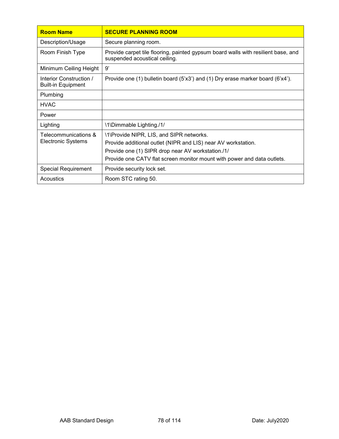| <b>Room Name</b>                                     | <b>SECURE PLANNING ROOM</b>                                                                                                                                                                                                               |
|------------------------------------------------------|-------------------------------------------------------------------------------------------------------------------------------------------------------------------------------------------------------------------------------------------|
| Description/Usage                                    | Secure planning room.                                                                                                                                                                                                                     |
| Room Finish Type                                     | Provide carpet tile flooring, painted gypsum board walls with resilient base, and<br>suspended acoustical ceiling.                                                                                                                        |
| Minimum Ceiling Height                               | 9'                                                                                                                                                                                                                                        |
| Interior Construction /<br><b>Built-in Equipment</b> | Provide one (1) bulletin board (5'x3') and (1) Dry erase marker board (6'x4').                                                                                                                                                            |
| Plumbing                                             |                                                                                                                                                                                                                                           |
| <b>HVAC</b>                                          |                                                                                                                                                                                                                                           |
| Power                                                |                                                                                                                                                                                                                                           |
| Lighting                                             | \1\Dimmable Lighting./1/                                                                                                                                                                                                                  |
| Telecommunications &<br><b>Electronic Systems</b>    | \1\Provide NIPR, LIS, and SIPR networks.<br>Provide additional outlet (NIPR and LIS) near AV workstation.<br>Provide one (1) SIPR drop near AV workstation./1/<br>Provide one CATV flat screen monitor mount with power and data outlets. |
| <b>Special Requirement</b>                           | Provide security lock set.                                                                                                                                                                                                                |
| Acoustics                                            | Room STC rating 50.                                                                                                                                                                                                                       |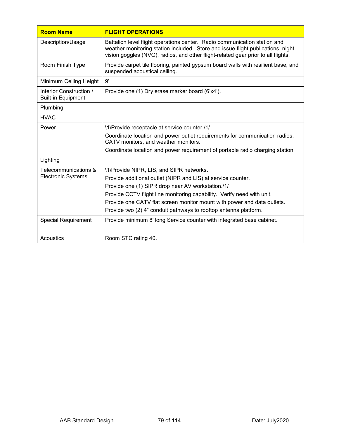| <b>Room Name</b>                                     | <b>FLIGHT OPERATIONS</b>                                                                                                                                                                                                                          |
|------------------------------------------------------|---------------------------------------------------------------------------------------------------------------------------------------------------------------------------------------------------------------------------------------------------|
| Description/Usage                                    | Battalion level flight operations center. Radio communication station and<br>weather monitoring station included. Store and issue flight publications, night<br>vision goggles (NVG), radios, and other flight-related gear prior to all flights. |
| Room Finish Type                                     | Provide carpet tile flooring, painted gypsum board walls with resilient base, and<br>suspended acoustical ceiling.                                                                                                                                |
| Minimum Ceiling Height                               | g'                                                                                                                                                                                                                                                |
| Interior Construction /<br><b>Built-in Equipment</b> | Provide one (1) Dry erase marker board (6'x4').                                                                                                                                                                                                   |
| Plumbing                                             |                                                                                                                                                                                                                                                   |
| <b>HVAC</b>                                          |                                                                                                                                                                                                                                                   |
| Power                                                | \1\Provide receptacle at service counter./1/                                                                                                                                                                                                      |
|                                                      | Coordinate location and power outlet requirements for communication radios,<br>CATV monitors, and weather monitors.                                                                                                                               |
|                                                      | Coordinate location and power requirement of portable radio charging station.                                                                                                                                                                     |
| Lighting                                             |                                                                                                                                                                                                                                                   |
| Telecommunications &                                 | \1\Provide NIPR, LIS, and SIPR networks.                                                                                                                                                                                                          |
| <b>Electronic Systems</b>                            | Provide additional outlet (NIPR and LIS) at service counter.                                                                                                                                                                                      |
|                                                      | Provide one (1) SIPR drop near AV workstation./1/                                                                                                                                                                                                 |
|                                                      | Provide CCTV flight line monitoring capability. Verify need with unit.                                                                                                                                                                            |
|                                                      | Provide one CATV flat screen monitor mount with power and data outlets.                                                                                                                                                                           |
|                                                      | Provide two (2) 4" conduit pathways to rooftop antenna platform.                                                                                                                                                                                  |
| <b>Special Requirement</b>                           | Provide minimum 8' long Service counter with integrated base cabinet.                                                                                                                                                                             |
| Acoustics                                            | Room STC rating 40.                                                                                                                                                                                                                               |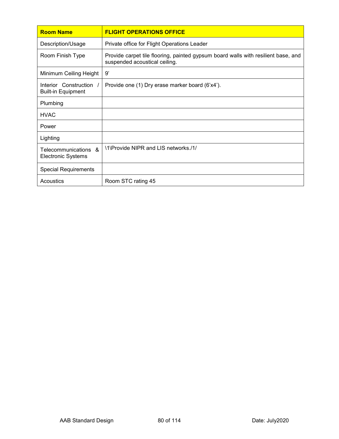| <b>Room Name</b>                                   | <b>FLIGHT OPERATIONS OFFICE</b>                                                                                    |
|----------------------------------------------------|--------------------------------------------------------------------------------------------------------------------|
| Description/Usage                                  | Private office for Flight Operations Leader                                                                        |
| Room Finish Type                                   | Provide carpet tile flooring, painted gypsum board walls with resilient base, and<br>suspended acoustical ceiling. |
| Minimum Ceiling Height                             | 9'                                                                                                                 |
| Interior Construction<br><b>Built-in Equipment</b> | Provide one (1) Dry erase marker board (6'x4').                                                                    |
| Plumbing                                           |                                                                                                                    |
| <b>HVAC</b>                                        |                                                                                                                    |
| Power                                              |                                                                                                                    |
| Lighting                                           |                                                                                                                    |
| Telecommunications &<br><b>Electronic Systems</b>  | \1\Provide NIPR and LIS networks./1/                                                                               |
| <b>Special Requirements</b>                        |                                                                                                                    |
| Acoustics                                          | Room STC rating 45                                                                                                 |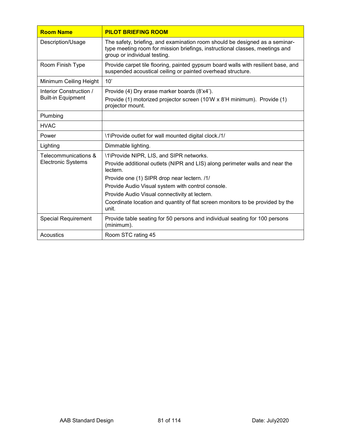| <b>Room Name</b>                                     | <b>PILOT BRIEFING ROOM</b>                                                                                                                                                                                                                                                                                                                                                           |
|------------------------------------------------------|--------------------------------------------------------------------------------------------------------------------------------------------------------------------------------------------------------------------------------------------------------------------------------------------------------------------------------------------------------------------------------------|
| Description/Usage                                    | The safety, briefing, and examination room should be designed as a seminar-<br>type meeting room for mission briefings, instructional classes, meetings and<br>group or individual testing.                                                                                                                                                                                          |
| Room Finish Type                                     | Provide carpet tile flooring, painted gypsum board walls with resilient base, and<br>suspended acoustical ceiling or painted overhead structure.                                                                                                                                                                                                                                     |
| Minimum Ceiling Height                               | 10'                                                                                                                                                                                                                                                                                                                                                                                  |
| Interior Construction /<br><b>Built-in Equipment</b> | Provide (4) Dry erase marker boards (8'x4').<br>Provide (1) motorized projector screen (10'W x 8'H minimum). Provide (1)<br>projector mount.                                                                                                                                                                                                                                         |
| Plumbing                                             |                                                                                                                                                                                                                                                                                                                                                                                      |
| <b>HVAC</b>                                          |                                                                                                                                                                                                                                                                                                                                                                                      |
| Power                                                | \1\Provide outlet for wall mounted digital clock./1/                                                                                                                                                                                                                                                                                                                                 |
| Lighting                                             | Dimmable lighting.                                                                                                                                                                                                                                                                                                                                                                   |
| Telecommunications &<br><b>Electronic Systems</b>    | \1\Provide NIPR, LIS, and SIPR networks.<br>Provide additional outlets (NIPR and LIS) along perimeter walls and near the<br>lectern.<br>Provide one (1) SIPR drop near lectern. /1/<br>Provide Audio Visual system with control console.<br>Provide Audio Visual connectivity at lectern.<br>Coordinate location and quantity of flat screen monitors to be provided by the<br>unit. |
| <b>Special Requirement</b>                           | Provide table seating for 50 persons and individual seating for 100 persons<br>(minimum).                                                                                                                                                                                                                                                                                            |
| Acoustics                                            | Room STC rating 45                                                                                                                                                                                                                                                                                                                                                                   |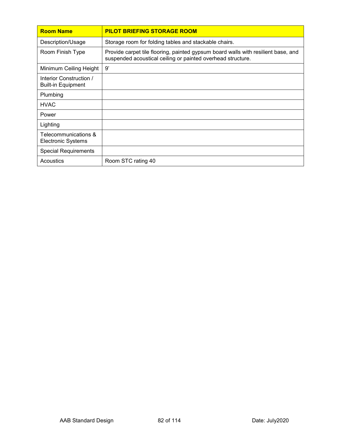| <b>Room Name</b>                                     | <b>PILOT BRIEFING STORAGE ROOM</b>                                                                                                               |
|------------------------------------------------------|--------------------------------------------------------------------------------------------------------------------------------------------------|
| Description/Usage                                    | Storage room for folding tables and stackable chairs.                                                                                            |
| Room Finish Type                                     | Provide carpet tile flooring, painted gypsum board walls with resilient base, and<br>suspended acoustical ceiling or painted overhead structure. |
| Minimum Ceiling Height                               | 9'                                                                                                                                               |
| Interior Construction /<br><b>Built-in Equipment</b> |                                                                                                                                                  |
| Plumbing                                             |                                                                                                                                                  |
| <b>HVAC</b>                                          |                                                                                                                                                  |
| Power                                                |                                                                                                                                                  |
| Lighting                                             |                                                                                                                                                  |
| Telecommunications &<br><b>Electronic Systems</b>    |                                                                                                                                                  |
| <b>Special Requirements</b>                          |                                                                                                                                                  |
| Acoustics                                            | Room STC rating 40                                                                                                                               |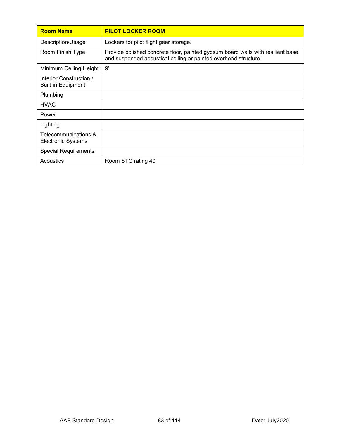| <b>Room Name</b>                                     | <b>PILOT LOCKER ROOM</b>                                                                                                                            |
|------------------------------------------------------|-----------------------------------------------------------------------------------------------------------------------------------------------------|
| Description/Usage                                    | Lockers for pilot flight gear storage.                                                                                                              |
| Room Finish Type                                     | Provide polished concrete floor, painted gypsum board walls with resilient base,<br>and suspended acoustical ceiling or painted overhead structure. |
| Minimum Ceiling Height                               | 9'                                                                                                                                                  |
| Interior Construction /<br><b>Built-in Equipment</b> |                                                                                                                                                     |
| Plumbing                                             |                                                                                                                                                     |
| <b>HVAC</b>                                          |                                                                                                                                                     |
| Power                                                |                                                                                                                                                     |
| Lighting                                             |                                                                                                                                                     |
| Telecommunications &<br><b>Electronic Systems</b>    |                                                                                                                                                     |
| <b>Special Requirements</b>                          |                                                                                                                                                     |
| Acoustics                                            | Room STC rating 40                                                                                                                                  |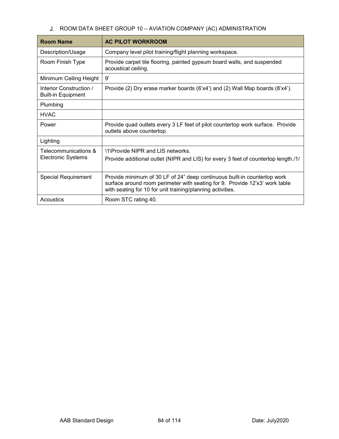# J. ROOM DATA SHEET GROUP 10 - AVIATION COMPANY (AC) ADMINISTRATION

| <b>Room Name</b>                                     | <b>AC PILOT WORKROOM</b>                                                                                                                                                                                              |
|------------------------------------------------------|-----------------------------------------------------------------------------------------------------------------------------------------------------------------------------------------------------------------------|
| Description/Usage                                    | Company level pilot training/flight planning workspace.                                                                                                                                                               |
| Room Finish Type                                     | Provide carpet tile flooring, painted gypsum board walls, and suspended<br>acoustical ceiling.                                                                                                                        |
| Minimum Ceiling Height                               | 9'                                                                                                                                                                                                                    |
| Interior Construction /<br><b>Built-in Equipment</b> | Provide (2) Dry erase marker boards $(6'x4')$ and (2) Wall Map boards $(8'x4')$ .                                                                                                                                     |
| Plumbing                                             |                                                                                                                                                                                                                       |
| <b>HVAC</b>                                          |                                                                                                                                                                                                                       |
| Power                                                | Provide quad outlets every 3 LF feet of pilot countertop work surface. Provide<br>outlets above countertop.                                                                                                           |
| Lighting                                             |                                                                                                                                                                                                                       |
| Telecommunications &<br><b>Electronic Systems</b>    | 11 Provide NIPR and LIS networks.<br>Provide additional outlet (NIPR and LIS) for every 3 feet of countertop length./1/                                                                                               |
| <b>Special Requirement</b>                           | Provide minimum of 30 LF of 24" deep continuous built-in countertop work<br>surface around room perimeter with seating for 9. Provide 12'x3' work table<br>with seating for 10 for unit training/planning activities. |
| Acoustics                                            | Room STC rating 40.                                                                                                                                                                                                   |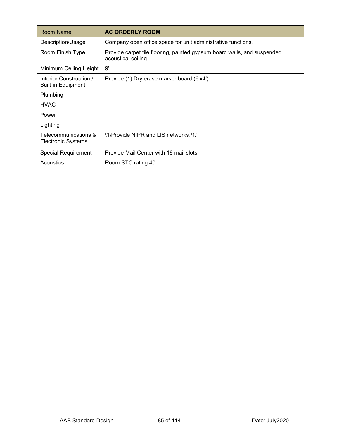| Room Name                                            | <b>AC ORDERLY ROOM</b>                                                                         |
|------------------------------------------------------|------------------------------------------------------------------------------------------------|
| Description/Usage                                    | Company open office space for unit administrative functions.                                   |
| Room Finish Type                                     | Provide carpet tile flooring, painted gypsum board walls, and suspended<br>acoustical ceiling. |
| Minimum Ceiling Height                               | 9'                                                                                             |
| Interior Construction /<br><b>Built-in Equipment</b> | Provide (1) Dry erase marker board (6'x4').                                                    |
| Plumbing                                             |                                                                                                |
| <b>HVAC</b>                                          |                                                                                                |
| Power                                                |                                                                                                |
| Lighting                                             |                                                                                                |
| Telecommunications &<br><b>Electronic Systems</b>    | \1\Provide NIPR and LIS networks./1/                                                           |
| <b>Special Requirement</b>                           | Provide Mail Center with 18 mail slots.                                                        |
| Acoustics                                            | Room STC rating 40.                                                                            |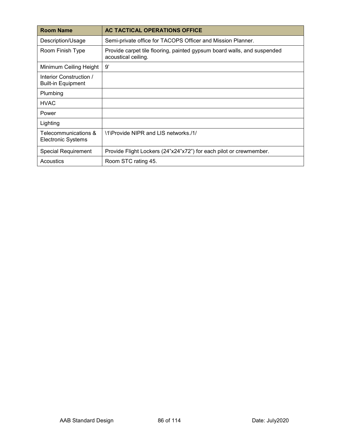| <b>Room Name</b>                                     | AC TACTICAL OPERATIONS OFFICE                                                                  |
|------------------------------------------------------|------------------------------------------------------------------------------------------------|
| Description/Usage                                    | Semi-private office for TACOPS Officer and Mission Planner.                                    |
| Room Finish Type                                     | Provide carpet tile flooring, painted gypsum board walls, and suspended<br>acoustical ceiling. |
| Minimum Ceiling Height                               | 9'                                                                                             |
| Interior Construction /<br><b>Built-in Equipment</b> |                                                                                                |
| Plumbing                                             |                                                                                                |
| <b>HVAC</b>                                          |                                                                                                |
| Power                                                |                                                                                                |
| Lighting                                             |                                                                                                |
| Telecommunications &<br>Electronic Systems           | \1\Provide NIPR and LIS networks./1/                                                           |
| <b>Special Requirement</b>                           | Provide Flight Lockers (24"x24"x72") for each pilot or crewmember.                             |
| Acoustics                                            | Room STC rating 45.                                                                            |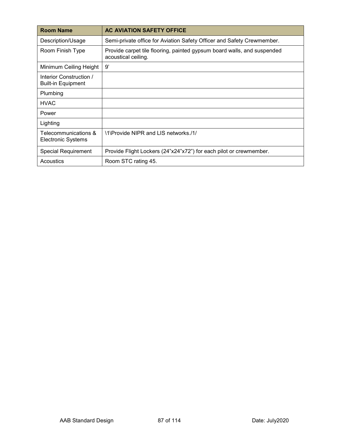| <b>Room Name</b>                                     | <b>AC AVIATION SAFETY OFFICE</b>                                                               |
|------------------------------------------------------|------------------------------------------------------------------------------------------------|
| Description/Usage                                    | Semi-private office for Aviation Safety Officer and Safety Crewmember.                         |
| Room Finish Type                                     | Provide carpet tile flooring, painted gypsum board walls, and suspended<br>acoustical ceiling. |
| Minimum Ceiling Height                               | 9'                                                                                             |
| Interior Construction /<br><b>Built-in Equipment</b> |                                                                                                |
| Plumbing                                             |                                                                                                |
| <b>HVAC</b>                                          |                                                                                                |
| Power                                                |                                                                                                |
| Lighting                                             |                                                                                                |
| Telecommunications &<br>Electronic Systems           | \1\Provide NIPR and LIS networks./1/                                                           |
| <b>Special Requirement</b>                           | Provide Flight Lockers (24"x24"x72") for each pilot or crewmember.                             |
| Acoustics                                            | Room STC rating 45.                                                                            |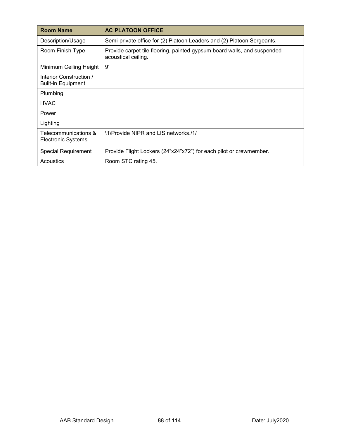| <b>Room Name</b>                                     | <b>AC PLATOON OFFICE</b>                                                                       |
|------------------------------------------------------|------------------------------------------------------------------------------------------------|
| Description/Usage                                    | Semi-private office for (2) Platoon Leaders and (2) Platoon Sergeants.                         |
| Room Finish Type                                     | Provide carpet tile flooring, painted gypsum board walls, and suspended<br>acoustical ceiling. |
| Minimum Ceiling Height                               | 9'                                                                                             |
| Interior Construction /<br><b>Built-in Equipment</b> |                                                                                                |
| Plumbing                                             |                                                                                                |
| <b>HVAC</b>                                          |                                                                                                |
| Power                                                |                                                                                                |
| Lighting                                             |                                                                                                |
| Telecommunications &<br>Electronic Systems           | \1\Provide NIPR and LIS networks./1/                                                           |
| Special Requirement                                  | Provide Flight Lockers (24"x24"x72") for each pilot or crewmember.                             |
| Acoustics                                            | Room STC rating 45.                                                                            |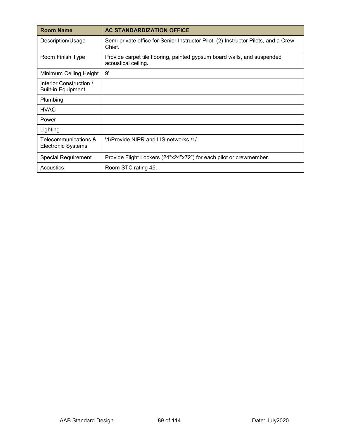| <b>Room Name</b>                                     | <b>AC STANDARDIZATION OFFICE</b>                                                               |
|------------------------------------------------------|------------------------------------------------------------------------------------------------|
| Description/Usage                                    | Semi-private office for Senior Instructor Pilot, (2) Instructor Pilots, and a Crew<br>Chief.   |
| Room Finish Type                                     | Provide carpet tile flooring, painted gypsum board walls, and suspended<br>acoustical ceiling. |
| Minimum Ceiling Height                               | 9'                                                                                             |
| Interior Construction /<br><b>Built-in Equipment</b> |                                                                                                |
| Plumbing                                             |                                                                                                |
| <b>HVAC</b>                                          |                                                                                                |
| Power                                                |                                                                                                |
| Lighting                                             |                                                                                                |
| Telecommunications &<br><b>Electronic Systems</b>    | \1\Provide NIPR and LIS networks./1/                                                           |
| <b>Special Requirement</b>                           | Provide Flight Lockers (24"x24"x72") for each pilot or crewmember.                             |
| Acoustics                                            | Room STC rating 45.                                                                            |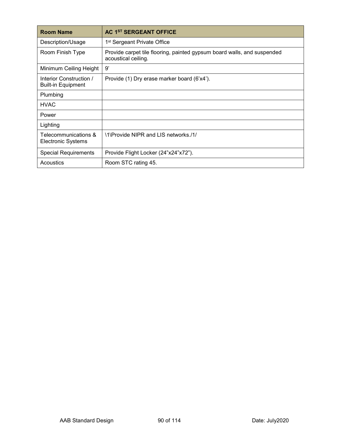| <b>Room Name</b>                                     | <b>AC 1ST SERGEANT OFFICE</b>                                                                  |
|------------------------------------------------------|------------------------------------------------------------------------------------------------|
| Description/Usage                                    | 1 <sup>st</sup> Sergeant Private Office                                                        |
| Room Finish Type                                     | Provide carpet tile flooring, painted gypsum board walls, and suspended<br>acoustical ceiling. |
| Minimum Ceiling Height                               | 9'                                                                                             |
| Interior Construction /<br><b>Built-in Equipment</b> | Provide (1) Dry erase marker board (6'x4').                                                    |
| Plumbing                                             |                                                                                                |
| <b>HVAC</b>                                          |                                                                                                |
| Power                                                |                                                                                                |
| Lighting                                             |                                                                                                |
| Telecommunications &<br>Electronic Systems           | \1\Provide NIPR and LIS networks./1/                                                           |
| <b>Special Requirements</b>                          | Provide Flight Locker (24"x24"x72").                                                           |
| Acoustics                                            | Room STC rating 45.                                                                            |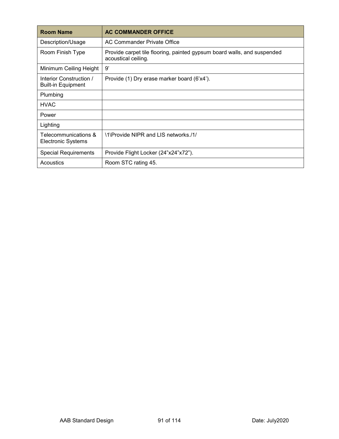| <b>Room Name</b>                                     | <b>AC COMMANDER OFFICE</b>                                                                     |
|------------------------------------------------------|------------------------------------------------------------------------------------------------|
| Description/Usage                                    | AC Commander Private Office                                                                    |
| Room Finish Type                                     | Provide carpet tile flooring, painted gypsum board walls, and suspended<br>acoustical ceiling. |
| Minimum Ceiling Height                               | 9'                                                                                             |
| Interior Construction /<br><b>Built-in Equipment</b> | Provide (1) Dry erase marker board (6'x4').                                                    |
| Plumbing                                             |                                                                                                |
| <b>HVAC</b>                                          |                                                                                                |
| Power                                                |                                                                                                |
| Lighting                                             |                                                                                                |
| Telecommunications &<br>Electronic Systems           | \1\Provide NIPR and LIS networks./1/                                                           |
| <b>Special Requirements</b>                          | Provide Flight Locker (24"x24"x72").                                                           |
| Acoustics                                            | Room STC rating 45.                                                                            |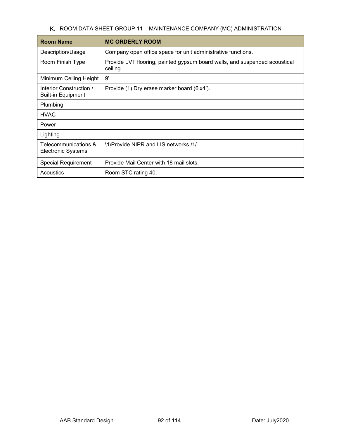K. ROOM DATA SHEET GROUP 11 - MAINTENANCE COMPANY (MC) ADMINISTRATION

| <b>Room Name</b>                                     | <b>MC ORDERLY ROOM</b>                                                                 |
|------------------------------------------------------|----------------------------------------------------------------------------------------|
| Description/Usage                                    | Company open office space for unit administrative functions.                           |
| Room Finish Type                                     | Provide LVT flooring, painted gypsum board walls, and suspended acoustical<br>ceiling. |
| Minimum Ceiling Height                               | 9'                                                                                     |
| Interior Construction /<br><b>Built-in Equipment</b> | Provide (1) Dry erase marker board (6'x4').                                            |
| Plumbing                                             |                                                                                        |
| <b>HVAC</b>                                          |                                                                                        |
| Power                                                |                                                                                        |
| Lighting                                             |                                                                                        |
| Telecommunications &<br><b>Electronic Systems</b>    | \1\Provide NIPR and LIS networks./1/                                                   |
| <b>Special Requirement</b>                           | Provide Mail Center with 18 mail slots.                                                |
| Acoustics                                            | Room STC rating 40.                                                                    |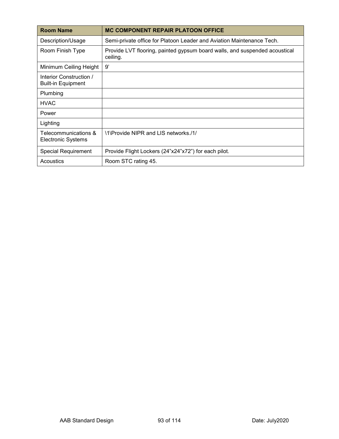| <b>Room Name</b>                                     | <b>MC COMPONENT REPAIR PLATOON OFFICE</b>                                              |
|------------------------------------------------------|----------------------------------------------------------------------------------------|
| Description/Usage                                    | Semi-private office for Platoon Leader and Aviation Maintenance Tech.                  |
| Room Finish Type                                     | Provide LVT flooring, painted gypsum board walls, and suspended acoustical<br>ceiling. |
| Minimum Ceiling Height                               | 9'                                                                                     |
| Interior Construction /<br><b>Built-in Equipment</b> |                                                                                        |
| Plumbing                                             |                                                                                        |
| <b>HVAC</b>                                          |                                                                                        |
| Power                                                |                                                                                        |
| Lighting                                             |                                                                                        |
| Telecommunications &<br><b>Electronic Systems</b>    | \1\Provide NIPR and LIS networks./1/                                                   |
| <b>Special Requirement</b>                           | Provide Flight Lockers (24"x24"x72") for each pilot.                                   |
| Acoustics                                            | Room STC rating 45.                                                                    |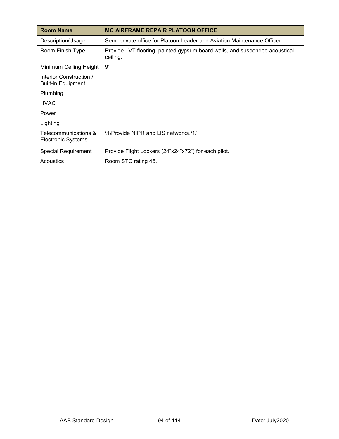| <b>Room Name</b>                                     | <b>MC AIRFRAME REPAIR PLATOON OFFICE</b>                                               |
|------------------------------------------------------|----------------------------------------------------------------------------------------|
| Description/Usage                                    | Semi-private office for Platoon Leader and Aviation Maintenance Officer.               |
| Room Finish Type                                     | Provide LVT flooring, painted gypsum board walls, and suspended acoustical<br>ceiling. |
| Minimum Ceiling Height                               | 9'                                                                                     |
| Interior Construction /<br><b>Built-in Equipment</b> |                                                                                        |
| Plumbing                                             |                                                                                        |
| <b>HVAC</b>                                          |                                                                                        |
| Power                                                |                                                                                        |
| Lighting                                             |                                                                                        |
| Telecommunications &<br><b>Electronic Systems</b>    | \1\Provide NIPR and LIS networks./1/                                                   |
| <b>Special Requirement</b>                           | Provide Flight Lockers (24"x24"x72") for each pilot.                                   |
| Acoustics                                            | Room STC rating 45.                                                                    |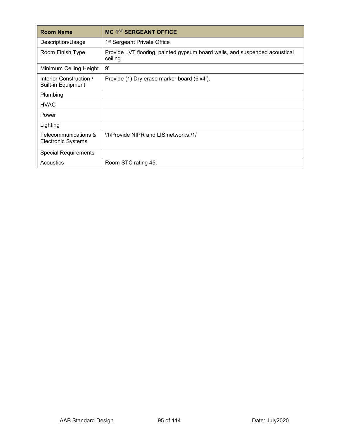| <b>Room Name</b>                                     | <b>MC 1ST SERGEANT OFFICE</b>                                                          |
|------------------------------------------------------|----------------------------------------------------------------------------------------|
| Description/Usage                                    | 1 <sup>st</sup> Sergeant Private Office                                                |
| Room Finish Type                                     | Provide LVT flooring, painted gypsum board walls, and suspended acoustical<br>ceiling. |
| Minimum Ceiling Height                               | 9'                                                                                     |
| Interior Construction /<br><b>Built-in Equipment</b> | Provide (1) Dry erase marker board (6'x4').                                            |
| Plumbing                                             |                                                                                        |
| <b>HVAC</b>                                          |                                                                                        |
| Power                                                |                                                                                        |
| Lighting                                             |                                                                                        |
| Telecommunications &<br>Electronic Systems           | \1\Provide NIPR and LIS networks./1/                                                   |
| <b>Special Requirements</b>                          |                                                                                        |
| Acoustics                                            | Room STC rating 45.                                                                    |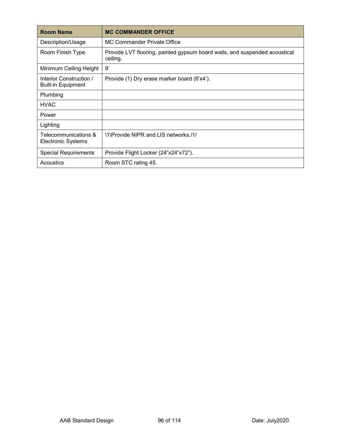| <b>Room Name</b>                                     | <b>MC COMMANDER OFFICE</b>                                                             |
|------------------------------------------------------|----------------------------------------------------------------------------------------|
| Description/Usage                                    | MC Commander Private Office                                                            |
| Room Finish Type                                     | Provide LVT flooring, painted gypsum board walls, and suspended acoustical<br>ceiling. |
| Minimum Ceiling Height                               | 9'                                                                                     |
| Interior Construction /<br><b>Built-in Equipment</b> | Provide (1) Dry erase marker board (6'x4').                                            |
| Plumbing                                             |                                                                                        |
| <b>HVAC</b>                                          |                                                                                        |
| Power                                                |                                                                                        |
| Lighting                                             |                                                                                        |
| Telecommunications &<br>Electronic Systems           | \1\Provide NIPR and LIS networks./1/                                                   |
| <b>Special Requirements</b>                          | Provide Flight Locker (24"x24"x72").                                                   |
| Acoustics                                            | Room STC rating 45.                                                                    |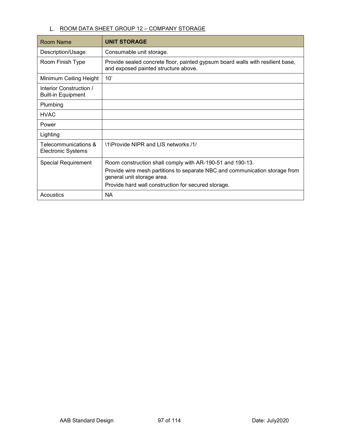## L. ROOM DATA SHEET GROUP 12 - COMPANY STORAGE

| Room Name                                            | <b>UNIT STORAGE</b>                                                                                                    |
|------------------------------------------------------|------------------------------------------------------------------------------------------------------------------------|
| Description/Usage                                    | Consumable unit storage.                                                                                               |
| Room Finish Type                                     | Provide sealed concrete floor, painted gypsum board walls with resilient base,<br>and exposed painted structure above. |
| Minimum Ceiling Height                               | 10'                                                                                                                    |
| Interior Construction /<br><b>Built-in Equipment</b> |                                                                                                                        |
| Plumbing                                             |                                                                                                                        |
| <b>HVAC</b>                                          |                                                                                                                        |
| Power                                                |                                                                                                                        |
| Lighting                                             |                                                                                                                        |
| Telecommunications &<br><b>Electronic Systems</b>    | \1\Provide NIPR and LIS networks./1/                                                                                   |
| <b>Special Requirement</b>                           | Room construction shall comply with AR-190-51 and 190-13.                                                              |
|                                                      | Provide wire mesh partitions to separate NBC and communication storage from<br>general unit storage area.              |
|                                                      | Provide hard wall construction for secured storage.                                                                    |
| Acoustics                                            | <b>NA</b>                                                                                                              |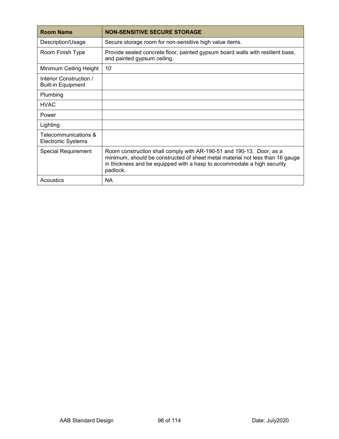| <b>Room Name</b>                                     | <b>NON-SENSITIVE SECURE STORAGE</b>                                                                                                                                                                                                          |
|------------------------------------------------------|----------------------------------------------------------------------------------------------------------------------------------------------------------------------------------------------------------------------------------------------|
| Description/Usage                                    | Secure storage room for non-sensitive high value items.                                                                                                                                                                                      |
| Room Finish Type                                     | Provide sealed concrete floor, painted gypsum board walls with resilient base,<br>and painted gypsum ceiling.                                                                                                                                |
| Minimum Ceiling Height                               | 10'                                                                                                                                                                                                                                          |
| Interior Construction /<br><b>Built-in Equipment</b> |                                                                                                                                                                                                                                              |
| Plumbing                                             |                                                                                                                                                                                                                                              |
| <b>HVAC</b>                                          |                                                                                                                                                                                                                                              |
| Power                                                |                                                                                                                                                                                                                                              |
| Lighting                                             |                                                                                                                                                                                                                                              |
| Telecommunications &<br><b>Electronic Systems</b>    |                                                                                                                                                                                                                                              |
| <b>Special Requirement</b>                           | Room construction shall comply with AR-190-51 and 190-13. Door, as a<br>minimum, should be constructed of sheet metal material not less than 16 gauge<br>in thickness and be equipped with a hasp to accommodate a high security<br>padlock. |
| Acoustics                                            | <b>NA</b>                                                                                                                                                                                                                                    |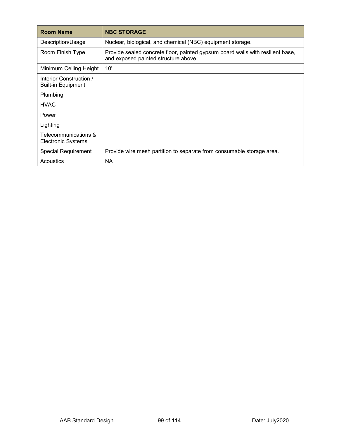| <b>Room Name</b>                                     | <b>NBC STORAGE</b>                                                                                                     |
|------------------------------------------------------|------------------------------------------------------------------------------------------------------------------------|
| Description/Usage                                    | Nuclear, biological, and chemical (NBC) equipment storage.                                                             |
| Room Finish Type                                     | Provide sealed concrete floor, painted gypsum board walls with resilient base,<br>and exposed painted structure above. |
| Minimum Ceiling Height                               | 10'                                                                                                                    |
| Interior Construction /<br><b>Built-in Equipment</b> |                                                                                                                        |
| Plumbing                                             |                                                                                                                        |
| <b>HVAC</b>                                          |                                                                                                                        |
| Power                                                |                                                                                                                        |
| Lighting                                             |                                                                                                                        |
| Telecommunications &<br><b>Electronic Systems</b>    |                                                                                                                        |
| <b>Special Requirement</b>                           | Provide wire mesh partition to separate from consumable storage area.                                                  |
| Acoustics                                            | ΝA                                                                                                                     |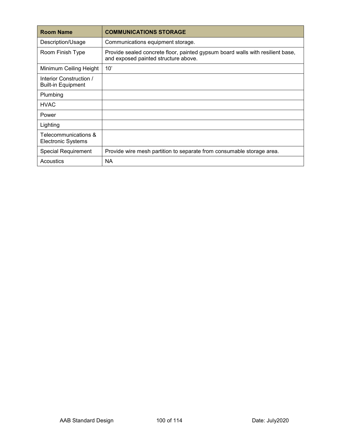| <b>Room Name</b>                                     | <b>COMMUNICATIONS STORAGE</b>                                                                                          |
|------------------------------------------------------|------------------------------------------------------------------------------------------------------------------------|
| Description/Usage                                    | Communications equipment storage.                                                                                      |
| Room Finish Type                                     | Provide sealed concrete floor, painted gypsum board walls with resilient base,<br>and exposed painted structure above. |
| Minimum Ceiling Height                               | 10'                                                                                                                    |
| Interior Construction /<br><b>Built-in Equipment</b> |                                                                                                                        |
| Plumbing                                             |                                                                                                                        |
| <b>HVAC</b>                                          |                                                                                                                        |
| Power                                                |                                                                                                                        |
| Lighting                                             |                                                                                                                        |
| Telecommunications &<br>Electronic Systems           |                                                                                                                        |
| <b>Special Requirement</b>                           | Provide wire mesh partition to separate from consumable storage area.                                                  |
| Acoustics                                            | ΝA                                                                                                                     |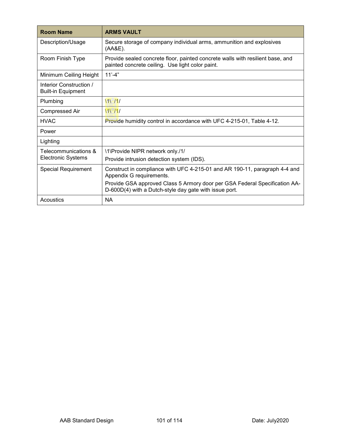| <b>Room Name</b>                                     | <b>ARMS VAULT</b>                                                                                                                    |
|------------------------------------------------------|--------------------------------------------------------------------------------------------------------------------------------------|
| Description/Usage                                    | Secure storage of company individual arms, ammunition and explosives<br>(AA&E).                                                      |
| Room Finish Type                                     | Provide sealed concrete floor, painted concrete walls with resilient base, and<br>painted concrete ceiling. Use light color paint.   |
| Minimum Ceiling Height                               | $11' - 4"$                                                                                                                           |
| Interior Construction /<br><b>Built-in Equipment</b> |                                                                                                                                      |
| Plumbing                                             | 11/11                                                                                                                                |
| <b>Compressed Air</b>                                | 11/11/                                                                                                                               |
| <b>HVAC</b>                                          | Provide humidity control in accordance with UFC 4-215-01, Table 4-12.                                                                |
| Power                                                |                                                                                                                                      |
| Lighting                                             |                                                                                                                                      |
| Telecommunications &                                 | \1\Provide NIPR network only./1/                                                                                                     |
| <b>Electronic Systems</b>                            | Provide intrusion detection system (IDS).                                                                                            |
| <b>Special Requirement</b>                           | Construct in compliance with UFC 4-215-01 and AR 190-11, paragraph 4-4 and<br>Appendix G requirements.                               |
|                                                      | Provide GSA approved Class 5 Armory door per GSA Federal Specification AA-<br>D-600D(4) with a Dutch-style day gate with issue port. |
| Acoustics                                            | <b>NA</b>                                                                                                                            |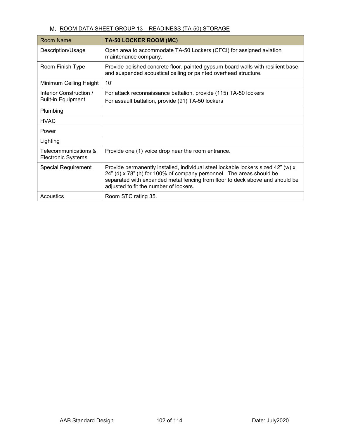#### M. ROOM DATA SHEET GROUP 13 - READINESS (TA-50) STORAGE

| Room Name                                            | TA-50 LOCKER ROOM (MC)                                                                                                                                                                                                                                                             |
|------------------------------------------------------|------------------------------------------------------------------------------------------------------------------------------------------------------------------------------------------------------------------------------------------------------------------------------------|
| Description/Usage                                    | Open area to accommodate TA-50 Lockers (CFCI) for assigned aviation<br>maintenance company.                                                                                                                                                                                        |
| Room Finish Type                                     | Provide polished concrete floor, painted gypsum board walls with resilient base,<br>and suspended acoustical ceiling or painted overhead structure.                                                                                                                                |
| Minimum Ceiling Height                               | 10'                                                                                                                                                                                                                                                                                |
| Interior Construction /<br><b>Built-in Equipment</b> | For attack reconnaissance battalion, provide (115) TA-50 lockers<br>For assault battalion, provide (91) TA-50 lockers                                                                                                                                                              |
| Plumbing                                             |                                                                                                                                                                                                                                                                                    |
| <b>HVAC</b>                                          |                                                                                                                                                                                                                                                                                    |
| Power                                                |                                                                                                                                                                                                                                                                                    |
| Lighting                                             |                                                                                                                                                                                                                                                                                    |
| Telecommunications &<br>Electronic Systems           | Provide one (1) voice drop near the room entrance.                                                                                                                                                                                                                                 |
| <b>Special Requirement</b>                           | Provide permanently installed, individual steel lockable lockers sized 42" (w) x<br>24" (d) x 78" (h) for 100% of company personnel. The areas should be<br>separated with expanded metal fencing from floor to deck above and should be<br>adjusted to fit the number of lockers. |
| Acoustics                                            | Room STC rating 35.                                                                                                                                                                                                                                                                |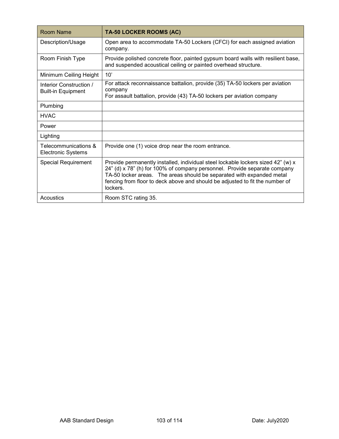| <b>Room Name</b>                                     | TA-50 LOCKER ROOMS (AC)                                                                                                                                                                                                                                                                                                            |
|------------------------------------------------------|------------------------------------------------------------------------------------------------------------------------------------------------------------------------------------------------------------------------------------------------------------------------------------------------------------------------------------|
| Description/Usage                                    | Open area to accommodate TA-50 Lockers (CFCI) for each assigned aviation<br>company.                                                                                                                                                                                                                                               |
| Room Finish Type                                     | Provide polished concrete floor, painted gypsum board walls with resilient base,<br>and suspended acoustical ceiling or painted overhead structure.                                                                                                                                                                                |
| Minimum Ceiling Height                               | 10'                                                                                                                                                                                                                                                                                                                                |
| Interior Construction /<br><b>Built-in Equipment</b> | For attack reconnaissance battalion, provide (35) TA-50 lockers per aviation<br>company<br>For assault battalion, provide (43) TA-50 lockers per aviation company                                                                                                                                                                  |
| Plumbing                                             |                                                                                                                                                                                                                                                                                                                                    |
| <b>HVAC</b>                                          |                                                                                                                                                                                                                                                                                                                                    |
| Power                                                |                                                                                                                                                                                                                                                                                                                                    |
| Lighting                                             |                                                                                                                                                                                                                                                                                                                                    |
| Telecommunications &<br><b>Electronic Systems</b>    | Provide one (1) voice drop near the room entrance.                                                                                                                                                                                                                                                                                 |
| <b>Special Requirement</b>                           | Provide permanently installed, individual steel lockable lockers sized 42" (w) x<br>24" (d) x 78" (h) for 100% of company personnel. Provide separate company<br>TA-50 locker areas. The areas should be separated with expanded metal<br>fencing from floor to deck above and should be adjusted to fit the number of<br>lockers. |
| Acoustics                                            | Room STC rating 35.                                                                                                                                                                                                                                                                                                                |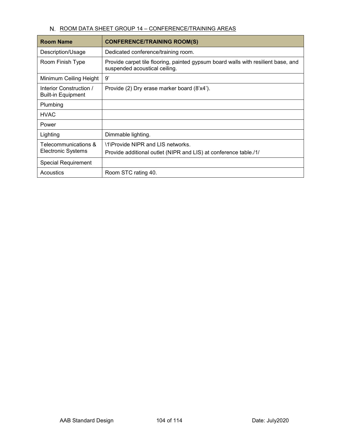# N. ROOM DATA SHEET GROUP 14 - CONFERENCE/TRAINING AREAS

| <b>Room Name</b>                                     | <b>CONFERENCE/TRAINING ROOM(S)</b>                                                                                 |
|------------------------------------------------------|--------------------------------------------------------------------------------------------------------------------|
| Description/Usage                                    | Dedicated conference/training room.                                                                                |
| Room Finish Type                                     | Provide carpet tile flooring, painted gypsum board walls with resilient base, and<br>suspended acoustical ceiling. |
| Minimum Ceiling Height                               | 9'                                                                                                                 |
| Interior Construction /<br><b>Built-in Equipment</b> | Provide (2) Dry erase marker board (8'x4').                                                                        |
| Plumbing                                             |                                                                                                                    |
| <b>HVAC</b>                                          |                                                                                                                    |
| Power                                                |                                                                                                                    |
| Lighting                                             | Dimmable lighting.                                                                                                 |
| Telecommunications &<br>Electronic Systems           | \1\Provide NIPR and LIS networks.                                                                                  |
|                                                      | Provide additional outlet (NIPR and LIS) at conference table./1/                                                   |
| <b>Special Requirement</b>                           |                                                                                                                    |
| Acoustics                                            | Room STC rating 40.                                                                                                |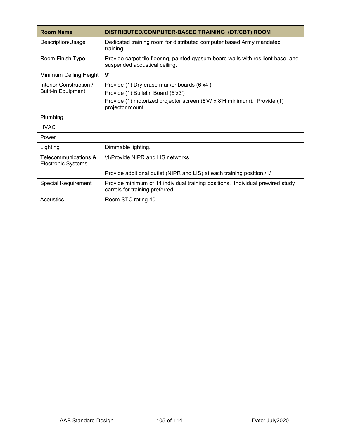| <b>Room Name</b>                                  | DISTRIBUTED/COMPUTER-BASED TRAINING (DT/CBT) ROOM                                                                  |
|---------------------------------------------------|--------------------------------------------------------------------------------------------------------------------|
| Description/Usage                                 | Dedicated training room for distributed computer based Army mandated<br>training.                                  |
| Room Finish Type                                  | Provide carpet tile flooring, painted gypsum board walls with resilient base, and<br>suspended acoustical ceiling. |
| Minimum Ceiling Height                            | g,                                                                                                                 |
| Interior Construction /                           | Provide (1) Dry erase marker boards (6'x4').                                                                       |
| <b>Built-in Equipment</b>                         | Provide (1) Bulletin Board (5'x3')                                                                                 |
|                                                   | Provide (1) motorized projector screen (8'W x 8'H minimum). Provide (1)<br>projector mount.                        |
| Plumbing                                          |                                                                                                                    |
| <b>HVAC</b>                                       |                                                                                                                    |
| Power                                             |                                                                                                                    |
| Lighting                                          | Dimmable lighting.                                                                                                 |
| Telecommunications &<br><b>Electronic Systems</b> | \1\Provide NIPR and LIS networks.                                                                                  |
|                                                   | Provide additional outlet (NIPR and LIS) at each training position./1/                                             |
| <b>Special Requirement</b>                        | Provide minimum of 14 individual training positions. Individual prewired study<br>carrels for training preferred.  |
| Acoustics                                         | Room STC rating 40.                                                                                                |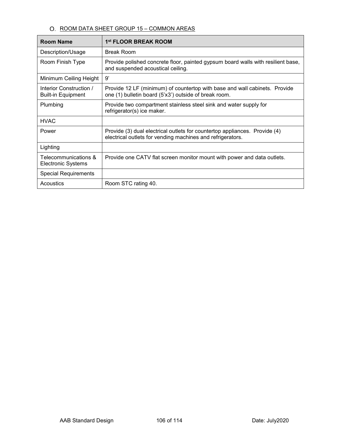#### O. ROOM DATA SHEET GROUP 15 - COMMON AREAS

| <b>Room Name</b>                                     | 1 <sup>st</sup> FLOOR BREAK ROOM                                                                                                         |
|------------------------------------------------------|------------------------------------------------------------------------------------------------------------------------------------------|
| Description/Usage                                    | <b>Break Room</b>                                                                                                                        |
| Room Finish Type                                     | Provide polished concrete floor, painted gypsum board walls with resilient base,<br>and suspended acoustical ceiling.                    |
| Minimum Ceiling Height                               | g,                                                                                                                                       |
| Interior Construction /<br><b>Built-in Equipment</b> | Provide 12 LF (minimum) of countertop with base and wall cabinets. Provide<br>one (1) bulletin board (5'x3') outside of break room.      |
| Plumbing                                             | Provide two compartment stainless steel sink and water supply for<br>refrigerator(s) ice maker.                                          |
| <b>HVAC</b>                                          |                                                                                                                                          |
| Power                                                | Provide (3) dual electrical outlets for countertop appliances. Provide (4)<br>electrical outlets for vending machines and refrigerators. |
| Lighting                                             |                                                                                                                                          |
| Telecommunications &<br><b>Electronic Systems</b>    | Provide one CATV flat screen monitor mount with power and data outlets.                                                                  |
| <b>Special Requirements</b>                          |                                                                                                                                          |
| Acoustics                                            | Room STC rating 40.                                                                                                                      |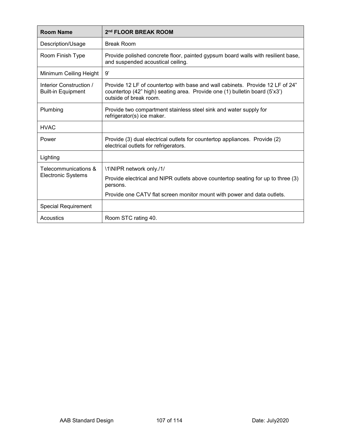| <b>Room Name</b>                                     | 2 <sup>nd</sup> FLOOR BREAK ROOM                                                                                                                                                      |
|------------------------------------------------------|---------------------------------------------------------------------------------------------------------------------------------------------------------------------------------------|
| Description/Usage                                    | <b>Break Room</b>                                                                                                                                                                     |
| Room Finish Type                                     | Provide polished concrete floor, painted gypsum board walls with resilient base,<br>and suspended acoustical ceiling.                                                                 |
| Minimum Ceiling Height                               | 9'                                                                                                                                                                                    |
| Interior Construction /<br><b>Built-in Equipment</b> | Provide 12 LF of countertop with base and wall cabinets. Provide 12 LF of 24"<br>countertop (42" high) seating area. Provide one (1) bulletin board (5'x3')<br>outside of break room. |
| Plumbing                                             | Provide two compartment stainless steel sink and water supply for<br>refrigerator(s) ice maker.                                                                                       |
| <b>HVAC</b>                                          |                                                                                                                                                                                       |
| Power                                                | Provide (3) dual electrical outlets for countertop appliances. Provide (2)<br>electrical outlets for refrigerators.                                                                   |
| Lighting                                             |                                                                                                                                                                                       |
| Telecommunications &<br>Electronic Systems           | \1\NIPR network only./1/                                                                                                                                                              |
|                                                      | Provide electrical and NIPR outlets above countertop seating for up to three (3)<br>persons.                                                                                          |
|                                                      | Provide one CATV flat screen monitor mount with power and data outlets.                                                                                                               |
| <b>Special Requirement</b>                           |                                                                                                                                                                                       |
| Acoustics                                            | Room STC rating 40.                                                                                                                                                                   |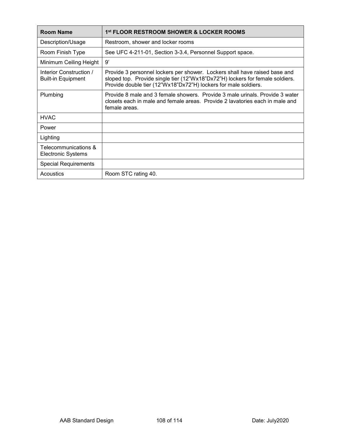| <b>Room Name</b>                                     | 1st FLOOR RESTROOM SHOWER & LOCKER ROOMS                                                                                                                                                                                       |
|------------------------------------------------------|--------------------------------------------------------------------------------------------------------------------------------------------------------------------------------------------------------------------------------|
| Description/Usage                                    | Restroom, shower and locker rooms                                                                                                                                                                                              |
| Room Finish Type                                     | See UFC 4-211-01, Section 3-3.4, Personnel Support space.                                                                                                                                                                      |
| Minimum Ceiling Height                               | g'                                                                                                                                                                                                                             |
| Interior Construction /<br><b>Built-in Equipment</b> | Provide 3 personnel lockers per shower. Lockers shall have raised base and<br>sloped top. Provide single tier (12"Wx18"Dx72"H) lockers for female soldiers.<br>Provide double tier (12"Wx18"Dx72"H) lockers for male soldiers. |
| Plumbing                                             | Provide 8 male and 3 female showers. Provide 3 male urinals. Provide 3 water<br>closets each in male and female areas. Provide 2 lavatories each in male and<br>female areas.                                                  |
| <b>HVAC</b>                                          |                                                                                                                                                                                                                                |
| Power                                                |                                                                                                                                                                                                                                |
| Lighting                                             |                                                                                                                                                                                                                                |
| Telecommunications &<br><b>Electronic Systems</b>    |                                                                                                                                                                                                                                |
| <b>Special Requirements</b>                          |                                                                                                                                                                                                                                |
| Acoustics                                            | Room STC rating 40.                                                                                                                                                                                                            |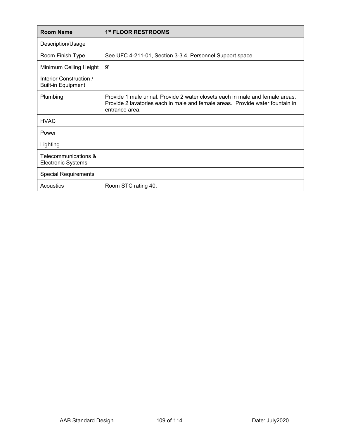| <b>Room Name</b>                                     | 1 <sup>st</sup> FLOOR RESTROOMS                                                                                                                                                  |
|------------------------------------------------------|----------------------------------------------------------------------------------------------------------------------------------------------------------------------------------|
| Description/Usage                                    |                                                                                                                                                                                  |
| Room Finish Type                                     | See UFC 4-211-01, Section 3-3.4, Personnel Support space.                                                                                                                        |
| Minimum Ceiling Height                               | 9'                                                                                                                                                                               |
| Interior Construction /<br><b>Built-in Equipment</b> |                                                                                                                                                                                  |
| Plumbing                                             | Provide 1 male urinal. Provide 2 water closets each in male and female areas.<br>Provide 2 lavatories each in male and female areas. Provide water fountain in<br>entrance area. |
| <b>HVAC</b>                                          |                                                                                                                                                                                  |
| Power                                                |                                                                                                                                                                                  |
| Lighting                                             |                                                                                                                                                                                  |
| Telecommunications &<br><b>Electronic Systems</b>    |                                                                                                                                                                                  |
| <b>Special Requirements</b>                          |                                                                                                                                                                                  |
| Acoustics                                            | Room STC rating 40.                                                                                                                                                              |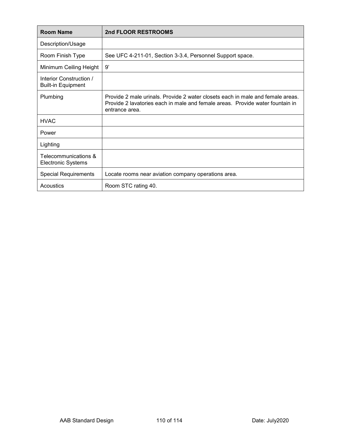| <b>Room Name</b>                                     | 2nd FLOOR RESTROOMS                                                                                                                                                               |
|------------------------------------------------------|-----------------------------------------------------------------------------------------------------------------------------------------------------------------------------------|
| Description/Usage                                    |                                                                                                                                                                                   |
| Room Finish Type                                     | See UFC 4-211-01, Section 3-3.4, Personnel Support space.                                                                                                                         |
| Minimum Ceiling Height                               | 9'                                                                                                                                                                                |
| Interior Construction /<br><b>Built-in Equipment</b> |                                                                                                                                                                                   |
| Plumbing                                             | Provide 2 male urinals. Provide 2 water closets each in male and female areas.<br>Provide 2 lavatories each in male and female areas. Provide water fountain in<br>entrance area. |
| <b>HVAC</b>                                          |                                                                                                                                                                                   |
| Power                                                |                                                                                                                                                                                   |
| Lighting                                             |                                                                                                                                                                                   |
| Telecommunications &<br><b>Electronic Systems</b>    |                                                                                                                                                                                   |
| <b>Special Requirements</b>                          | Locate rooms near aviation company operations area.                                                                                                                               |
| Acoustics                                            | Room STC rating 40.                                                                                                                                                               |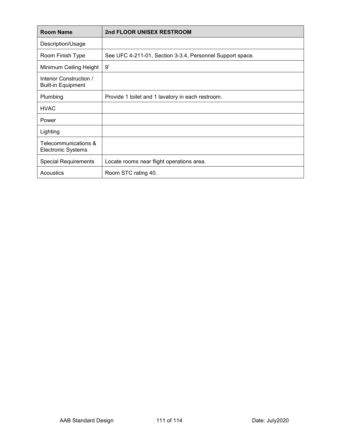| <b>Room Name</b>                                     | 2nd FLOOR UNISEX RESTROOM                                 |
|------------------------------------------------------|-----------------------------------------------------------|
| Description/Usage                                    |                                                           |
| Room Finish Type                                     | See UFC 4-211-01, Section 3-3.4, Personnel Support space. |
| Minimum Ceiling Height                               | 9'                                                        |
| Interior Construction /<br><b>Built-in Equipment</b> |                                                           |
| Plumbing                                             | Provide 1 toilet and 1 lavatory in each restroom.         |
| <b>HVAC</b>                                          |                                                           |
| Power                                                |                                                           |
| Lighting                                             |                                                           |
| Telecommunications &<br><b>Electronic Systems</b>    |                                                           |
| <b>Special Requirements</b>                          | Locate rooms near flight operations area.                 |
| Acoustics                                            | Room STC rating 40.                                       |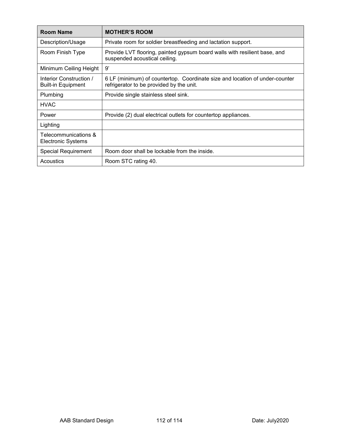| <b>Room Name</b>                                     | <b>MOTHER'S ROOM</b>                                                                                                    |
|------------------------------------------------------|-------------------------------------------------------------------------------------------------------------------------|
| Description/Usage                                    | Private room for soldier breastfeeding and lactation support.                                                           |
| Room Finish Type                                     | Provide LVT flooring, painted gypsum board walls with resilient base, and<br>suspended acoustical ceiling.              |
| Minimum Ceiling Height                               | 9'                                                                                                                      |
| Interior Construction /<br><b>Built-in Equipment</b> | 6 LF (minimum) of countertop. Coordinate size and location of under-counter<br>refrigerator to be provided by the unit. |
| Plumbing                                             | Provide single stainless steel sink.                                                                                    |
| <b>HVAC</b>                                          |                                                                                                                         |
| Power                                                | Provide (2) dual electrical outlets for countertop appliances.                                                          |
| Lighting                                             |                                                                                                                         |
| Telecommunications &<br><b>Electronic Systems</b>    |                                                                                                                         |
| <b>Special Requirement</b>                           | Room door shall be lockable from the inside.                                                                            |
| Acoustics                                            | Room STC rating 40.                                                                                                     |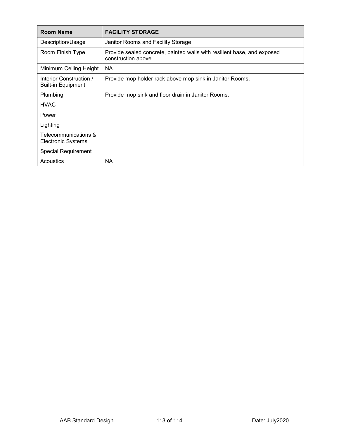| <b>Room Name</b>                                     | <b>FACILITY STORAGE</b>                                                                        |
|------------------------------------------------------|------------------------------------------------------------------------------------------------|
| Description/Usage                                    | Janitor Rooms and Facility Storage                                                             |
| Room Finish Type                                     | Provide sealed concrete, painted walls with resilient base, and exposed<br>construction above. |
| Minimum Ceiling Height                               | <b>NA</b>                                                                                      |
| Interior Construction /<br><b>Built-in Equipment</b> | Provide mop holder rack above mop sink in Janitor Rooms.                                       |
| Plumbing                                             | Provide mop sink and floor drain in Janitor Rooms.                                             |
| <b>HVAC</b>                                          |                                                                                                |
| Power                                                |                                                                                                |
| Lighting                                             |                                                                                                |
| Telecommunications &<br><b>Electronic Systems</b>    |                                                                                                |
| <b>Special Requirement</b>                           |                                                                                                |
| Acoustics                                            | NА                                                                                             |